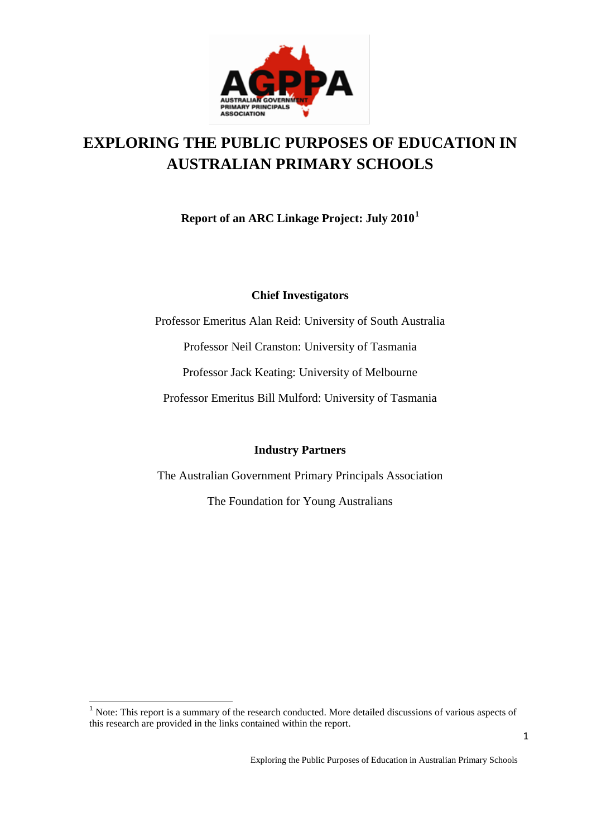

# **EXPLORING THE PUBLIC PURPOSES OF EDUCATION IN AUSTRALIAN PRIMARY SCHOOLS**

**Report of an ARC Linkage Project: July 2010[1](#page-0-0)**

### **Chief Investigators**

Professor Emeritus Alan Reid: University of South Australia Professor Neil Cranston: University of Tasmania Professor Jack Keating: University of Melbourne Professor Emeritus Bill Mulford: University of Tasmania

#### **Industry Partners**

The Australian Government Primary Principals Association

The Foundation for Young Australians

<span id="page-0-0"></span><sup>1</sup> Note: This report is a summary of the research conducted. More detailed discussions of various aspects of this research are provided in the links contained within the report.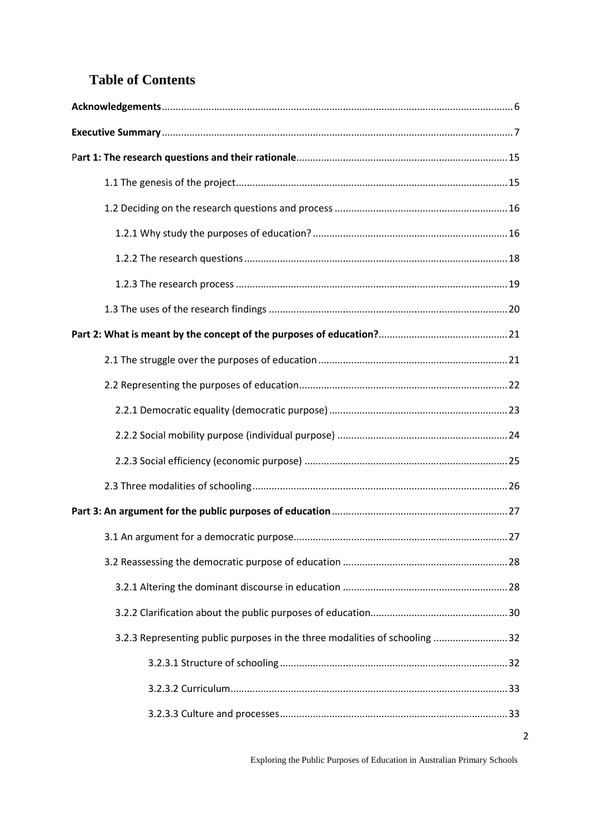## **Table of Contents**

| 32.3 Representing public purposes in the three modalities of schooling 32 |  |
|---------------------------------------------------------------------------|--|
|                                                                           |  |
|                                                                           |  |
|                                                                           |  |

2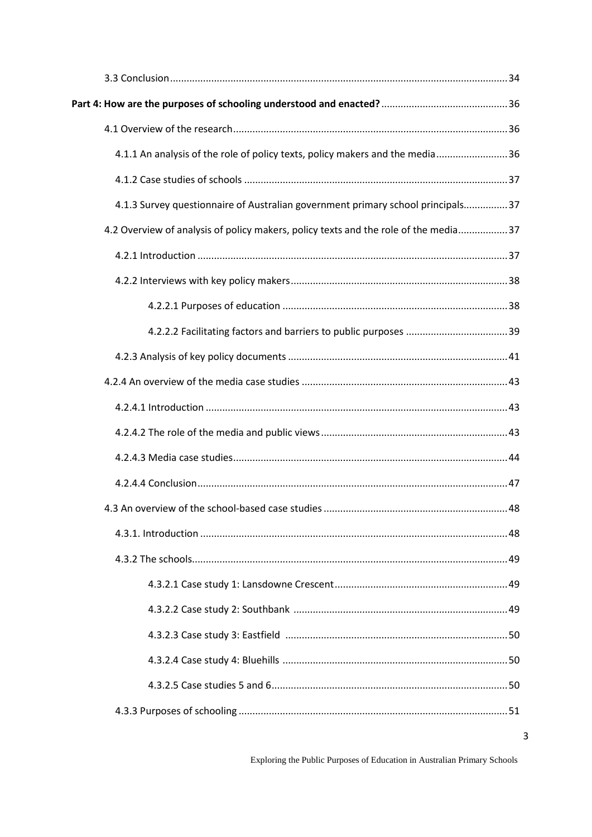| 4.1.1 An analysis of the role of policy texts, policy makers and the media 36       |  |
|-------------------------------------------------------------------------------------|--|
|                                                                                     |  |
| 4.1.3 Survey questionnaire of Australian government primary school principals 37    |  |
| 4.2 Overview of analysis of policy makers, policy texts and the role of the media37 |  |
|                                                                                     |  |
|                                                                                     |  |
|                                                                                     |  |
|                                                                                     |  |
|                                                                                     |  |
|                                                                                     |  |
|                                                                                     |  |
|                                                                                     |  |
|                                                                                     |  |
|                                                                                     |  |
|                                                                                     |  |
|                                                                                     |  |
|                                                                                     |  |
|                                                                                     |  |
|                                                                                     |  |
|                                                                                     |  |
|                                                                                     |  |
|                                                                                     |  |
|                                                                                     |  |

 $\overline{3}$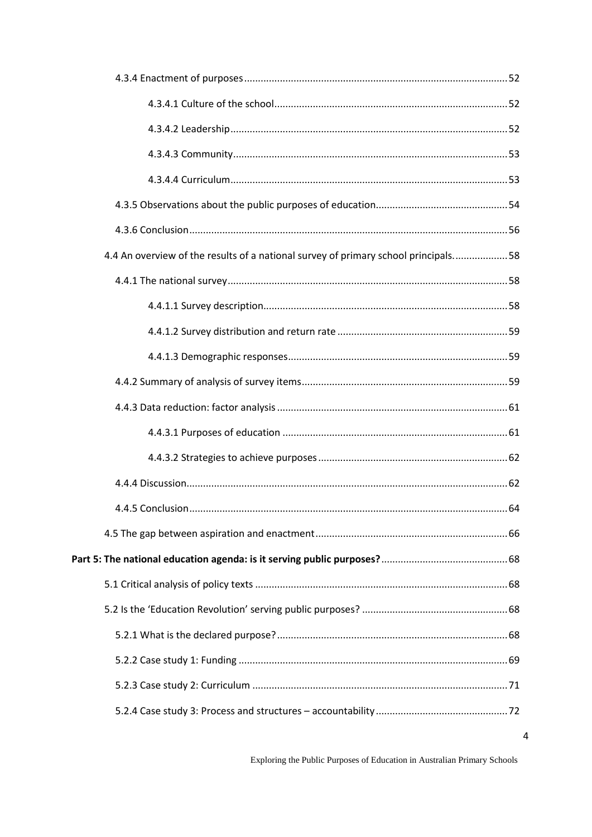| 4.4 An overview of the results of a national survey of primary school principals 58 |  |
|-------------------------------------------------------------------------------------|--|
|                                                                                     |  |
|                                                                                     |  |
|                                                                                     |  |
|                                                                                     |  |
|                                                                                     |  |
|                                                                                     |  |
|                                                                                     |  |
|                                                                                     |  |
|                                                                                     |  |
|                                                                                     |  |
|                                                                                     |  |
|                                                                                     |  |
|                                                                                     |  |
|                                                                                     |  |
|                                                                                     |  |
|                                                                                     |  |
|                                                                                     |  |
|                                                                                     |  |

 $\overline{4}$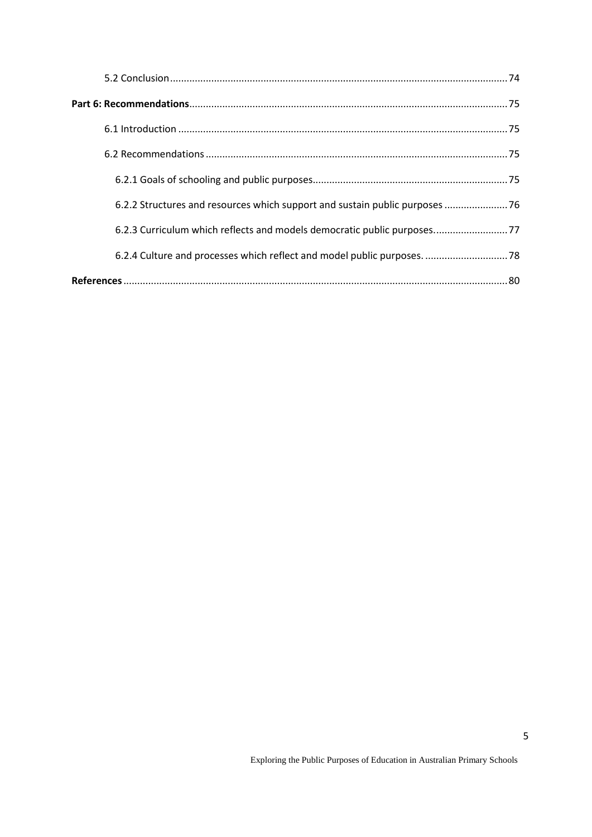| 6.2.2 Structures and resources which support and sustain public purposes  76 |  |
|------------------------------------------------------------------------------|--|
| 6.2.3 Curriculum which reflects and models democratic public purposes77      |  |
| 6.2.4 Culture and processes which reflect and model public purposes.  78     |  |
|                                                                              |  |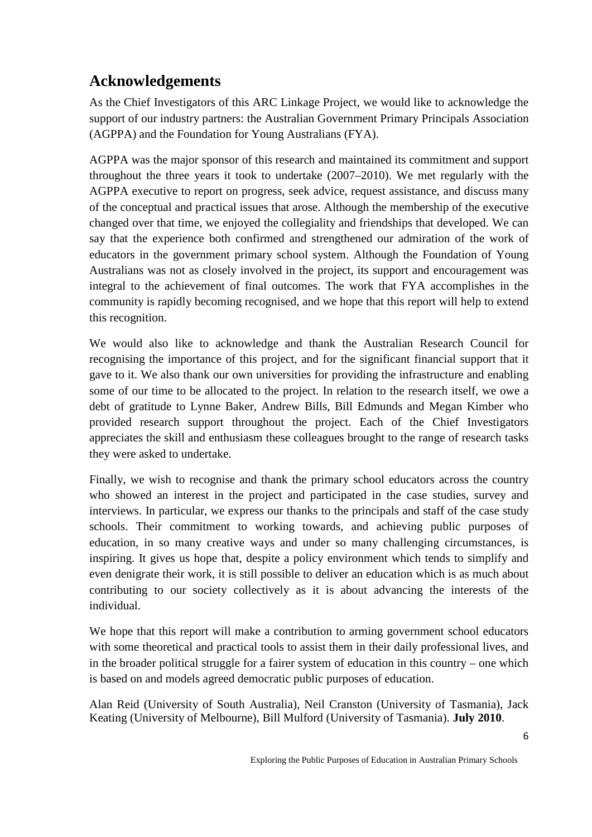## <span id="page-5-0"></span>**Acknowledgements**

As the Chief Investigators of this ARC Linkage Project, we would like to acknowledge the support of our industry partners: the Australian Government Primary Principals Association (AGPPA) and the Foundation for Young Australians (FYA).

AGPPA was the major sponsor of this research and maintained its commitment and support throughout the three years it took to undertake (2007–2010). We met regularly with the AGPPA executive to report on progress, seek advice, request assistance, and discuss many of the conceptual and practical issues that arose. Although the membership of the executive changed over that time, we enjoyed the collegiality and friendships that developed. We can say that the experience both confirmed and strengthened our admiration of the work of educators in the government primary school system. Although the Foundation of Young Australians was not as closely involved in the project, its support and encouragement was integral to the achievement of final outcomes. The work that FYA accomplishes in the community is rapidly becoming recognised, and we hope that this report will help to extend this recognition.

We would also like to acknowledge and thank the Australian Research Council for recognising the importance of this project, and for the significant financial support that it gave to it. We also thank our own universities for providing the infrastructure and enabling some of our time to be allocated to the project. In relation to the research itself, we owe a debt of gratitude to Lynne Baker, Andrew Bills, Bill Edmunds and Megan Kimber who provided research support throughout the project. Each of the Chief Investigators appreciates the skill and enthusiasm these colleagues brought to the range of research tasks they were asked to undertake.

Finally, we wish to recognise and thank the primary school educators across the country who showed an interest in the project and participated in the case studies, survey and interviews. In particular, we express our thanks to the principals and staff of the case study schools. Their commitment to working towards, and achieving public purposes of education, in so many creative ways and under so many challenging circumstances, is inspiring. It gives us hope that, despite a policy environment which tends to simplify and even denigrate their work, it is still possible to deliver an education which is as much about contributing to our society collectively as it is about advancing the interests of the individual.

We hope that this report will make a contribution to arming government school educators with some theoretical and practical tools to assist them in their daily professional lives, and in the broader political struggle for a fairer system of education in this country – one which is based on and models agreed democratic public purposes of education.

<span id="page-5-1"></span>Alan Reid (University of South Australia), Neil Cranston (University of Tasmania), Jack Keating (University of Melbourne), Bill Mulford (University of Tasmania). **July 2010**.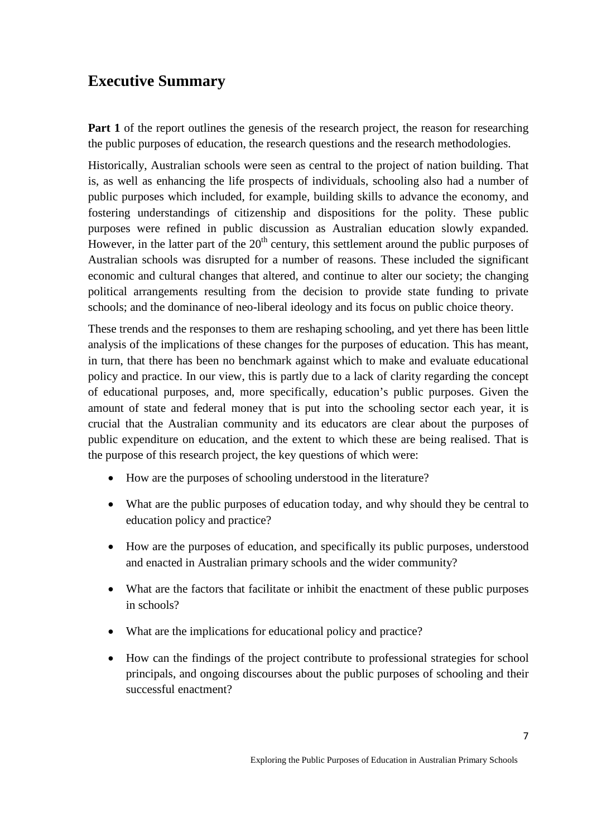## **Executive Summary**

**Part 1** of the report outlines the genesis of the research project, the reason for researching the public purposes of education, the research questions and the research methodologies.

Historically, Australian schools were seen as central to the project of nation building. That is, as well as enhancing the life prospects of individuals, schooling also had a number of public purposes which included, for example, building skills to advance the economy, and fostering understandings of citizenship and dispositions for the polity. These public purposes were refined in public discussion as Australian education slowly expanded. However, in the latter part of the  $20<sup>th</sup>$  century, this settlement around the public purposes of Australian schools was disrupted for a number of reasons. These included the significant economic and cultural changes that altered, and continue to alter our society; the changing political arrangements resulting from the decision to provide state funding to private schools; and the dominance of neo-liberal ideology and its focus on public choice theory.

These trends and the responses to them are reshaping schooling, and yet there has been little analysis of the implications of these changes for the purposes of education. This has meant, in turn, that there has been no benchmark against which to make and evaluate educational policy and practice. In our view, this is partly due to a lack of clarity regarding the concept of educational purposes, and, more specifically, education's public purposes. Given the amount of state and federal money that is put into the schooling sector each year, it is crucial that the Australian community and its educators are clear about the purposes of public expenditure on education, and the extent to which these are being realised. That is the purpose of this research project, the key questions of which were:

- How are the purposes of schooling understood in the literature?
- What are the public purposes of education today, and why should they be central to education policy and practice?
- How are the purposes of education, and specifically its public purposes, understood and enacted in Australian primary schools and the wider community?
- What are the factors that facilitate or inhibit the enactment of these public purposes in schools?
- What are the implications for educational policy and practice?
- How can the findings of the project contribute to professional strategies for school principals, and ongoing discourses about the public purposes of schooling and their successful enactment?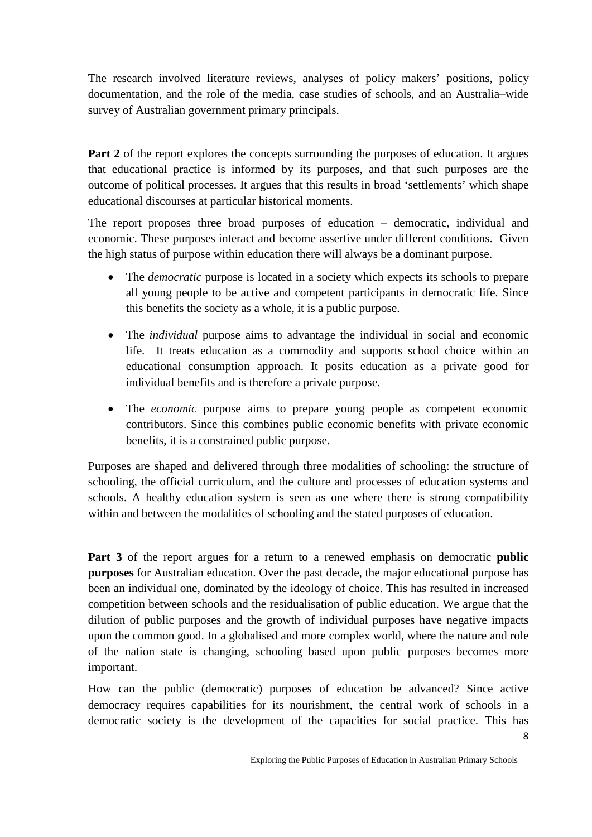The research involved literature reviews, analyses of policy makers' positions, policy documentation, and the role of the media, case studies of schools, and an Australia–wide survey of Australian government primary principals.

**Part 2** of the report explores the concepts surrounding the purposes of education. It argues that educational practice is informed by its purposes, and that such purposes are the outcome of political processes. It argues that this results in broad 'settlements' which shape educational discourses at particular historical moments.

The report proposes three broad purposes of education – democratic, individual and economic. These purposes interact and become assertive under different conditions. Given the high status of purpose within education there will always be a dominant purpose.

- The *democratic* purpose is located in a society which expects its schools to prepare all young people to be active and competent participants in democratic life. Since this benefits the society as a whole, it is a public purpose.
- The *individual* purpose aims to advantage the individual in social and economic life. It treats education as a commodity and supports school choice within an educational consumption approach. It posits education as a private good for individual benefits and is therefore a private purpose.
- The *economic* purpose aims to prepare young people as competent economic contributors. Since this combines public economic benefits with private economic benefits, it is a constrained public purpose.

Purposes are shaped and delivered through three modalities of schooling: the structure of schooling, the official curriculum, and the culture and processes of education systems and schools. A healthy education system is seen as one where there is strong compatibility within and between the modalities of schooling and the stated purposes of education.

**Part 3** of the report argues for a return to a renewed emphasis on democratic **public purposes** for Australian education. Over the past decade, the major educational purpose has been an individual one, dominated by the ideology of choice. This has resulted in increased competition between schools and the residualisation of public education. We argue that the dilution of public purposes and the growth of individual purposes have negative impacts upon the common good. In a globalised and more complex world, where the nature and role of the nation state is changing, schooling based upon public purposes becomes more important.

How can the public (democratic) purposes of education be advanced? Since active democracy requires capabilities for its nourishment, the central work of schools in a democratic society is the development of the capacities for social practice. This has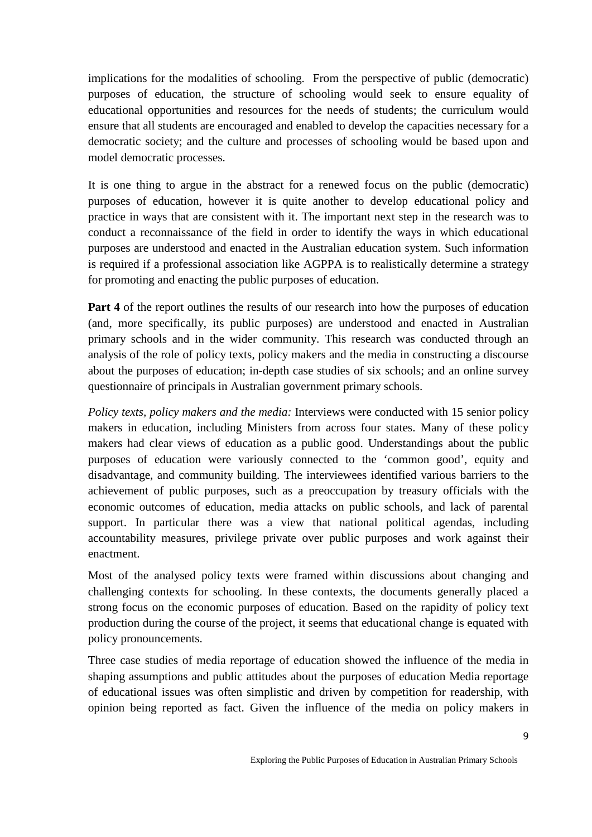implications for the modalities of schooling. From the perspective of public (democratic) purposes of education, the structure of schooling would seek to ensure equality of educational opportunities and resources for the needs of students; the curriculum would ensure that all students are encouraged and enabled to develop the capacities necessary for a democratic society; and the culture and processes of schooling would be based upon and model democratic processes.

It is one thing to argue in the abstract for a renewed focus on the public (democratic) purposes of education, however it is quite another to develop educational policy and practice in ways that are consistent with it. The important next step in the research was to conduct a reconnaissance of the field in order to identify the ways in which educational purposes are understood and enacted in the Australian education system. Such information is required if a professional association like AGPPA is to realistically determine a strategy for promoting and enacting the public purposes of education.

**Part 4** of the report outlines the results of our research into how the purposes of education (and, more specifically, its public purposes) are understood and enacted in Australian primary schools and in the wider community. This research was conducted through an analysis of the role of policy texts, policy makers and the media in constructing a discourse about the purposes of education; in-depth case studies of six schools; and an online survey questionnaire of principals in Australian government primary schools.

*Policy texts, policy makers and the media:* Interviews were conducted with 15 senior policy makers in education, including Ministers from across four states. Many of these policy makers had clear views of education as a public good. Understandings about the public purposes of education were variously connected to the 'common good', equity and disadvantage, and community building. The interviewees identified various barriers to the achievement of public purposes, such as a preoccupation by treasury officials with the economic outcomes of education, media attacks on public schools, and lack of parental support. In particular there was a view that national political agendas, including accountability measures, privilege private over public purposes and work against their enactment.

Most of the analysed policy texts were framed within discussions about changing and challenging contexts for schooling. In these contexts, the documents generally placed a strong focus on the economic purposes of education. Based on the rapidity of policy text production during the course of the project, it seems that educational change is equated with policy pronouncements.

Three case studies of media reportage of education showed the influence of the media in shaping assumptions and public attitudes about the purposes of education Media reportage of educational issues was often simplistic and driven by competition for readership, with opinion being reported as fact. Given the influence of the media on policy makers in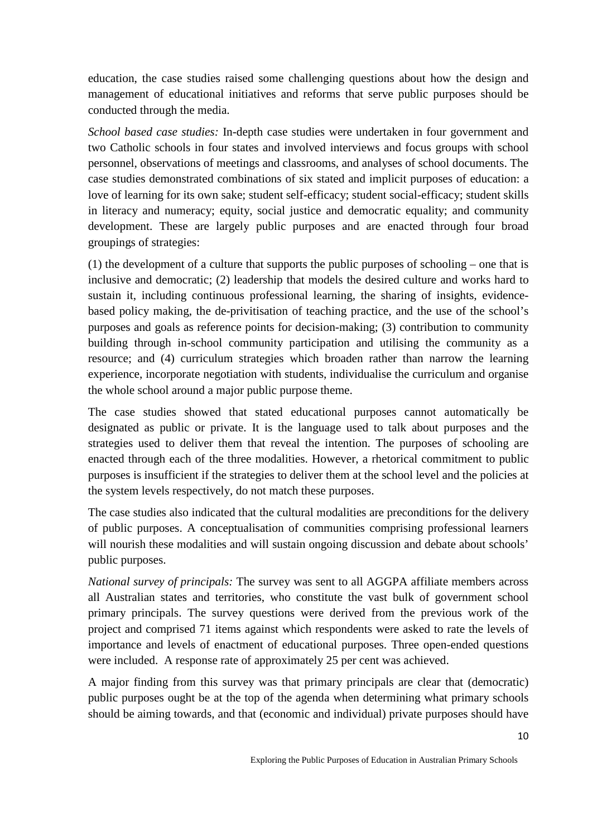education, the case studies raised some challenging questions about how the design and management of educational initiatives and reforms that serve public purposes should be conducted through the media.

*School based case studies:* In-depth case studies were undertaken in four government and two Catholic schools in four states and involved interviews and focus groups with school personnel, observations of meetings and classrooms, and analyses of school documents. The case studies demonstrated combinations of six stated and implicit purposes of education: a love of learning for its own sake; student self-efficacy; student social-efficacy; student skills in literacy and numeracy; equity, social justice and democratic equality; and community development. These are largely public purposes and are enacted through four broad groupings of strategies:

(1) the development of a culture that supports the public purposes of schooling – one that is inclusive and democratic; (2) leadership that models the desired culture and works hard to sustain it, including continuous professional learning, the sharing of insights, evidencebased policy making, the de-privitisation of teaching practice, and the use of the school's purposes and goals as reference points for decision-making; (3) contribution to community building through in-school community participation and utilising the community as a resource; and (4) curriculum strategies which broaden rather than narrow the learning experience, incorporate negotiation with students, individualise the curriculum and organise the whole school around a major public purpose theme.

The case studies showed that stated educational purposes cannot automatically be designated as public or private. It is the language used to talk about purposes and the strategies used to deliver them that reveal the intention. The purposes of schooling are enacted through each of the three modalities. However, a rhetorical commitment to public purposes is insufficient if the strategies to deliver them at the school level and the policies at the system levels respectively, do not match these purposes.

The case studies also indicated that the cultural modalities are preconditions for the delivery of public purposes. A conceptualisation of communities comprising professional learners will nourish these modalities and will sustain ongoing discussion and debate about schools' public purposes.

*National survey of principals:* The survey was sent to all AGGPA affiliate members across all Australian states and territories, who constitute the vast bulk of government school primary principals. The survey questions were derived from the previous work of the project and comprised 71 items against which respondents were asked to rate the levels of importance and levels of enactment of educational purposes. Three open-ended questions were included. A response rate of approximately 25 per cent was achieved.

A major finding from this survey was that primary principals are clear that (democratic) public purposes ought be at the top of the agenda when determining what primary schools should be aiming towards, and that (economic and individual) private purposes should have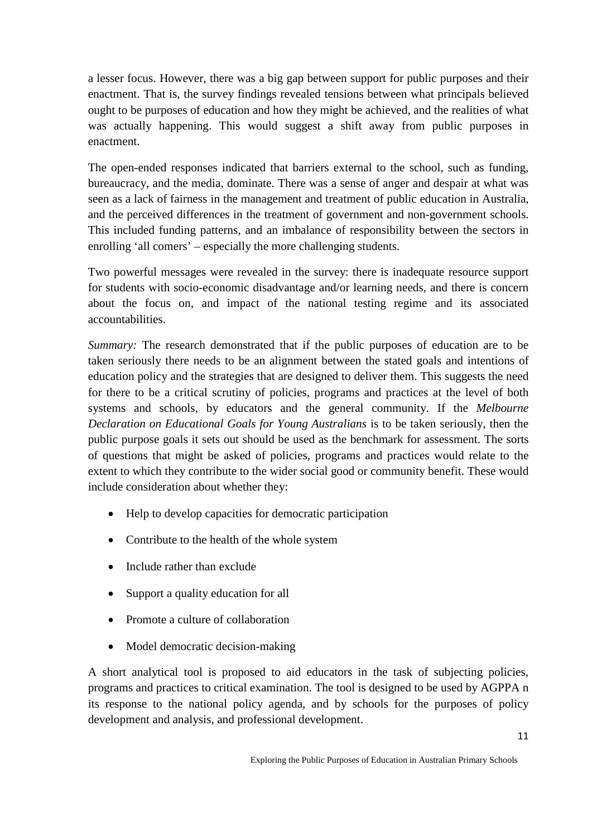a lesser focus. However, there was a big gap between support for public purposes and their enactment. That is, the survey findings revealed tensions between what principals believed ought to be purposes of education and how they might be achieved, and the realities of what was actually happening. This would suggest a shift away from public purposes in enactment.

The open-ended responses indicated that barriers external to the school, such as funding, bureaucracy, and the media, dominate. There was a sense of anger and despair at what was seen as a lack of fairness in the management and treatment of public education in Australia, and the perceived differences in the treatment of government and non-government schools. This included funding patterns, and an imbalance of responsibility between the sectors in enrolling 'all comers' – especially the more challenging students.

Two powerful messages were revealed in the survey: there is inadequate resource support for students with socio-economic disadvantage and/or learning needs, and there is concern about the focus on, and impact of the national testing regime and its associated accountabilities.

*Summary:* The research demonstrated that if the public purposes of education are to be taken seriously there needs to be an alignment between the stated goals and intentions of education policy and the strategies that are designed to deliver them. This suggests the need for there to be a critical scrutiny of policies, programs and practices at the level of both systems and schools, by educators and the general community. If the *Melbourne Declaration on Educational Goals for Young Australians* is to be taken seriously, then the public purpose goals it sets out should be used as the benchmark for assessment. The sorts of questions that might be asked of policies, programs and practices would relate to the extent to which they contribute to the wider social good or community benefit. These would include consideration about whether they:

- Help to develop capacities for democratic participation
- Contribute to the health of the whole system
- Include rather than exclude
- Support a quality education for all
- Promote a culture of collaboration
- Model democratic decision-making

A short analytical tool is proposed to aid educators in the task of subjecting policies, programs and practices to critical examination. The tool is designed to be used by AGPPA n its response to the national policy agenda, and by schools for the purposes of policy development and analysis, and professional development.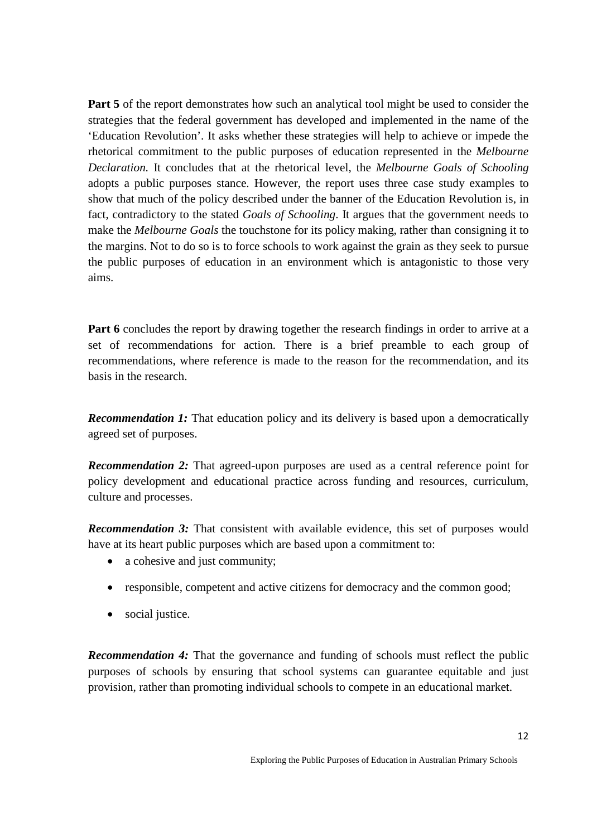**Part 5** of the report demonstrates how such an analytical tool might be used to consider the strategies that the federal government has developed and implemented in the name of the 'Education Revolution'. It asks whether these strategies will help to achieve or impede the rhetorical commitment to the public purposes of education represented in the *Melbourne Declaration.* It concludes that at the rhetorical level, the *Melbourne Goals of Schooling* adopts a public purposes stance. However, the report uses three case study examples to show that much of the policy described under the banner of the Education Revolution is, in fact, contradictory to the stated *Goals of Schooling*. It argues that the government needs to make the *Melbourne Goals* the touchstone for its policy making, rather than consigning it to the margins. Not to do so is to force schools to work against the grain as they seek to pursue the public purposes of education in an environment which is antagonistic to those very aims.

**Part 6** concludes the report by drawing together the research findings in order to arrive at a set of recommendations for action. There is a brief preamble to each group of recommendations, where reference is made to the reason for the recommendation, and its basis in the research.

*Recommendation 1:* That education policy and its delivery is based upon a democratically agreed set of purposes.

*Recommendation 2:* That agreed-upon purposes are used as a central reference point for policy development and educational practice across funding and resources, curriculum, culture and processes.

*Recommendation 3:* That consistent with available evidence, this set of purposes would have at its heart public purposes which are based upon a commitment to:

- a cohesive and just community;
- responsible, competent and active citizens for democracy and the common good;
- social justice.

*Recommendation 4:* That the governance and funding of schools must reflect the public purposes of schools by ensuring that school systems can guarantee equitable and just provision, rather than promoting individual schools to compete in an educational market.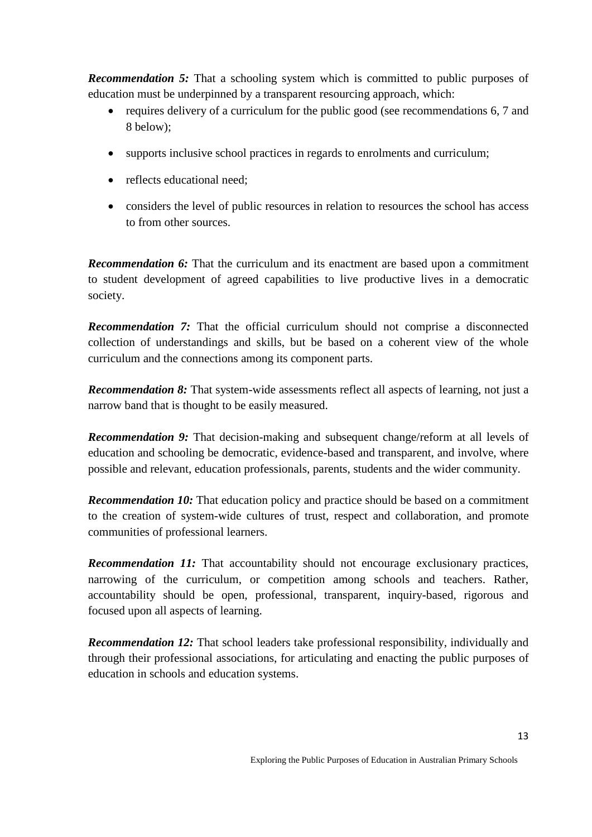**Recommendation 5:** That a schooling system which is committed to public purposes of education must be underpinned by a transparent resourcing approach, which:

- requires delivery of a curriculum for the public good (see recommendations 6, 7 and 8 below);
- supports inclusive school practices in regards to enrolments and curriculum;
- reflects educational need:
- considers the level of public resources in relation to resources the school has access to from other sources.

*Recommendation 6:* That the curriculum and its enactment are based upon a commitment to student development of agreed capabilities to live productive lives in a democratic society.

*Recommendation 7:* That the official curriculum should not comprise a disconnected collection of understandings and skills, but be based on a coherent view of the whole curriculum and the connections among its component parts.

*Recommendation 8:* That system-wide assessments reflect all aspects of learning, not just a narrow band that is thought to be easily measured.

*Recommendation 9:* That decision-making and subsequent change/reform at all levels of education and schooling be democratic, evidence-based and transparent, and involve, where possible and relevant, education professionals, parents, students and the wider community.

*Recommendation 10:* That education policy and practice should be based on a commitment to the creation of system-wide cultures of trust, respect and collaboration, and promote communities of professional learners.

*Recommendation 11:* That accountability should not encourage exclusionary practices, narrowing of the curriculum, or competition among schools and teachers. Rather, accountability should be open, professional, transparent, inquiry-based, rigorous and focused upon all aspects of learning.

*Recommendation 12:* That school leaders take professional responsibility, individually and through their professional associations, for articulating and enacting the public purposes of education in schools and education systems.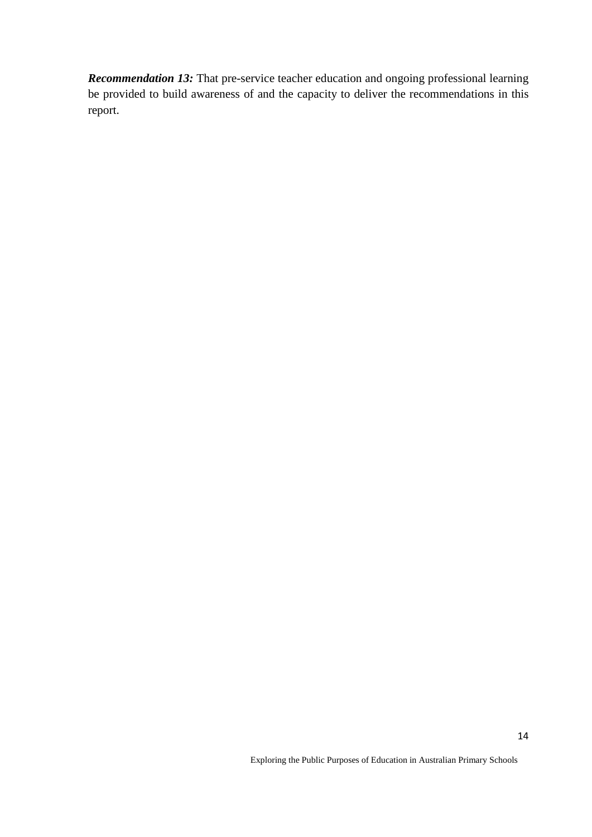<span id="page-13-0"></span>*Recommendation 13:* That pre-service teacher education and ongoing professional learning be provided to build awareness of and the capacity to deliver the recommendations in this report.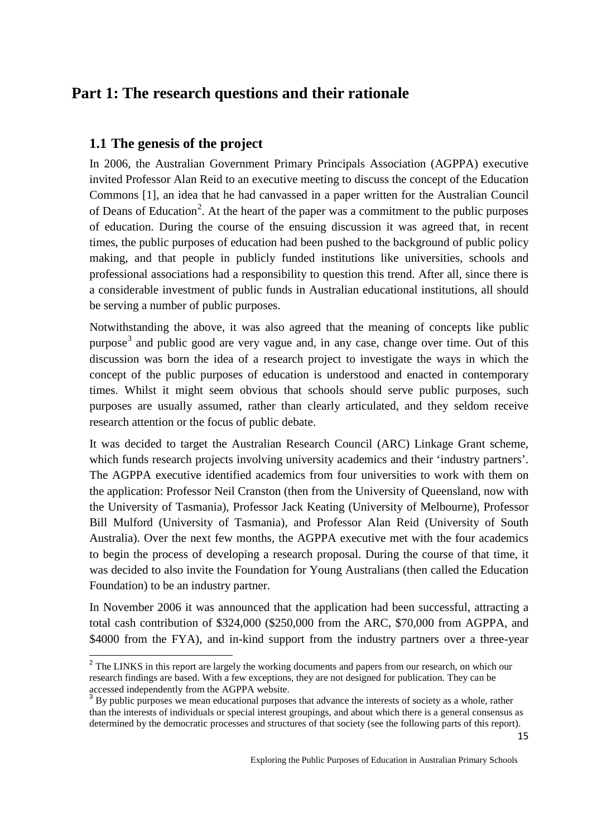## **Part 1: The research questions and their rationale**

## <span id="page-14-0"></span>**1.1 The genesis of the project**

In 2006, the Australian Government Primary Principals Association (AGPPA) executive invited Professor Alan Reid to an executive meeting to discuss the concept of the Education Commons [1], an idea that he had canvassed in a paper written for the Australian Council of Deans of Education<sup>[2](#page-14-1)</sup>. At the heart of the paper was a commitment to the public purposes of education. During the course of the ensuing discussion it was agreed that, in recent times, the public purposes of education had been pushed to the background of public policy making, and that people in publicly funded institutions like universities, schools and professional associations had a responsibility to question this trend. After all, since there is a considerable investment of public funds in Australian educational institutions, all should be serving a number of public purposes.

Notwithstanding the above, it was also agreed that the meaning of concepts like public purpose<sup>[3](#page-14-2)</sup> and public good are very vague and, in any case, change over time. Out of this discussion was born the idea of a research project to investigate the ways in which the concept of the public purposes of education is understood and enacted in contemporary times. Whilst it might seem obvious that schools should serve public purposes, such purposes are usually assumed, rather than clearly articulated, and they seldom receive research attention or the focus of public debate.

It was decided to target the Australian Research Council (ARC) Linkage Grant scheme, which funds research projects involving university academics and their 'industry partners'. The AGPPA executive identified academics from four universities to work with them on the application: Professor Neil Cranston (then from the University of Queensland, now with the University of Tasmania), Professor Jack Keating (University of Melbourne), Professor Bill Mulford (University of Tasmania), and Professor Alan Reid (University of South Australia). Over the next few months, the AGPPA executive met with the four academics to begin the process of developing a research proposal. During the course of that time, it was decided to also invite the Foundation for Young Australians (then called the Education Foundation) to be an industry partner.

In November 2006 it was announced that the application had been successful, attracting a total cash contribution of \$324,000 (\$250,000 from the ARC, \$70,000 from AGPPA, and \$4000 from the FYA), and in-kind support from the industry partners over a three-year

<span id="page-14-1"></span><sup>&</sup>lt;sup>2</sup> The LINKS in this report are largely the working documents and papers from our research, on which our research findings are based. With a few exceptions, they are not designed for publication. They can be accessed independently from the AGPPA website.

<span id="page-14-2"></span><sup>&</sup>lt;sup>3</sup> By public purposes we mean educational purposes that advance the interests of society as a whole, rather than the interests of individuals or special interest groupings, and about which there is a general consensus as determined by the democratic processes and structures of that society (see the following parts of this report).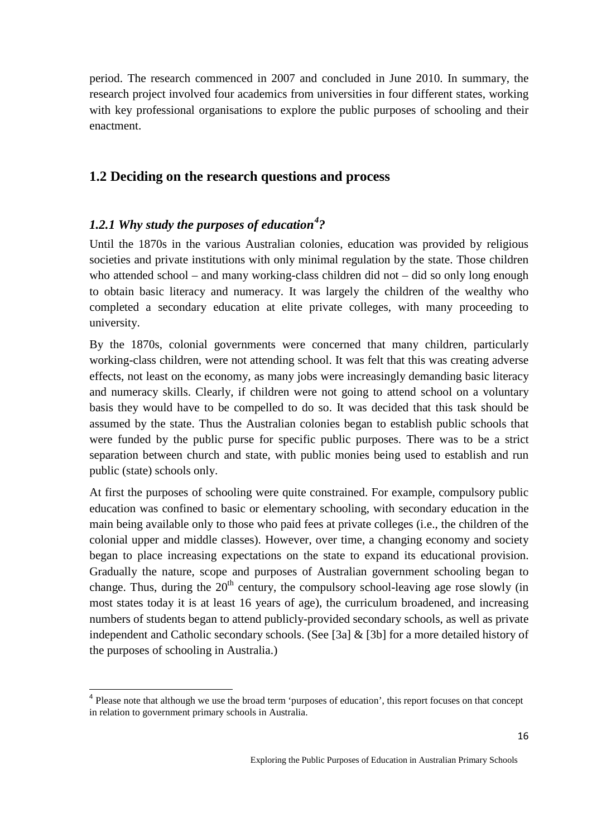period. The research commenced in 2007 and concluded in June 2010. In summary, the research project involved four academics from universities in four different states, working with key professional organisations to explore the public purposes of schooling and their enactment.

### <span id="page-15-0"></span>**1.2 Deciding on the research questions and process**

## <span id="page-15-1"></span>*1.2.1 Why study the purposes of education[4](#page-15-2) ?*

Until the 1870s in the various Australian colonies, education was provided by religious societies and private institutions with only minimal regulation by the state. Those children who attended school – and many working-class children did not – did so only long enough to obtain basic literacy and numeracy. It was largely the children of the wealthy who completed a secondary education at elite private colleges, with many proceeding to university.

By the 1870s, colonial governments were concerned that many children, particularly working-class children, were not attending school. It was felt that this was creating adverse effects, not least on the economy, as many jobs were increasingly demanding basic literacy and numeracy skills. Clearly, if children were not going to attend school on a voluntary basis they would have to be compelled to do so. It was decided that this task should be assumed by the state. Thus the Australian colonies began to establish public schools that were funded by the public purse for specific public purposes. There was to be a strict separation between church and state, with public monies being used to establish and run public (state) schools only.

At first the purposes of schooling were quite constrained. For example, compulsory public education was confined to basic or elementary schooling, with secondary education in the main being available only to those who paid fees at private colleges (i.e., the children of the colonial upper and middle classes). However, over time, a changing economy and society began to place increasing expectations on the state to expand its educational provision. Gradually the nature, scope and purposes of Australian government schooling began to change. Thus, during the  $20<sup>th</sup>$  century, the compulsory school-leaving age rose slowly (in most states today it is at least 16 years of age), the curriculum broadened, and increasing numbers of students began to attend publicly-provided secondary schools, as well as private independent and Catholic secondary schools. (See [3a] & [3b] for a more detailed history of the purposes of schooling in Australia.)

<span id="page-15-2"></span><sup>&</sup>lt;sup>4</sup> Please note that although we use the broad term 'purposes of education', this report focuses on that concept in relation to government primary schools in Australia.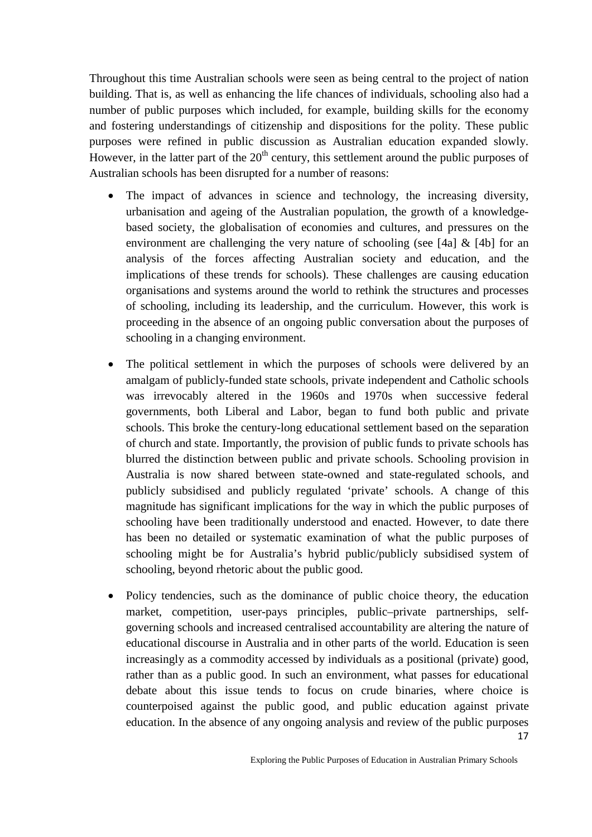Throughout this time Australian schools were seen as being central to the project of nation building. That is, as well as enhancing the life chances of individuals, schooling also had a number of public purposes which included, for example, building skills for the economy and fostering understandings of citizenship and dispositions for the polity. These public purposes were refined in public discussion as Australian education expanded slowly. However, in the latter part of the  $20<sup>th</sup>$  century, this settlement around the public purposes of Australian schools has been disrupted for a number of reasons:

- The impact of advances in science and technology, the increasing diversity, urbanisation and ageing of the Australian population, the growth of a knowledgebased society, the globalisation of economies and cultures, and pressures on the environment are challenging the very nature of schooling (see [4a]  $\&$  [4b] for an analysis of the forces affecting Australian society and education, and the implications of these trends for schools). These challenges are causing education organisations and systems around the world to rethink the structures and processes of schooling, including its leadership, and the curriculum. However, this work is proceeding in the absence of an ongoing public conversation about the purposes of schooling in a changing environment.
- The political settlement in which the purposes of schools were delivered by an amalgam of publicly-funded state schools, private independent and Catholic schools was irrevocably altered in the 1960s and 1970s when successive federal governments, both Liberal and Labor, began to fund both public and private schools. This broke the century-long educational settlement based on the separation of church and state. Importantly, the provision of public funds to private schools has blurred the distinction between public and private schools. Schooling provision in Australia is now shared between state-owned and state-regulated schools, and publicly subsidised and publicly regulated 'private' schools. A change of this magnitude has significant implications for the way in which the public purposes of schooling have been traditionally understood and enacted. However, to date there has been no detailed or systematic examination of what the public purposes of schooling might be for Australia's hybrid public/publicly subsidised system of schooling, beyond rhetoric about the public good.
- 17 • Policy tendencies, such as the dominance of public choice theory, the education market, competition, user-pays principles, public–private partnerships, selfgoverning schools and increased centralised accountability are altering the nature of educational discourse in Australia and in other parts of the world. Education is seen increasingly as a commodity accessed by individuals as a positional (private) good, rather than as a public good. In such an environment, what passes for educational debate about this issue tends to focus on crude binaries, where choice is counterpoised against the public good, and public education against private education. In the absence of any ongoing analysis and review of the public purposes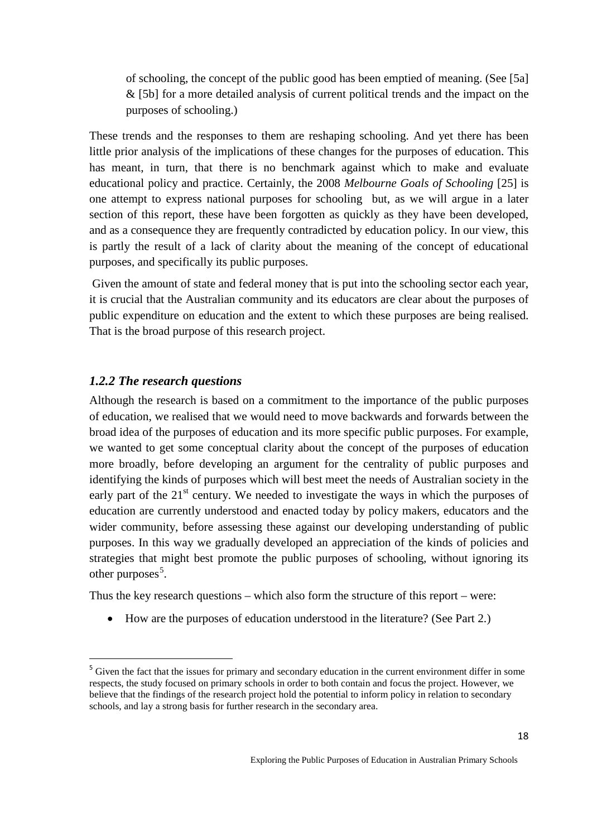of schooling, the concept of the public good has been emptied of meaning. (See [5a] & [5b] for a more detailed analysis of current political trends and the impact on the purposes of schooling.)

These trends and the responses to them are reshaping schooling. And yet there has been little prior analysis of the implications of these changes for the purposes of education. This has meant, in turn, that there is no benchmark against which to make and evaluate educational policy and practice. Certainly, the 2008 *Melbourne Goals of Schooling* [25] is one attempt to express national purposes for schooling but, as we will argue in a later section of this report, these have been forgotten as quickly as they have been developed, and as a consequence they are frequently contradicted by education policy. In our view, this is partly the result of a lack of clarity about the meaning of the concept of educational purposes, and specifically its public purposes.

Given the amount of state and federal money that is put into the schooling sector each year, it is crucial that the Australian community and its educators are clear about the purposes of public expenditure on education and the extent to which these purposes are being realised. That is the broad purpose of this research project.

#### <span id="page-17-0"></span>*1.2.2 The research questions*

Although the research is based on a commitment to the importance of the public purposes of education, we realised that we would need to move backwards and forwards between the broad idea of the purposes of education and its more specific public purposes. For example, we wanted to get some conceptual clarity about the concept of the purposes of education more broadly, before developing an argument for the centrality of public purposes and identifying the kinds of purposes which will best meet the needs of Australian society in the early part of the  $21<sup>st</sup>$  century. We needed to investigate the ways in which the purposes of education are currently understood and enacted today by policy makers, educators and the wider community, before assessing these against our developing understanding of public purposes. In this way we gradually developed an appreciation of the kinds of policies and strategies that might best promote the public purposes of schooling, without ignoring its other purposes<sup>[5](#page-17-1)</sup>.

Thus the key research questions – which also form the structure of this report – were:

• How are the purposes of education understood in the literature? (See Part 2.)

<span id="page-17-1"></span><sup>&</sup>lt;sup>5</sup> Given the fact that the issues for primary and secondary education in the current environment differ in some respects, the study focused on primary schools in order to both contain and focus the project. However, we believe that the findings of the research project hold the potential to inform policy in relation to secondary schools, and lay a strong basis for further research in the secondary area.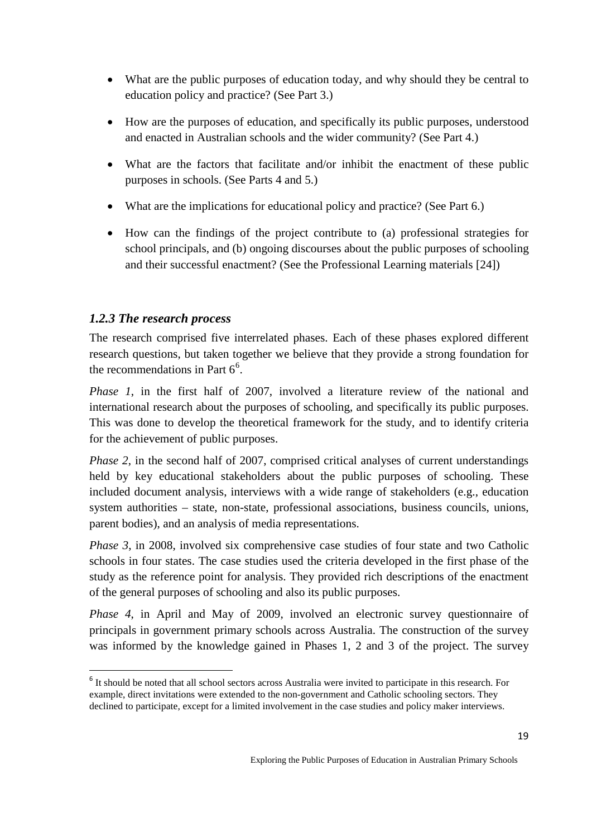- What are the public purposes of education today, and why should they be central to education policy and practice? (See Part 3.)
- How are the purposes of education, and specifically its public purposes, understood and enacted in Australian schools and the wider community? (See Part 4.)
- What are the factors that facilitate and/or inhibit the enactment of these public purposes in schools. (See Parts 4 and 5.)
- What are the implications for educational policy and practice? (See Part 6.)
- How can the findings of the project contribute to (a) professional strategies for school principals, and (b) ongoing discourses about the public purposes of schooling and their successful enactment? (See the Professional Learning materials [24])

## <span id="page-18-0"></span>*1.2.3 The research process*

The research comprised five interrelated phases. Each of these phases explored different research questions, but taken together we believe that they provide a strong foundation for the recommendations in Part  $6<sup>6</sup>$  $6<sup>6</sup>$ .

*Phase 1*, in the first half of 2007, involved a literature review of the national and international research about the purposes of schooling, and specifically its public purposes. This was done to develop the theoretical framework for the study, and to identify criteria for the achievement of public purposes.

*Phase 2*, in the second half of 2007, comprised critical analyses of current understandings held by key educational stakeholders about the public purposes of schooling. These included document analysis, interviews with a wide range of stakeholders (e.g., education system authorities – state, non-state, professional associations, business councils, unions, parent bodies), and an analysis of media representations.

*Phase 3*, in 2008, involved six comprehensive case studies of four state and two Catholic schools in four states. The case studies used the criteria developed in the first phase of the study as the reference point for analysis. They provided rich descriptions of the enactment of the general purposes of schooling and also its public purposes.

*Phase 4*, in April and May of 2009, involved an electronic survey questionnaire of principals in government primary schools across Australia. The construction of the survey was informed by the knowledge gained in Phases 1, 2 and 3 of the project. The survey

<span id="page-18-1"></span><sup>&</sup>lt;sup>6</sup> It should be noted that all school sectors across Australia were invited to participate in this research. For example, direct invitations were extended to the non-government and Catholic schooling sectors. They declined to participate, except for a limited involvement in the case studies and policy maker interviews.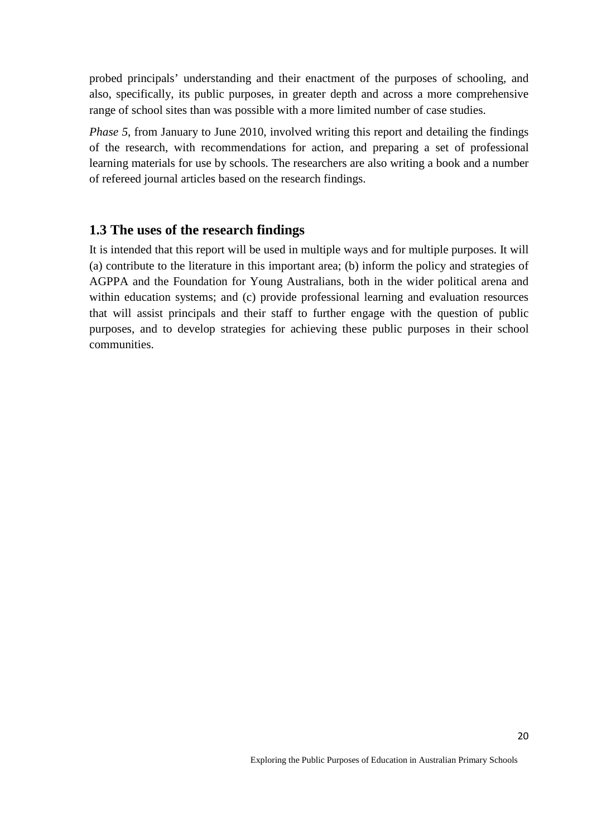probed principals' understanding and their enactment of the purposes of schooling, and also, specifically, its public purposes, in greater depth and across a more comprehensive range of school sites than was possible with a more limited number of case studies.

*Phase 5*, from January to June 2010, involved writing this report and detailing the findings of the research, with recommendations for action, and preparing a set of professional learning materials for use by schools. The researchers are also writing a book and a number of refereed journal articles based on the research findings.

### <span id="page-19-0"></span>**1.3 The uses of the research findings**

It is intended that this report will be used in multiple ways and for multiple purposes. It will (a) contribute to the literature in this important area; (b) inform the policy and strategies of AGPPA and the Foundation for Young Australians, both in the wider political arena and within education systems; and (c) provide professional learning and evaluation resources that will assist principals and their staff to further engage with the question of public purposes, and to develop strategies for achieving these public purposes in their school communities.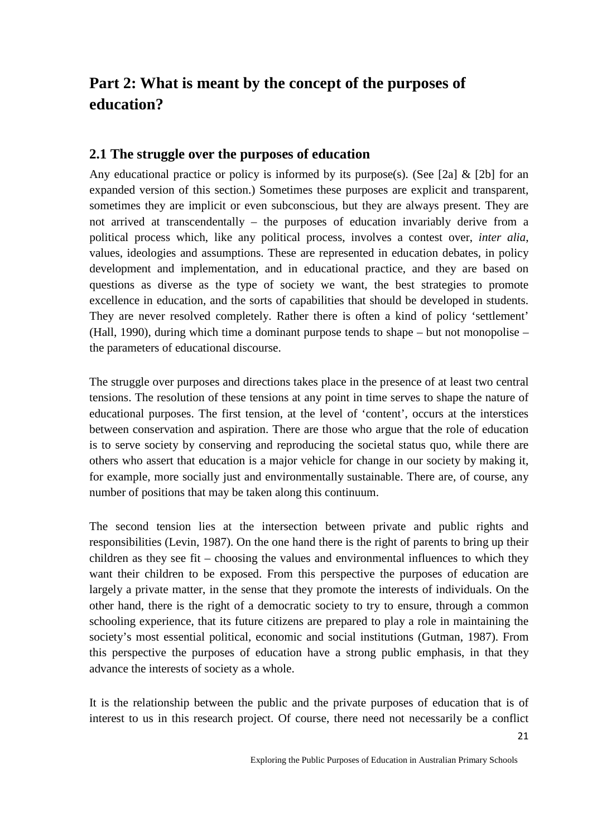# <span id="page-20-0"></span>**Part 2: What is meant by the concept of the purposes of education?**

## <span id="page-20-1"></span>**2.1 The struggle over the purposes of education**

Any educational practice or policy is informed by its purpose(s). (See [2a]  $\&$  [2b] for an expanded version of this section.) Sometimes these purposes are explicit and transparent, sometimes they are implicit or even subconscious, but they are always present. They are not arrived at transcendentally – the purposes of education invariably derive from a political process which, like any political process, involves a contest over, *inter alia*, values, ideologies and assumptions. These are represented in education debates, in policy development and implementation, and in educational practice, and they are based on questions as diverse as the type of society we want, the best strategies to promote excellence in education, and the sorts of capabilities that should be developed in students. They are never resolved completely. Rather there is often a kind of policy 'settlement' (Hall, 1990), during which time a dominant purpose tends to shape – but not monopolise – the parameters of educational discourse.

The struggle over purposes and directions takes place in the presence of at least two central tensions. The resolution of these tensions at any point in time serves to shape the nature of educational purposes. The first tension, at the level of 'content', occurs at the interstices between conservation and aspiration. There are those who argue that the role of education is to serve society by conserving and reproducing the societal status quo, while there are others who assert that education is a major vehicle for change in our society by making it, for example, more socially just and environmentally sustainable. There are, of course, any number of positions that may be taken along this continuum.

The second tension lies at the intersection between private and public rights and responsibilities (Levin, 1987). On the one hand there is the right of parents to bring up their children as they see fit – choosing the values and environmental influences to which they want their children to be exposed. From this perspective the purposes of education are largely a private matter, in the sense that they promote the interests of individuals. On the other hand, there is the right of a democratic society to try to ensure, through a common schooling experience, that its future citizens are prepared to play a role in maintaining the society's most essential political, economic and social institutions (Gutman, 1987). From this perspective the purposes of education have a strong public emphasis, in that they advance the interests of society as a whole.

It is the relationship between the public and the private purposes of education that is of interest to us in this research project. Of course, there need not necessarily be a conflict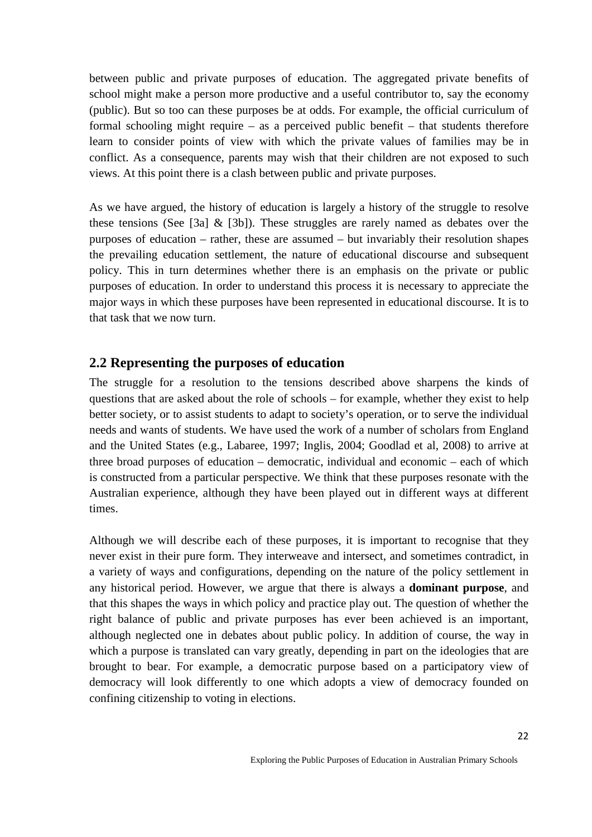between public and private purposes of education. The aggregated private benefits of school might make a person more productive and a useful contributor to, say the economy (public). But so too can these purposes be at odds. For example, the official curriculum of formal schooling might require – as a perceived public benefit – that students therefore learn to consider points of view with which the private values of families may be in conflict. As a consequence, parents may wish that their children are not exposed to such views. At this point there is a clash between public and private purposes.

As we have argued, the history of education is largely a history of the struggle to resolve these tensions (See [3a]  $\&$  [3b]). These struggles are rarely named as debates over the purposes of education – rather, these are assumed – but invariably their resolution shapes the prevailing education settlement, the nature of educational discourse and subsequent policy. This in turn determines whether there is an emphasis on the private or public purposes of education. In order to understand this process it is necessary to appreciate the major ways in which these purposes have been represented in educational discourse. It is to that task that we now turn.

### <span id="page-21-0"></span>**2.2 Representing the purposes of education**

The struggle for a resolution to the tensions described above sharpens the kinds of questions that are asked about the role of schools – for example, whether they exist to help better society, or to assist students to adapt to society's operation, or to serve the individual needs and wants of students. We have used the work of a number of scholars from England and the United States (e.g., Labaree, 1997; Inglis, 2004; Goodlad et al, 2008) to arrive at three broad purposes of education – democratic, individual and economic – each of which is constructed from a particular perspective. We think that these purposes resonate with the Australian experience, although they have been played out in different ways at different times.

Although we will describe each of these purposes, it is important to recognise that they never exist in their pure form. They interweave and intersect, and sometimes contradict, in a variety of ways and configurations, depending on the nature of the policy settlement in any historical period. However, we argue that there is always a **dominant purpose**, and that this shapes the ways in which policy and practice play out. The question of whether the right balance of public and private purposes has ever been achieved is an important, although neglected one in debates about public policy. In addition of course, the way in which a purpose is translated can vary greatly, depending in part on the ideologies that are brought to bear. For example, a democratic purpose based on a participatory view of democracy will look differently to one which adopts a view of democracy founded on confining citizenship to voting in elections.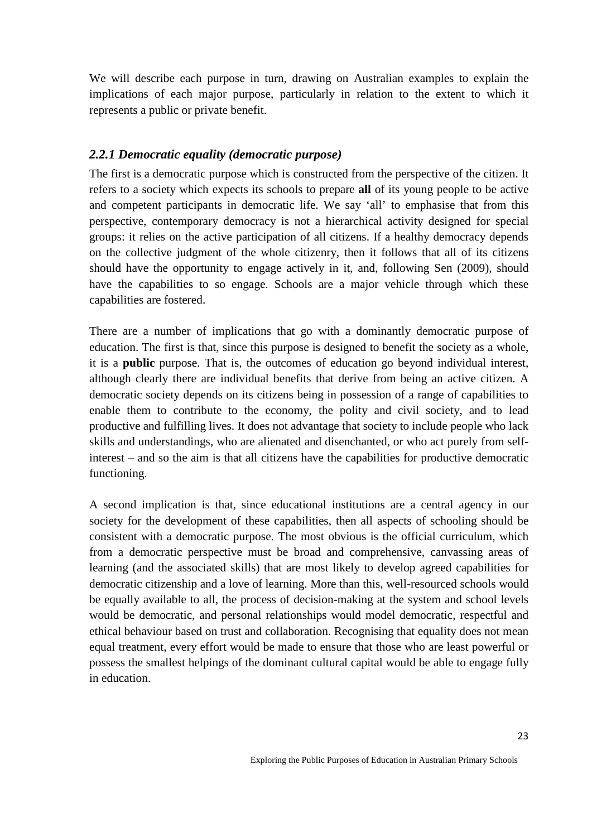We will describe each purpose in turn, drawing on Australian examples to explain the implications of each major purpose, particularly in relation to the extent to which it represents a public or private benefit.

#### <span id="page-22-0"></span>*2.2.1 Democratic equality (democratic purpose)*

The first is a democratic purpose which is constructed from the perspective of the citizen. It refers to a society which expects its schools to prepare **all** of its young people to be active and competent participants in democratic life. We say 'all' to emphasise that from this perspective, contemporary democracy is not a hierarchical activity designed for special groups: it relies on the active participation of all citizens. If a healthy democracy depends on the collective judgment of the whole citizenry, then it follows that all of its citizens should have the opportunity to engage actively in it, and, following Sen (2009), should have the capabilities to so engage. Schools are a major vehicle through which these capabilities are fostered.

There are a number of implications that go with a dominantly democratic purpose of education. The first is that, since this purpose is designed to benefit the society as a whole, it is a **public** purpose. That is, the outcomes of education go beyond individual interest, although clearly there are individual benefits that derive from being an active citizen. A democratic society depends on its citizens being in possession of a range of capabilities to enable them to contribute to the economy, the polity and civil society, and to lead productive and fulfilling lives. It does not advantage that society to include people who lack skills and understandings, who are alienated and disenchanted, or who act purely from selfinterest – and so the aim is that all citizens have the capabilities for productive democratic functioning.

A second implication is that, since educational institutions are a central agency in our society for the development of these capabilities, then all aspects of schooling should be consistent with a democratic purpose. The most obvious is the official curriculum, which from a democratic perspective must be broad and comprehensive, canvassing areas of learning (and the associated skills) that are most likely to develop agreed capabilities for democratic citizenship and a love of learning. More than this, well-resourced schools would be equally available to all, the process of decision-making at the system and school levels would be democratic, and personal relationships would model democratic, respectful and ethical behaviour based on trust and collaboration. Recognising that equality does not mean equal treatment, every effort would be made to ensure that those who are least powerful or possess the smallest helpings of the dominant cultural capital would be able to engage fully in education.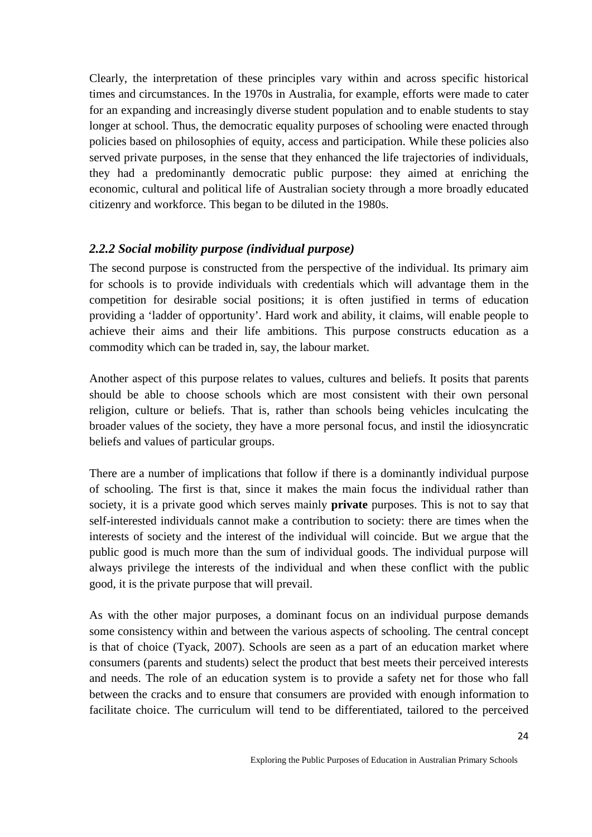Clearly, the interpretation of these principles vary within and across specific historical times and circumstances. In the 1970s in Australia, for example, efforts were made to cater for an expanding and increasingly diverse student population and to enable students to stay longer at school. Thus, the democratic equality purposes of schooling were enacted through policies based on philosophies of equity, access and participation. While these policies also served private purposes, in the sense that they enhanced the life trajectories of individuals, they had a predominantly democratic public purpose: they aimed at enriching the economic, cultural and political life of Australian society through a more broadly educated citizenry and workforce. This began to be diluted in the 1980s.

### <span id="page-23-0"></span>*2.2.2 Social mobility purpose (individual purpose)*

The second purpose is constructed from the perspective of the individual. Its primary aim for schools is to provide individuals with credentials which will advantage them in the competition for desirable social positions; it is often justified in terms of education providing a 'ladder of opportunity'. Hard work and ability, it claims, will enable people to achieve their aims and their life ambitions. This purpose constructs education as a commodity which can be traded in, say, the labour market.

Another aspect of this purpose relates to values, cultures and beliefs. It posits that parents should be able to choose schools which are most consistent with their own personal religion, culture or beliefs. That is, rather than schools being vehicles inculcating the broader values of the society, they have a more personal focus, and instil the idiosyncratic beliefs and values of particular groups.

There are a number of implications that follow if there is a dominantly individual purpose of schooling. The first is that, since it makes the main focus the individual rather than society, it is a private good which serves mainly **private** purposes. This is not to say that self-interested individuals cannot make a contribution to society: there are times when the interests of society and the interest of the individual will coincide. But we argue that the public good is much more than the sum of individual goods. The individual purpose will always privilege the interests of the individual and when these conflict with the public good, it is the private purpose that will prevail.

As with the other major purposes, a dominant focus on an individual purpose demands some consistency within and between the various aspects of schooling. The central concept is that of choice (Tyack, 2007). Schools are seen as a part of an education market where consumers (parents and students) select the product that best meets their perceived interests and needs. The role of an education system is to provide a safety net for those who fall between the cracks and to ensure that consumers are provided with enough information to facilitate choice. The curriculum will tend to be differentiated, tailored to the perceived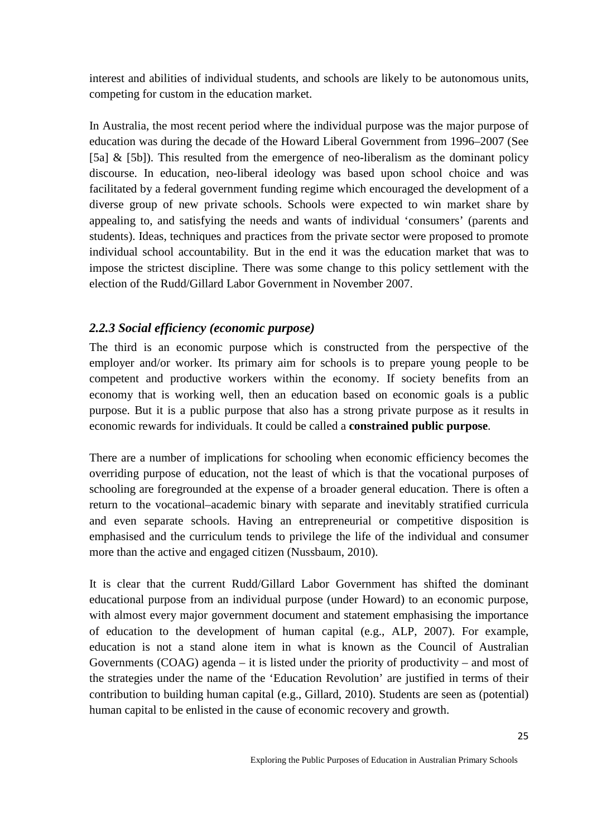interest and abilities of individual students, and schools are likely to be autonomous units, competing for custom in the education market.

In Australia, the most recent period where the individual purpose was the major purpose of education was during the decade of the Howard Liberal Government from 1996–2007 (See [5a] & [5b]). This resulted from the emergence of neo-liberalism as the dominant policy discourse. In education, neo-liberal ideology was based upon school choice and was facilitated by a federal government funding regime which encouraged the development of a diverse group of new private schools. Schools were expected to win market share by appealing to, and satisfying the needs and wants of individual 'consumers' (parents and students). Ideas, techniques and practices from the private sector were proposed to promote individual school accountability. But in the end it was the education market that was to impose the strictest discipline. There was some change to this policy settlement with the election of the Rudd/Gillard Labor Government in November 2007.

#### <span id="page-24-0"></span>*2.2.3 Social efficiency (economic purpose)*

The third is an economic purpose which is constructed from the perspective of the employer and/or worker. Its primary aim for schools is to prepare young people to be competent and productive workers within the economy. If society benefits from an economy that is working well, then an education based on economic goals is a public purpose. But it is a public purpose that also has a strong private purpose as it results in economic rewards for individuals. It could be called a **constrained public purpose**.

There are a number of implications for schooling when economic efficiency becomes the overriding purpose of education, not the least of which is that the vocational purposes of schooling are foregrounded at the expense of a broader general education. There is often a return to the vocational–academic binary with separate and inevitably stratified curricula and even separate schools. Having an entrepreneurial or competitive disposition is emphasised and the curriculum tends to privilege the life of the individual and consumer more than the active and engaged citizen (Nussbaum, 2010).

It is clear that the current Rudd/Gillard Labor Government has shifted the dominant educational purpose from an individual purpose (under Howard) to an economic purpose, with almost every major government document and statement emphasising the importance of education to the development of human capital (e.g., ALP, 2007). For example, education is not a stand alone item in what is known as the Council of Australian Governments (COAG) agenda – it is listed under the priority of productivity – and most of the strategies under the name of the 'Education Revolution' are justified in terms of their contribution to building human capital (e.g., Gillard, 2010). Students are seen as (potential) human capital to be enlisted in the cause of economic recovery and growth.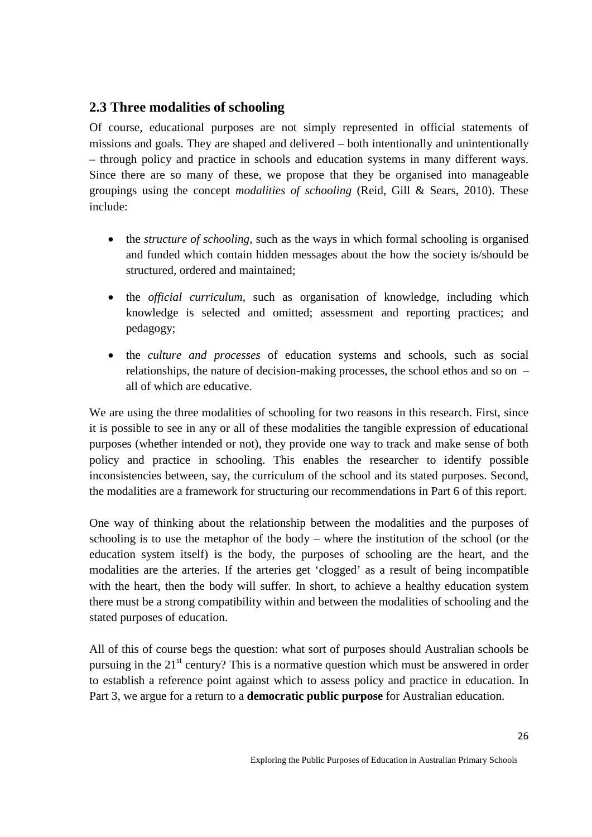## <span id="page-25-0"></span>**2.3 Three modalities of schooling**

Of course, educational purposes are not simply represented in official statements of missions and goals. They are shaped and delivered – both intentionally and unintentionally – through policy and practice in schools and education systems in many different ways. Since there are so many of these, we propose that they be organised into manageable groupings using the concept *modalities of schooling* (Reid, Gill & Sears, 2010). These include:

- the *structure of schooling*, such as the ways in which formal schooling is organised and funded which contain hidden messages about the how the society is/should be structured, ordered and maintained;
- the *official curriculum*, such as organisation of knowledge, including which knowledge is selected and omitted; assessment and reporting practices; and pedagogy;
- the *culture and processes* of education systems and schools, such as social relationships, the nature of decision-making processes, the school ethos and so on – all of which are educative.

We are using the three modalities of schooling for two reasons in this research. First, since it is possible to see in any or all of these modalities the tangible expression of educational purposes (whether intended or not), they provide one way to track and make sense of both policy and practice in schooling. This enables the researcher to identify possible inconsistencies between, say, the curriculum of the school and its stated purposes. Second, the modalities are a framework for structuring our recommendations in Part 6 of this report.

One way of thinking about the relationship between the modalities and the purposes of schooling is to use the metaphor of the body – where the institution of the school (or the education system itself) is the body, the purposes of schooling are the heart, and the modalities are the arteries. If the arteries get 'clogged' as a result of being incompatible with the heart, then the body will suffer. In short, to achieve a healthy education system there must be a strong compatibility within and between the modalities of schooling and the stated purposes of education.

All of this of course begs the question: what sort of purposes should Australian schools be pursuing in the  $21<sup>st</sup>$  century? This is a normative question which must be answered in order to establish a reference point against which to assess policy and practice in education. In Part 3, we argue for a return to a **democratic public purpose** for Australian education.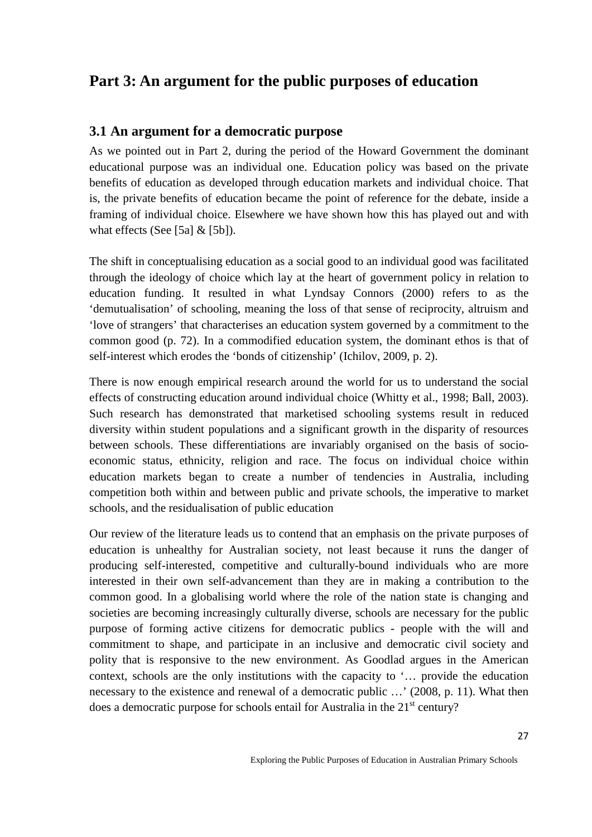## <span id="page-26-0"></span>**Part 3: An argument for the public purposes of education**

## <span id="page-26-1"></span>**3.1 An argument for a democratic purpose**

As we pointed out in Part 2, during the period of the Howard Government the dominant educational purpose was an individual one. Education policy was based on the private benefits of education as developed through education markets and individual choice. That is, the private benefits of education became the point of reference for the debate, inside a framing of individual choice. Elsewhere we have shown how this has played out and with what effects (See [5a]  $&$  [5b]).

The shift in conceptualising education as a social good to an individual good was facilitated through the ideology of choice which lay at the heart of government policy in relation to education funding. It resulted in what Lyndsay Connors (2000) refers to as the 'demutualisation' of schooling, meaning the loss of that sense of reciprocity, altruism and 'love of strangers' that characterises an education system governed by a commitment to the common good (p. 72). In a commodified education system, the dominant ethos is that of self-interest which erodes the 'bonds of citizenship' (Ichilov, 2009, p. 2).

There is now enough empirical research around the world for us to understand the social effects of constructing education around individual choice (Whitty et al., 1998; Ball, 2003). Such research has demonstrated that marketised schooling systems result in reduced diversity within student populations and a significant growth in the disparity of resources between schools. These differentiations are invariably organised on the basis of socioeconomic status, ethnicity, religion and race. The focus on individual choice within education markets began to create a number of tendencies in Australia, including competition both within and between public and private schools, the imperative to market schools, and the residualisation of public education

Our review of the literature leads us to contend that an emphasis on the private purposes of education is unhealthy for Australian society, not least because it runs the danger of producing self-interested, competitive and culturally-bound individuals who are more interested in their own self-advancement than they are in making a contribution to the common good. In a globalising world where the role of the nation state is changing and societies are becoming increasingly culturally diverse, schools are necessary for the public purpose of forming active citizens for democratic publics - people with the will and commitment to shape, and participate in an inclusive and democratic civil society and polity that is responsive to the new environment. As Goodlad argues in the American context, schools are the only institutions with the capacity to '… provide the education necessary to the existence and renewal of a democratic public ...' (2008, p. 11). What then does a democratic purpose for schools entail for Australia in the  $21<sup>st</sup>$  century?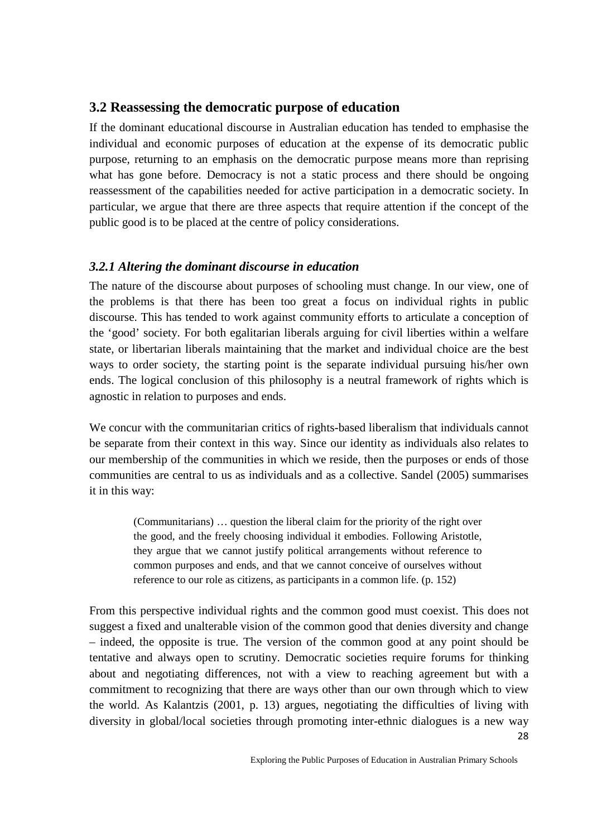## <span id="page-27-0"></span>**3.2 Reassessing the democratic purpose of education**

If the dominant educational discourse in Australian education has tended to emphasise the individual and economic purposes of education at the expense of its democratic public purpose, returning to an emphasis on the democratic purpose means more than reprising what has gone before. Democracy is not a static process and there should be ongoing reassessment of the capabilities needed for active participation in a democratic society. In particular, we argue that there are three aspects that require attention if the concept of the public good is to be placed at the centre of policy considerations.

### <span id="page-27-1"></span>*3.2.1 Altering the dominant discourse in education*

The nature of the discourse about purposes of schooling must change. In our view, one of the problems is that there has been too great a focus on individual rights in public discourse. This has tended to work against community efforts to articulate a conception of the 'good' society. For both egalitarian liberals arguing for civil liberties within a welfare state, or libertarian liberals maintaining that the market and individual choice are the best ways to order society, the starting point is the separate individual pursuing his/her own ends. The logical conclusion of this philosophy is a neutral framework of rights which is agnostic in relation to purposes and ends.

We concur with the communitarian critics of rights-based liberalism that individuals cannot be separate from their context in this way. Since our identity as individuals also relates to our membership of the communities in which we reside, then the purposes or ends of those communities are central to us as individuals and as a collective. Sandel (2005) summarises it in this way:

(Communitarians) … question the liberal claim for the priority of the right over the good, and the freely choosing individual it embodies. Following Aristotle, they argue that we cannot justify political arrangements without reference to common purposes and ends, and that we cannot conceive of ourselves without reference to our role as citizens, as participants in a common life. (p. 152)

28 From this perspective individual rights and the common good must coexist. This does not suggest a fixed and unalterable vision of the common good that denies diversity and change – indeed, the opposite is true. The version of the common good at any point should be tentative and always open to scrutiny. Democratic societies require forums for thinking about and negotiating differences, not with a view to reaching agreement but with a commitment to recognizing that there are ways other than our own through which to view the world. As Kalantzis (2001, p. 13) argues, negotiating the difficulties of living with diversity in global/local societies through promoting inter-ethnic dialogues is a new way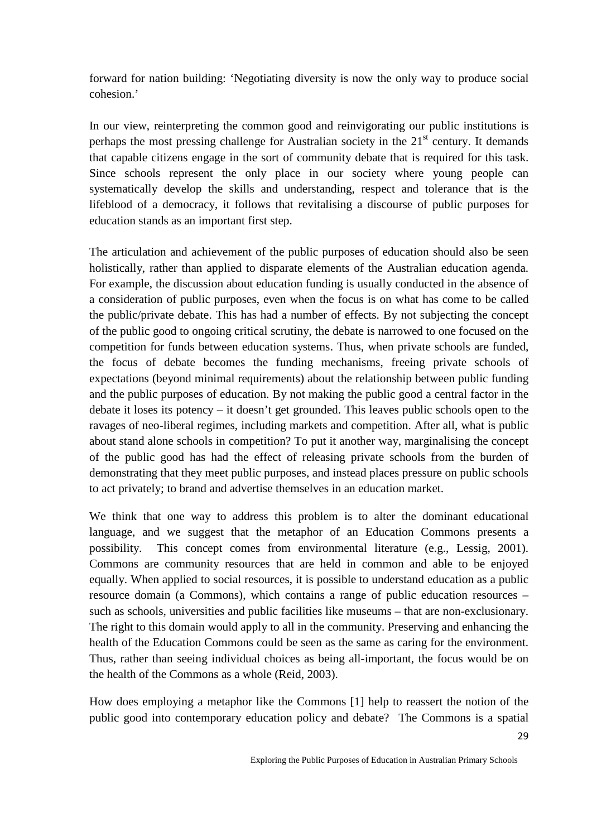forward for nation building: 'Negotiating diversity is now the only way to produce social cohesion.'

In our view, reinterpreting the common good and reinvigorating our public institutions is perhaps the most pressing challenge for Australian society in the  $21<sup>st</sup>$  century. It demands that capable citizens engage in the sort of community debate that is required for this task. Since schools represent the only place in our society where young people can systematically develop the skills and understanding, respect and tolerance that is the lifeblood of a democracy, it follows that revitalising a discourse of public purposes for education stands as an important first step.

The articulation and achievement of the public purposes of education should also be seen holistically, rather than applied to disparate elements of the Australian education agenda. For example, the discussion about education funding is usually conducted in the absence of a consideration of public purposes, even when the focus is on what has come to be called the public/private debate. This has had a number of effects. By not subjecting the concept of the public good to ongoing critical scrutiny, the debate is narrowed to one focused on the competition for funds between education systems. Thus, when private schools are funded, the focus of debate becomes the funding mechanisms, freeing private schools of expectations (beyond minimal requirements) about the relationship between public funding and the public purposes of education. By not making the public good a central factor in the debate it loses its potency – it doesn't get grounded. This leaves public schools open to the ravages of neo-liberal regimes, including markets and competition. After all, what is public about stand alone schools in competition? To put it another way, marginalising the concept of the public good has had the effect of releasing private schools from the burden of demonstrating that they meet public purposes, and instead places pressure on public schools to act privately; to brand and advertise themselves in an education market.

We think that one way to address this problem is to alter the dominant educational language, and we suggest that the metaphor of an Education Commons presents a possibility. This concept comes from environmental literature (e.g., Lessig, 2001). Commons are community resources that are held in common and able to be enjoyed equally. When applied to social resources, it is possible to understand education as a public resource domain (a Commons), which contains a range of public education resources – such as schools, universities and public facilities like museums – that are non-exclusionary. The right to this domain would apply to all in the community. Preserving and enhancing the health of the Education Commons could be seen as the same as caring for the environment. Thus, rather than seeing individual choices as being all-important, the focus would be on the health of the Commons as a whole (Reid, 2003).

How does employing a metaphor like the Commons [1] help to reassert the notion of the public good into contemporary education policy and debate? The Commons is a spatial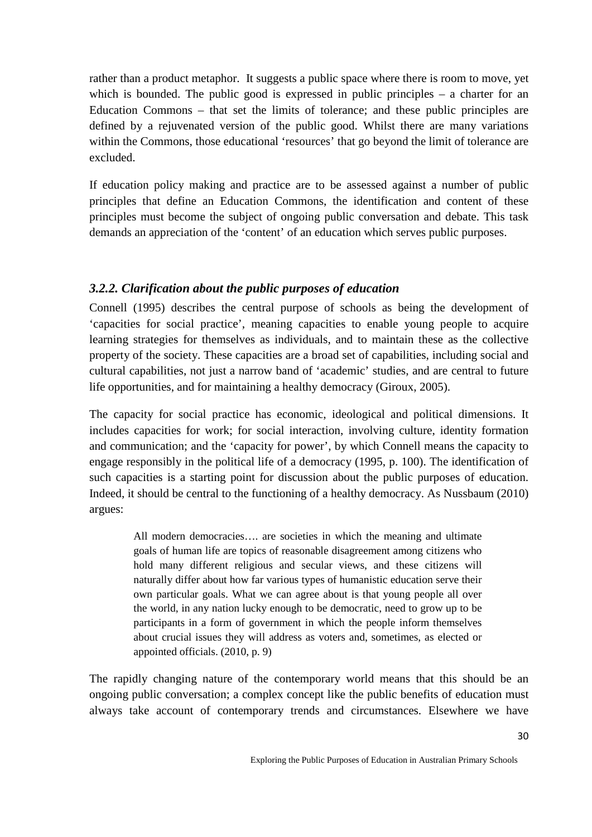rather than a product metaphor. It suggests a public space where there is room to move, yet which is bounded. The public good is expressed in public principles – a charter for an Education Commons – that set the limits of tolerance; and these public principles are defined by a rejuvenated version of the public good. Whilst there are many variations within the Commons, those educational 'resources' that go beyond the limit of tolerance are excluded.

If education policy making and practice are to be assessed against a number of public principles that define an Education Commons, the identification and content of these principles must become the subject of ongoing public conversation and debate. This task demands an appreciation of the 'content' of an education which serves public purposes.

## <span id="page-29-0"></span>*3.2.2. Clarification about the public purposes of education*

Connell (1995) describes the central purpose of schools as being the development of 'capacities for social practice', meaning capacities to enable young people to acquire learning strategies for themselves as individuals, and to maintain these as the collective property of the society. These capacities are a broad set of capabilities, including social and cultural capabilities, not just a narrow band of 'academic' studies, and are central to future life opportunities, and for maintaining a healthy democracy (Giroux, 2005).

The capacity for social practice has economic, ideological and political dimensions. It includes capacities for work; for social interaction, involving culture, identity formation and communication; and the 'capacity for power', by which Connell means the capacity to engage responsibly in the political life of a democracy (1995, p. 100). The identification of such capacities is a starting point for discussion about the public purposes of education. Indeed, it should be central to the functioning of a healthy democracy. As Nussbaum (2010) argues:

All modern democracies…. are societies in which the meaning and ultimate goals of human life are topics of reasonable disagreement among citizens who hold many different religious and secular views, and these citizens will naturally differ about how far various types of humanistic education serve their own particular goals. What we can agree about is that young people all over the world, in any nation lucky enough to be democratic, need to grow up to be participants in a form of government in which the people inform themselves about crucial issues they will address as voters and, sometimes, as elected or appointed officials. (2010, p. 9)

The rapidly changing nature of the contemporary world means that this should be an ongoing public conversation; a complex concept like the public benefits of education must always take account of contemporary trends and circumstances. Elsewhere we have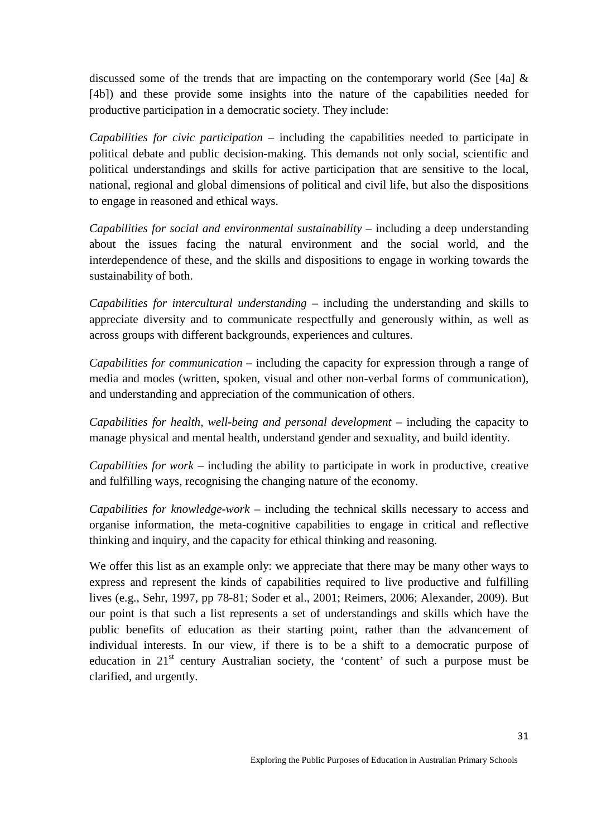discussed some of the trends that are impacting on the contemporary world (See [4a]  $\&$ [4b]) and these provide some insights into the nature of the capabilities needed for productive participation in a democratic society. They include:

*Capabilities for civic participation* – including the capabilities needed to participate in political debate and public decision-making. This demands not only social, scientific and political understandings and skills for active participation that are sensitive to the local, national, regional and global dimensions of political and civil life, but also the dispositions to engage in reasoned and ethical ways.

*Capabilities for social and environmental sustainability – including a deep understanding* about the issues facing the natural environment and the social world, and the interdependence of these, and the skills and dispositions to engage in working towards the sustainability of both.

*Capabilities for intercultural understanding* – including the understanding and skills to appreciate diversity and to communicate respectfully and generously within, as well as across groups with different backgrounds, experiences and cultures.

*Capabilities for communication* – including the capacity for expression through a range of media and modes (written, spoken, visual and other non-verbal forms of communication), and understanding and appreciation of the communication of others.

*Capabilities for health, well-being and personal development – including the capacity to* manage physical and mental health, understand gender and sexuality, and build identity.

*Capabilities for work* – including the ability to participate in work in productive, creative and fulfilling ways, recognising the changing nature of the economy.

*Capabilities for knowledge-work* – including the technical skills necessary to access and organise information, the meta-cognitive capabilities to engage in critical and reflective thinking and inquiry, and the capacity for ethical thinking and reasoning.

We offer this list as an example only: we appreciate that there may be many other ways to express and represent the kinds of capabilities required to live productive and fulfilling lives (e.g., Sehr, 1997, pp 78-81; Soder et al., 2001; Reimers, 2006; Alexander, 2009). But our point is that such a list represents a set of understandings and skills which have the public benefits of education as their starting point, rather than the advancement of individual interests. In our view, if there is to be a shift to a democratic purpose of education in  $21<sup>st</sup>$  century Australian society, the 'content' of such a purpose must be clarified, and urgently.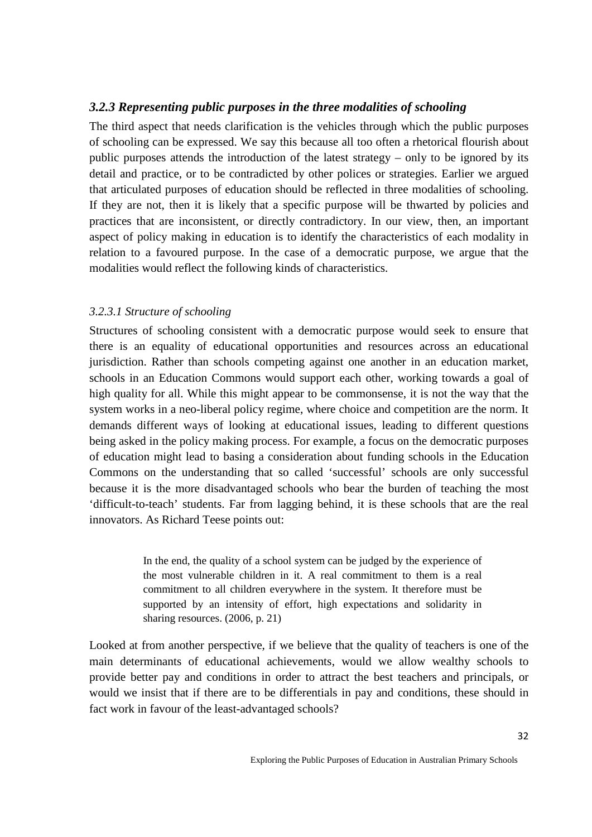#### <span id="page-31-0"></span>*3.2.3 Representing public purposes in the three modalities of schooling*

The third aspect that needs clarification is the vehicles through which the public purposes of schooling can be expressed. We say this because all too often a rhetorical flourish about public purposes attends the introduction of the latest strategy – only to be ignored by its detail and practice, or to be contradicted by other polices or strategies. Earlier we argued that articulated purposes of education should be reflected in three modalities of schooling. If they are not, then it is likely that a specific purpose will be thwarted by policies and practices that are inconsistent, or directly contradictory. In our view, then, an important aspect of policy making in education is to identify the characteristics of each modality in relation to a favoured purpose. In the case of a democratic purpose, we argue that the modalities would reflect the following kinds of characteristics.

#### <span id="page-31-1"></span>*3.2.3.1 Structure of schooling*

Structures of schooling consistent with a democratic purpose would seek to ensure that there is an equality of educational opportunities and resources across an educational jurisdiction. Rather than schools competing against one another in an education market, schools in an Education Commons would support each other, working towards a goal of high quality for all. While this might appear to be commonsense, it is not the way that the system works in a neo-liberal policy regime, where choice and competition are the norm. It demands different ways of looking at educational issues, leading to different questions being asked in the policy making process. For example, a focus on the democratic purposes of education might lead to basing a consideration about funding schools in the Education Commons on the understanding that so called 'successful' schools are only successful because it is the more disadvantaged schools who bear the burden of teaching the most 'difficult-to-teach' students. Far from lagging behind, it is these schools that are the real innovators. As Richard Teese points out:

> In the end, the quality of a school system can be judged by the experience of the most vulnerable children in it. A real commitment to them is a real commitment to all children everywhere in the system. It therefore must be supported by an intensity of effort, high expectations and solidarity in sharing resources. (2006, p. 21)

Looked at from another perspective, if we believe that the quality of teachers is one of the main determinants of educational achievements, would we allow wealthy schools to provide better pay and conditions in order to attract the best teachers and principals, or would we insist that if there are to be differentials in pay and conditions, these should in fact work in favour of the least-advantaged schools?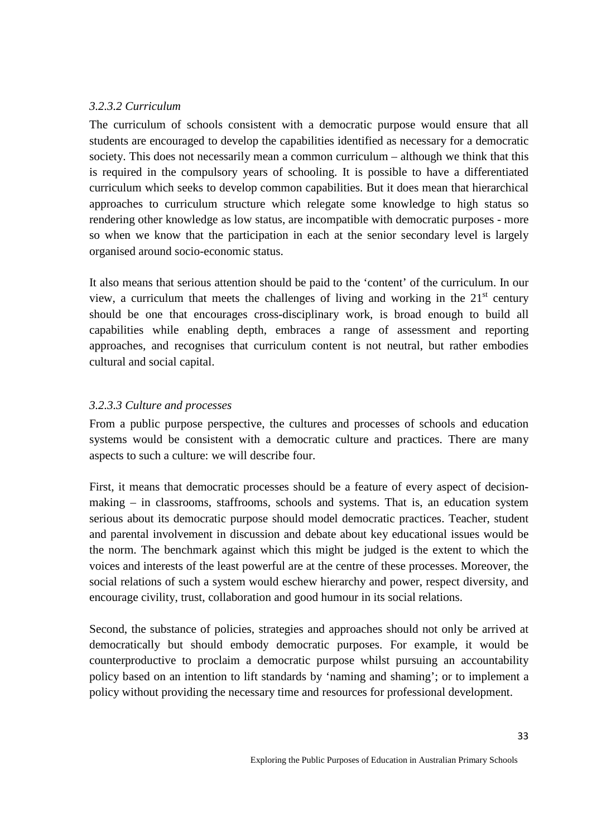#### <span id="page-32-0"></span>*3.2.3.2 Curriculum*

The curriculum of schools consistent with a democratic purpose would ensure that all students are encouraged to develop the capabilities identified as necessary for a democratic society. This does not necessarily mean a common curriculum – although we think that this is required in the compulsory years of schooling. It is possible to have a differentiated curriculum which seeks to develop common capabilities. But it does mean that hierarchical approaches to curriculum structure which relegate some knowledge to high status so rendering other knowledge as low status, are incompatible with democratic purposes - more so when we know that the participation in each at the senior secondary level is largely organised around socio-economic status.

It also means that serious attention should be paid to the 'content' of the curriculum. In our view, a curriculum that meets the challenges of living and working in the  $21<sup>st</sup>$  century should be one that encourages cross-disciplinary work, is broad enough to build all capabilities while enabling depth, embraces a range of assessment and reporting approaches, and recognises that curriculum content is not neutral, but rather embodies cultural and social capital.

#### <span id="page-32-1"></span>*3.2.3.3 Culture and processes*

From a public purpose perspective, the cultures and processes of schools and education systems would be consistent with a democratic culture and practices. There are many aspects to such a culture: we will describe four.

First, it means that democratic processes should be a feature of every aspect of decisionmaking – in classrooms, staffrooms, schools and systems. That is, an education system serious about its democratic purpose should model democratic practices. Teacher, student and parental involvement in discussion and debate about key educational issues would be the norm. The benchmark against which this might be judged is the extent to which the voices and interests of the least powerful are at the centre of these processes. Moreover, the social relations of such a system would eschew hierarchy and power, respect diversity, and encourage civility, trust, collaboration and good humour in its social relations.

Second, the substance of policies, strategies and approaches should not only be arrived at democratically but should embody democratic purposes. For example, it would be counterproductive to proclaim a democratic purpose whilst pursuing an accountability policy based on an intention to lift standards by 'naming and shaming'; or to implement a policy without providing the necessary time and resources for professional development.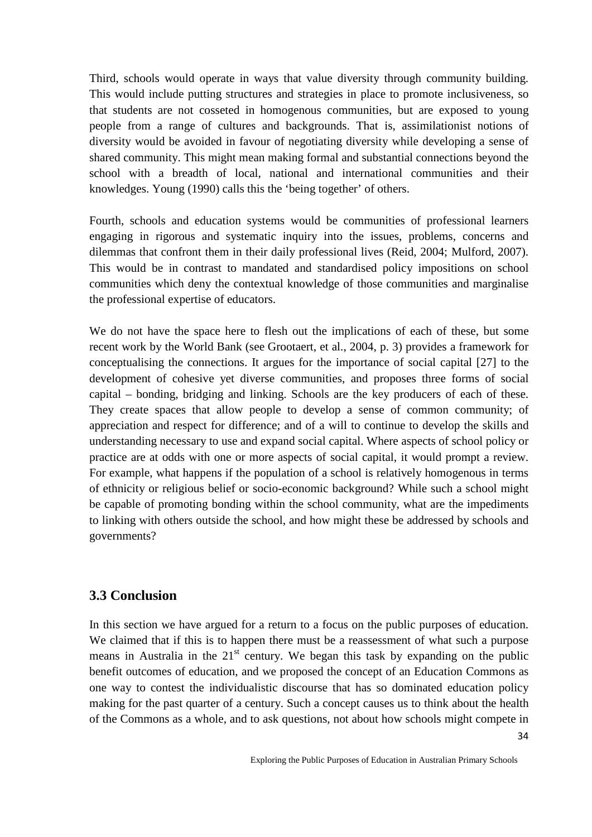Third, schools would operate in ways that value diversity through community building. This would include putting structures and strategies in place to promote inclusiveness, so that students are not cosseted in homogenous communities, but are exposed to young people from a range of cultures and backgrounds. That is, assimilationist notions of diversity would be avoided in favour of negotiating diversity while developing a sense of shared community. This might mean making formal and substantial connections beyond the school with a breadth of local, national and international communities and their knowledges. Young (1990) calls this the 'being together' of others.

Fourth, schools and education systems would be communities of professional learners engaging in rigorous and systematic inquiry into the issues, problems, concerns and dilemmas that confront them in their daily professional lives (Reid, 2004; Mulford, 2007). This would be in contrast to mandated and standardised policy impositions on school communities which deny the contextual knowledge of those communities and marginalise the professional expertise of educators.

We do not have the space here to flesh out the implications of each of these, but some recent work by the World Bank (see Grootaert, et al., 2004, p. 3) provides a framework for conceptualising the connections. It argues for the importance of social capital [27] to the development of cohesive yet diverse communities, and proposes three forms of social capital – bonding, bridging and linking. Schools are the key producers of each of these. They create spaces that allow people to develop a sense of common community; of appreciation and respect for difference; and of a will to continue to develop the skills and understanding necessary to use and expand social capital. Where aspects of school policy or practice are at odds with one or more aspects of social capital, it would prompt a review. For example, what happens if the population of a school is relatively homogenous in terms of ethnicity or religious belief or socio-economic background? While such a school might be capable of promoting bonding within the school community, what are the impediments to linking with others outside the school, and how might these be addressed by schools and governments?

#### <span id="page-33-0"></span>**3.3 Conclusion**

In this section we have argued for a return to a focus on the public purposes of education. We claimed that if this is to happen there must be a reassessment of what such a purpose means in Australia in the  $21<sup>st</sup>$  century. We began this task by expanding on the public benefit outcomes of education, and we proposed the concept of an Education Commons as one way to contest the individualistic discourse that has so dominated education policy making for the past quarter of a century. Such a concept causes us to think about the health of the Commons as a whole, and to ask questions, not about how schools might compete in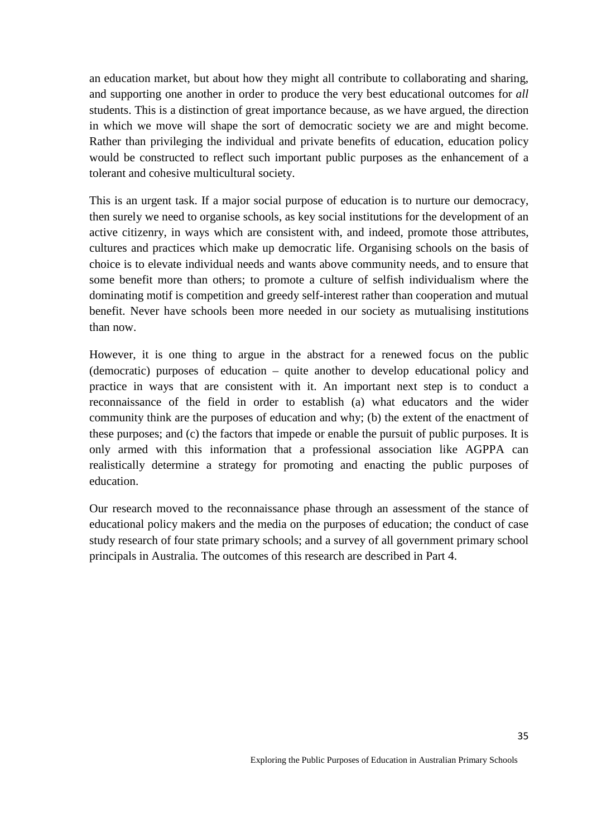an education market, but about how they might all contribute to collaborating and sharing, and supporting one another in order to produce the very best educational outcomes for *all* students. This is a distinction of great importance because, as we have argued, the direction in which we move will shape the sort of democratic society we are and might become. Rather than privileging the individual and private benefits of education, education policy would be constructed to reflect such important public purposes as the enhancement of a tolerant and cohesive multicultural society.

This is an urgent task. If a major social purpose of education is to nurture our democracy, then surely we need to organise schools, as key social institutions for the development of an active citizenry, in ways which are consistent with, and indeed, promote those attributes, cultures and practices which make up democratic life. Organising schools on the basis of choice is to elevate individual needs and wants above community needs, and to ensure that some benefit more than others; to promote a culture of selfish individualism where the dominating motif is competition and greedy self-interest rather than cooperation and mutual benefit. Never have schools been more needed in our society as mutualising institutions than now.

However, it is one thing to argue in the abstract for a renewed focus on the public (democratic) purposes of education – quite another to develop educational policy and practice in ways that are consistent with it. An important next step is to conduct a reconnaissance of the field in order to establish (a) what educators and the wider community think are the purposes of education and why; (b) the extent of the enactment of these purposes; and (c) the factors that impede or enable the pursuit of public purposes. It is only armed with this information that a professional association like AGPPA can realistically determine a strategy for promoting and enacting the public purposes of education.

<span id="page-34-0"></span>Our research moved to the reconnaissance phase through an assessment of the stance of educational policy makers and the media on the purposes of education; the conduct of case study research of four state primary schools; and a survey of all government primary school principals in Australia. The outcomes of this research are described in Part 4.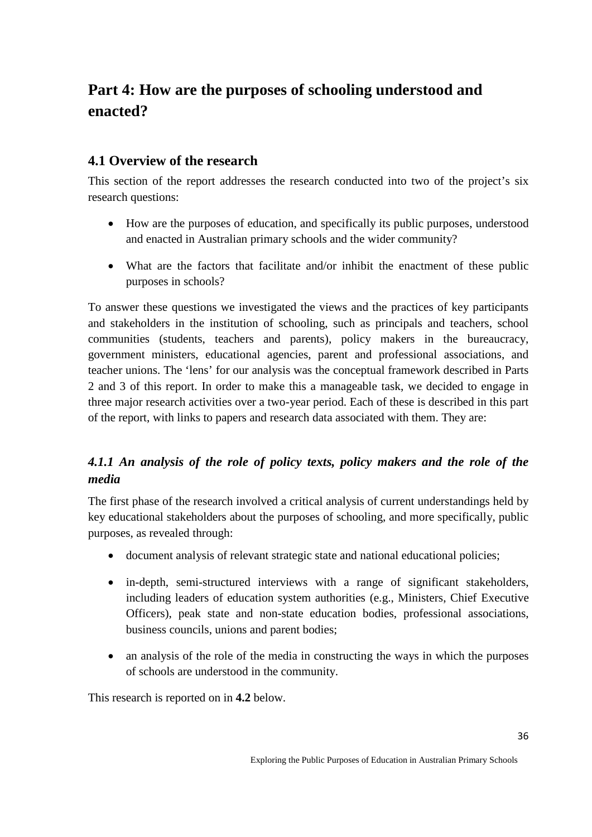# **Part 4: How are the purposes of schooling understood and enacted?**

## <span id="page-35-0"></span>**4.1 Overview of the research**

This section of the report addresses the research conducted into two of the project's six research questions:

- How are the purposes of education, and specifically its public purposes, understood and enacted in Australian primary schools and the wider community?
- What are the factors that facilitate and/or inhibit the enactment of these public purposes in schools?

To answer these questions we investigated the views and the practices of key participants and stakeholders in the institution of schooling, such as principals and teachers, school communities (students, teachers and parents), policy makers in the bureaucracy, government ministers, educational agencies, parent and professional associations, and teacher unions. The 'lens' for our analysis was the conceptual framework described in Parts 2 and 3 of this report. In order to make this a manageable task, we decided to engage in three major research activities over a two-year period. Each of these is described in this part of the report, with links to papers and research data associated with them. They are:

## <span id="page-35-1"></span>*4.1.1 An analysis of the role of policy texts, policy makers and the role of the media*

The first phase of the research involved a critical analysis of current understandings held by key educational stakeholders about the purposes of schooling, and more specifically, public purposes, as revealed through:

- document analysis of relevant strategic state and national educational policies;
- in-depth, semi-structured interviews with a range of significant stakeholders, including leaders of education system authorities (e.g., Ministers, Chief Executive Officers), peak state and non-state education bodies, professional associations, business councils, unions and parent bodies;
- an analysis of the role of the media in constructing the ways in which the purposes of schools are understood in the community.

This research is reported on in **4.2** below.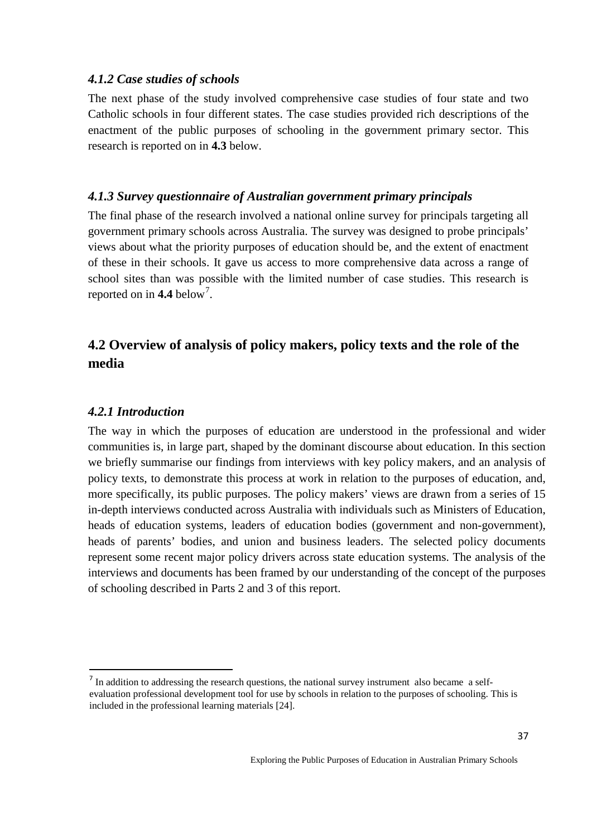### *4.1.2 Case studies of schools*

The next phase of the study involved comprehensive case studies of four state and two Catholic schools in four different states. The case studies provided rich descriptions of the enactment of the public purposes of schooling in the government primary sector. This research is reported on in **4.3** below.

### *4.1.3 Survey questionnaire of Australian government primary principals*

The final phase of the research involved a national online survey for principals targeting all government primary schools across Australia. The survey was designed to probe principals' views about what the priority purposes of education should be, and the extent of enactment of these in their schools. It gave us access to more comprehensive data across a range of school sites than was possible with the limited number of case studies. This research is reported on in  $4.4$  below<sup>[7](#page-36-0)</sup>.

# **4.2 Overview of analysis of policy makers, policy texts and the role of the media**

#### *4.2.1 Introduction*

The way in which the purposes of education are understood in the professional and wider communities is, in large part, shaped by the dominant discourse about education. In this section we briefly summarise our findings from interviews with key policy makers, and an analysis of policy texts, to demonstrate this process at work in relation to the purposes of education, and, more specifically, its public purposes. The policy makers' views are drawn from a series of 15 in-depth interviews conducted across Australia with individuals such as Ministers of Education, heads of education systems, leaders of education bodies (government and non-government), heads of parents' bodies, and union and business leaders. The selected policy documents represent some recent major policy drivers across state education systems. The analysis of the interviews and documents has been framed by our understanding of the concept of the purposes of schooling described in Parts 2 and 3 of this report.

<span id="page-36-0"></span><sup>&</sup>lt;sup>7</sup> In addition to addressing the research questions, the national survey instrument also became a selfevaluation professional development tool for use by schools in relation to the purposes of schooling. This is included in the professional learning materials [24].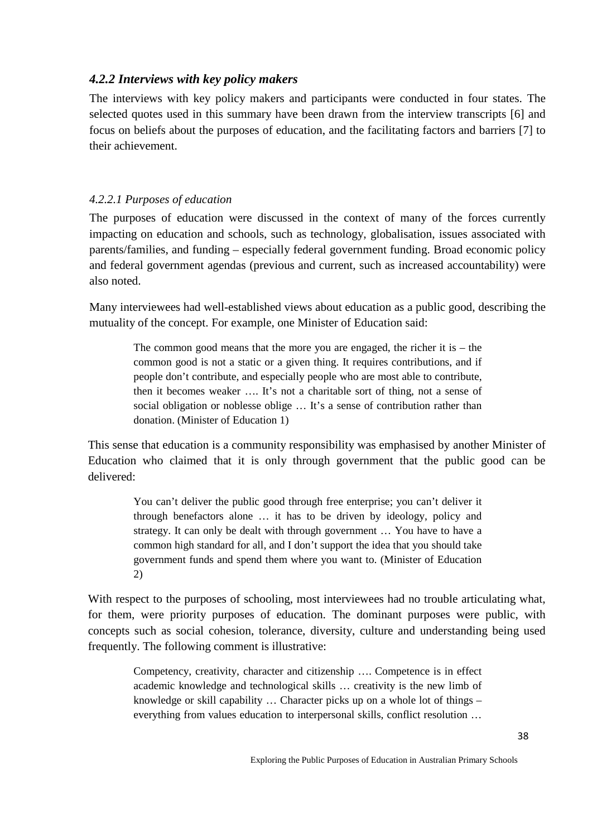# *4.2.2 Interviews with key policy makers*

The interviews with key policy makers and participants were conducted in four states. The selected quotes used in this summary have been drawn from the interview transcripts [6] and focus on beliefs about the purposes of education, and the facilitating factors and barriers [7] to their achievement.

### *4.2.2.1 Purposes of education*

The purposes of education were discussed in the context of many of the forces currently impacting on education and schools, such as technology, globalisation, issues associated with parents/families, and funding – especially federal government funding. Broad economic policy and federal government agendas (previous and current, such as increased accountability) were also noted.

Many interviewees had well-established views about education as a public good, describing the mutuality of the concept. For example, one Minister of Education said:

The common good means that the more you are engaged, the richer it is – the common good is not a static or a given thing. It requires contributions, and if people don't contribute, and especially people who are most able to contribute, then it becomes weaker …. It's not a charitable sort of thing, not a sense of social obligation or noblesse oblige … It's a sense of contribution rather than donation. (Minister of Education 1)

This sense that education is a community responsibility was emphasised by another Minister of Education who claimed that it is only through government that the public good can be delivered:

You can't deliver the public good through free enterprise; you can't deliver it through benefactors alone … it has to be driven by ideology, policy and strategy. It can only be dealt with through government … You have to have a common high standard for all, and I don't support the idea that you should take government funds and spend them where you want to. (Minister of Education 2)

With respect to the purposes of schooling, most interviewees had no trouble articulating what, for them, were priority purposes of education. The dominant purposes were public, with concepts such as social cohesion, tolerance, diversity, culture and understanding being used frequently. The following comment is illustrative:

Competency, creativity, character and citizenship …. Competence is in effect academic knowledge and technological skills … creativity is the new limb of knowledge or skill capability … Character picks up on a whole lot of things – everything from values education to interpersonal skills, conflict resolution …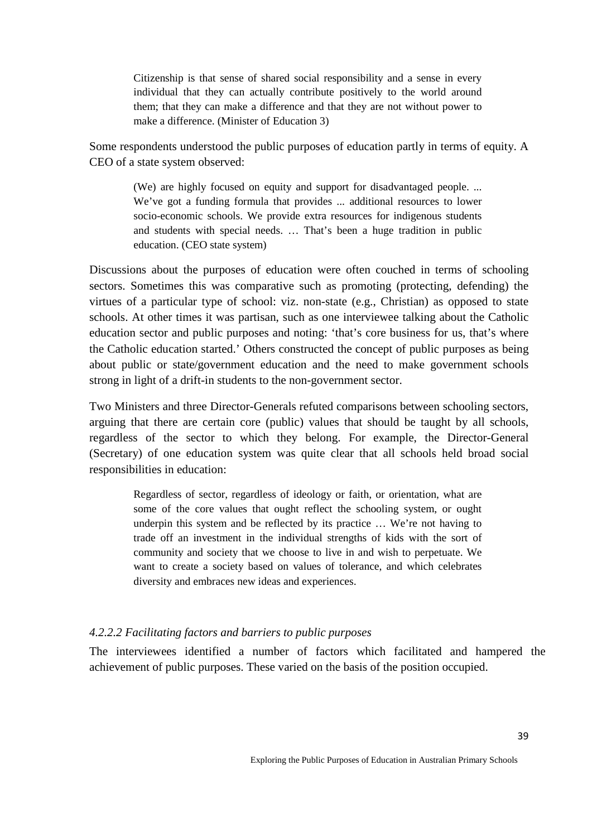Citizenship is that sense of shared social responsibility and a sense in every individual that they can actually contribute positively to the world around them; that they can make a difference and that they are not without power to make a difference. (Minister of Education 3)

Some respondents understood the public purposes of education partly in terms of equity. A CEO of a state system observed:

(We) are highly focused on equity and support for disadvantaged people. ... We've got a funding formula that provides ... additional resources to lower socio-economic schools. We provide extra resources for indigenous students and students with special needs. … That's been a huge tradition in public education. (CEO state system)

Discussions about the purposes of education were often couched in terms of schooling sectors. Sometimes this was comparative such as promoting (protecting, defending) the virtues of a particular type of school: viz. non-state (e.g., Christian) as opposed to state schools. At other times it was partisan, such as one interviewee talking about the Catholic education sector and public purposes and noting: 'that's core business for us, that's where the Catholic education started.' Others constructed the concept of public purposes as being about public or state/government education and the need to make government schools strong in light of a drift-in students to the non-government sector.

Two Ministers and three Director-Generals refuted comparisons between schooling sectors, arguing that there are certain core (public) values that should be taught by all schools, regardless of the sector to which they belong. For example, the Director-General (Secretary) of one education system was quite clear that all schools held broad social responsibilities in education:

Regardless of sector, regardless of ideology or faith, or orientation, what are some of the core values that ought reflect the schooling system, or ought underpin this system and be reflected by its practice … We're not having to trade off an investment in the individual strengths of kids with the sort of community and society that we choose to live in and wish to perpetuate. We want to create a society based on values of tolerance, and which celebrates diversity and embraces new ideas and experiences.

#### *4.2.2.2 Facilitating factors and barriers to public purposes*

The interviewees identified a number of factors which facilitated and hampered the achievement of public purposes. These varied on the basis of the position occupied.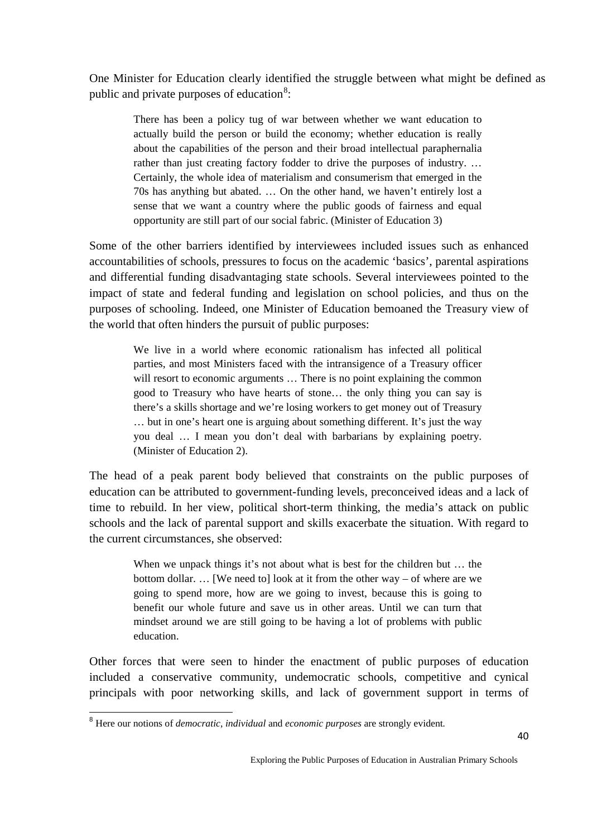One Minister for Education clearly identified the struggle between what might be defined as public and private purposes of education<sup>[8](#page-39-0)</sup>:

There has been a policy tug of war between whether we want education to actually build the person or build the economy; whether education is really about the capabilities of the person and their broad intellectual paraphernalia rather than just creating factory fodder to drive the purposes of industry. … Certainly, the whole idea of materialism and consumerism that emerged in the 70s has anything but abated. … On the other hand, we haven't entirely lost a sense that we want a country where the public goods of fairness and equal opportunity are still part of our social fabric. (Minister of Education 3)

Some of the other barriers identified by interviewees included issues such as enhanced accountabilities of schools, pressures to focus on the academic 'basics', parental aspirations and differential funding disadvantaging state schools. Several interviewees pointed to the impact of state and federal funding and legislation on school policies, and thus on the purposes of schooling. Indeed, one Minister of Education bemoaned the Treasury view of the world that often hinders the pursuit of public purposes:

We live in a world where economic rationalism has infected all political parties, and most Ministers faced with the intransigence of a Treasury officer will resort to economic arguments ... There is no point explaining the common good to Treasury who have hearts of stone… the only thing you can say is there's a skills shortage and we're losing workers to get money out of Treasury … but in one's heart one is arguing about something different. It's just the way you deal … I mean you don't deal with barbarians by explaining poetry. (Minister of Education 2).

The head of a peak parent body believed that constraints on the public purposes of education can be attributed to government-funding levels, preconceived ideas and a lack of time to rebuild. In her view, political short-term thinking, the media's attack on public schools and the lack of parental support and skills exacerbate the situation. With regard to the current circumstances, she observed:

When we unpack things it's not about what is best for the children but ... the bottom dollar. … [We need to] look at it from the other way – of where are we going to spend more, how are we going to invest, because this is going to benefit our whole future and save us in other areas. Until we can turn that mindset around we are still going to be having a lot of problems with public education.

Other forces that were seen to hinder the enactment of public purposes of education included a conservative community, undemocratic schools, competitive and cynical principals with poor networking skills, and lack of government support in terms of

<span id="page-39-0"></span><sup>8</sup> Here our notions of *democratic*, *individual* and *economic purposes* are strongly evident*.*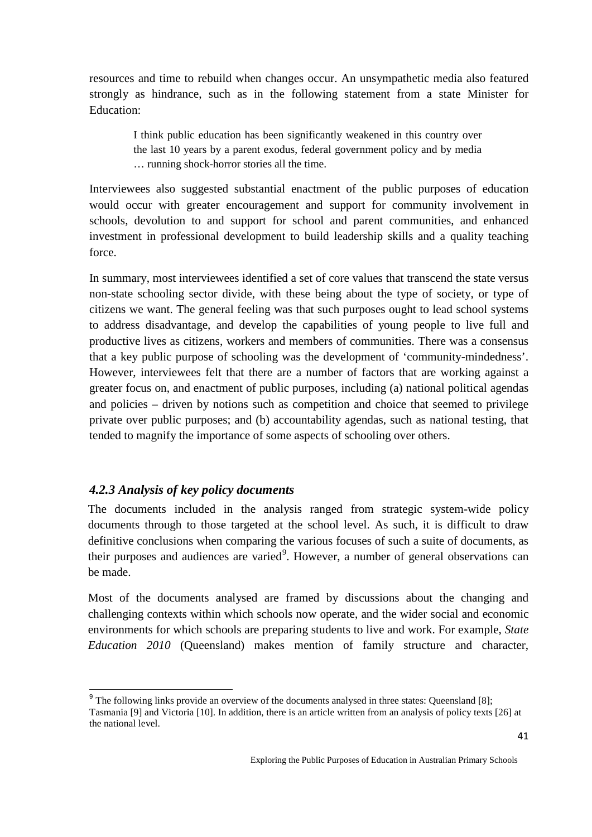resources and time to rebuild when changes occur. An unsympathetic media also featured strongly as hindrance, such as in the following statement from a state Minister for Education:

I think public education has been significantly weakened in this country over the last 10 years by a parent exodus, federal government policy and by media … running shock-horror stories all the time.

Interviewees also suggested substantial enactment of the public purposes of education would occur with greater encouragement and support for community involvement in schools, devolution to and support for school and parent communities, and enhanced investment in professional development to build leadership skills and a quality teaching force.

In summary, most interviewees identified a set of core values that transcend the state versus non-state schooling sector divide, with these being about the type of society, or type of citizens we want. The general feeling was that such purposes ought to lead school systems to address disadvantage, and develop the capabilities of young people to live full and productive lives as citizens, workers and members of communities. There was a consensus that a key public purpose of schooling was the development of 'community-mindedness'. However, interviewees felt that there are a number of factors that are working against a greater focus on, and enactment of public purposes, including (a) national political agendas and policies – driven by notions such as competition and choice that seemed to privilege private over public purposes; and (b) accountability agendas, such as national testing, that tended to magnify the importance of some aspects of schooling over others.

# *4.2.3 Analysis of key policy documents*

The documents included in the analysis ranged from strategic system-wide policy documents through to those targeted at the school level. As such, it is difficult to draw definitive conclusions when comparing the various focuses of such a suite of documents, as their purposes and audiences are varied<sup>[9](#page-40-0)</sup>. However, a number of general observations can be made.

Most of the documents analysed are framed by discussions about the changing and challenging contexts within which schools now operate, and the wider social and economic environments for which schools are preparing students to live and work. For example, *State Education 2010* (Queensland) makes mention of family structure and character,

<span id="page-40-0"></span><sup>&</sup>lt;sup>9</sup> The following links provide an overview of the documents analysed in three states: Queensland [8]; Tasmania [9] and Victoria [10]. In addition, there is an article written from an analysis of policy texts [26] at the national level.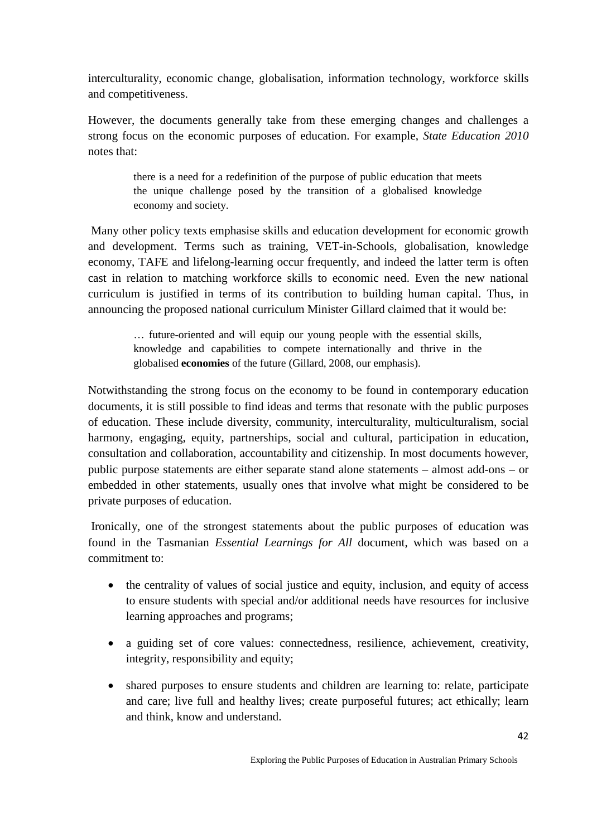interculturality, economic change, globalisation, information technology, workforce skills and competitiveness.

However, the documents generally take from these emerging changes and challenges a strong focus on the economic purposes of education. For example, *State Education 2010* notes that:

> there is a need for a redefinition of the purpose of public education that meets the unique challenge posed by the transition of a globalised knowledge economy and society.

Many other policy texts emphasise skills and education development for economic growth and development. Terms such as training, VET-in-Schools, globalisation, knowledge economy, TAFE and lifelong-learning occur frequently, and indeed the latter term is often cast in relation to matching workforce skills to economic need. Even the new national curriculum is justified in terms of its contribution to building human capital. Thus, in announcing the proposed national curriculum Minister Gillard claimed that it would be:

> … future-oriented and will equip our young people with the essential skills, knowledge and capabilities to compete internationally and thrive in the globalised **economies** of the future (Gillard, 2008, our emphasis).

Notwithstanding the strong focus on the economy to be found in contemporary education documents, it is still possible to find ideas and terms that resonate with the public purposes of education. These include diversity, community, interculturality, multiculturalism, social harmony, engaging, equity, partnerships, social and cultural, participation in education, consultation and collaboration, accountability and citizenship. In most documents however, public purpose statements are either separate stand alone statements – almost add-ons – or embedded in other statements, usually ones that involve what might be considered to be private purposes of education.

Ironically, one of the strongest statements about the public purposes of education was found in the Tasmanian *Essential Learnings for All* document, which was based on a commitment to:

- the centrality of values of social justice and equity, inclusion, and equity of access to ensure students with special and/or additional needs have resources for inclusive learning approaches and programs;
- a guiding set of core values: connectedness, resilience, achievement, creativity, integrity, responsibility and equity;
- shared purposes to ensure students and children are learning to: relate, participate and care; live full and healthy lives; create purposeful futures; act ethically; learn and think, know and understand.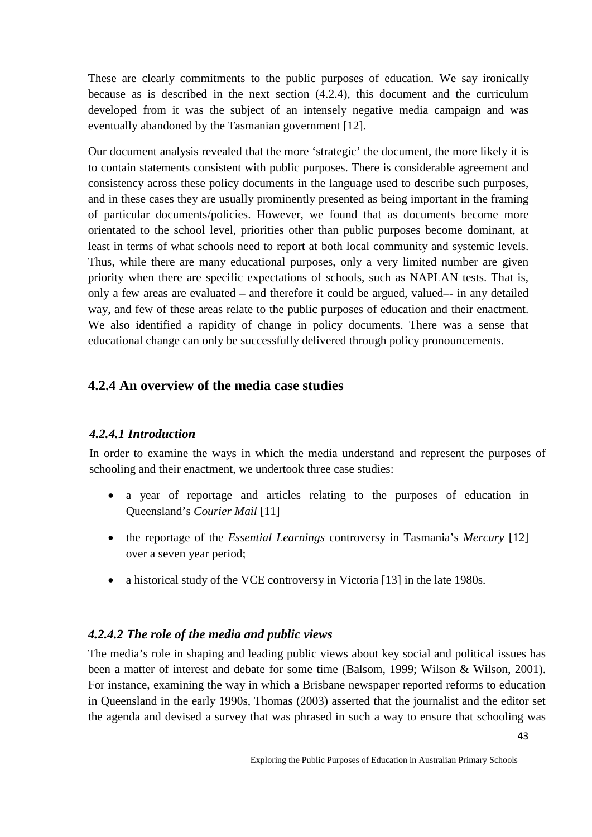These are clearly commitments to the public purposes of education. We say ironically because as is described in the next section (4.2.4), this document and the curriculum developed from it was the subject of an intensely negative media campaign and was eventually abandoned by the Tasmanian government [12].

Our document analysis revealed that the more 'strategic' the document, the more likely it is to contain statements consistent with public purposes. There is considerable agreement and consistency across these policy documents in the language used to describe such purposes, and in these cases they are usually prominently presented as being important in the framing of particular documents/policies. However, we found that as documents become more orientated to the school level, priorities other than public purposes become dominant, at least in terms of what schools need to report at both local community and systemic levels. Thus, while there are many educational purposes, only a very limited number are given priority when there are specific expectations of schools, such as NAPLAN tests. That is, only a few areas are evaluated – and therefore it could be argued, valued–- in any detailed way, and few of these areas relate to the public purposes of education and their enactment. We also identified a rapidity of change in policy documents. There was a sense that educational change can only be successfully delivered through policy pronouncements.

# **4.2.4 An overview of the media case studies**

# *4.2.4.1 Introduction*

In order to examine the ways in which the media understand and represent the purposes of schooling and their enactment, we undertook three case studies:

- a year of reportage and articles relating to the purposes of education in Queensland's *Courier Mail* [11]
- the reportage of the *Essential Learnings* controversy in Tasmania's *Mercury* [12] over a seven year period;
- a historical study of the VCE controversy in Victoria [13] in the late 1980s.

### *4.2.4.2 The role of the media and public views*

The media's role in shaping and leading public views about key social and political issues has been a matter of interest and debate for some time (Balsom, 1999; Wilson & Wilson, 2001). For instance, examining the way in which a Brisbane newspaper reported reforms to education in Queensland in the early 1990s, Thomas (2003) asserted that the journalist and the editor set the agenda and devised a survey that was phrased in such a way to ensure that schooling was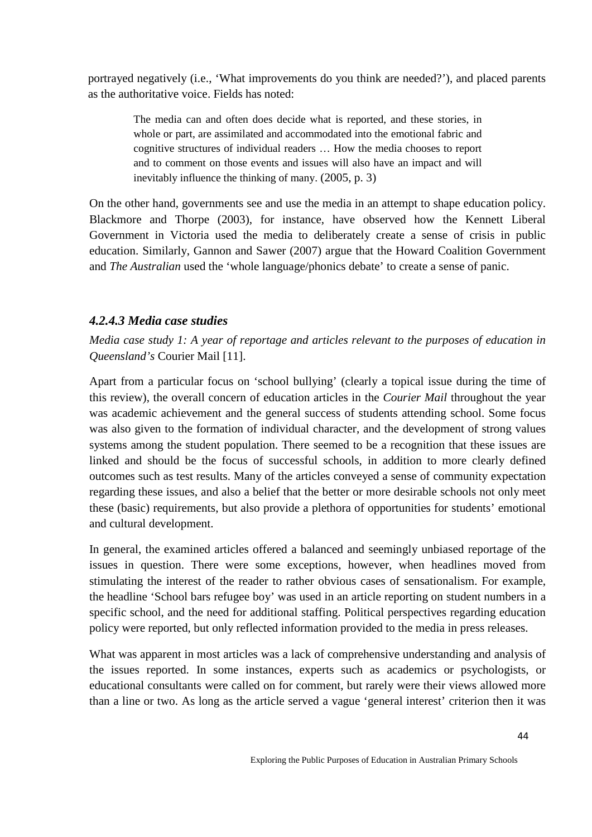portrayed negatively (i.e., 'What improvements do you think are needed?'), and placed parents as the authoritative voice. Fields has noted:

The media can and often does decide what is reported, and these stories, in whole or part, are assimilated and accommodated into the emotional fabric and cognitive structures of individual readers … How the media chooses to report and to comment on those events and issues will also have an impact and will inevitably influence the thinking of many. (2005, p. 3)

On the other hand, governments see and use the media in an attempt to shape education policy. Blackmore and Thorpe (2003), for instance, have observed how the Kennett Liberal Government in Victoria used the media to deliberately create a sense of crisis in public education. Similarly, Gannon and Sawer (2007) argue that the Howard Coalition Government and *The Australian* used the 'whole language/phonics debate' to create a sense of panic.

### *4.2.4.3 Media case studies*

*Media case study 1: A year of reportage and articles relevant to the purposes of education in Queensland's* Courier Mail [11].

Apart from a particular focus on 'school bullying' (clearly a topical issue during the time of this review), the overall concern of education articles in the *Courier Mail* throughout the year was academic achievement and the general success of students attending school. Some focus was also given to the formation of individual character, and the development of strong values systems among the student population. There seemed to be a recognition that these issues are linked and should be the focus of successful schools, in addition to more clearly defined outcomes such as test results. Many of the articles conveyed a sense of community expectation regarding these issues, and also a belief that the better or more desirable schools not only meet these (basic) requirements, but also provide a plethora of opportunities for students' emotional and cultural development.

In general, the examined articles offered a balanced and seemingly unbiased reportage of the issues in question. There were some exceptions, however, when headlines moved from stimulating the interest of the reader to rather obvious cases of sensationalism. For example, the headline 'School bars refugee boy' was used in an article reporting on student numbers in a specific school, and the need for additional staffing. Political perspectives regarding education policy were reported, but only reflected information provided to the media in press releases.

What was apparent in most articles was a lack of comprehensive understanding and analysis of the issues reported. In some instances, experts such as academics or psychologists, or educational consultants were called on for comment, but rarely were their views allowed more than a line or two. As long as the article served a vague 'general interest' criterion then it was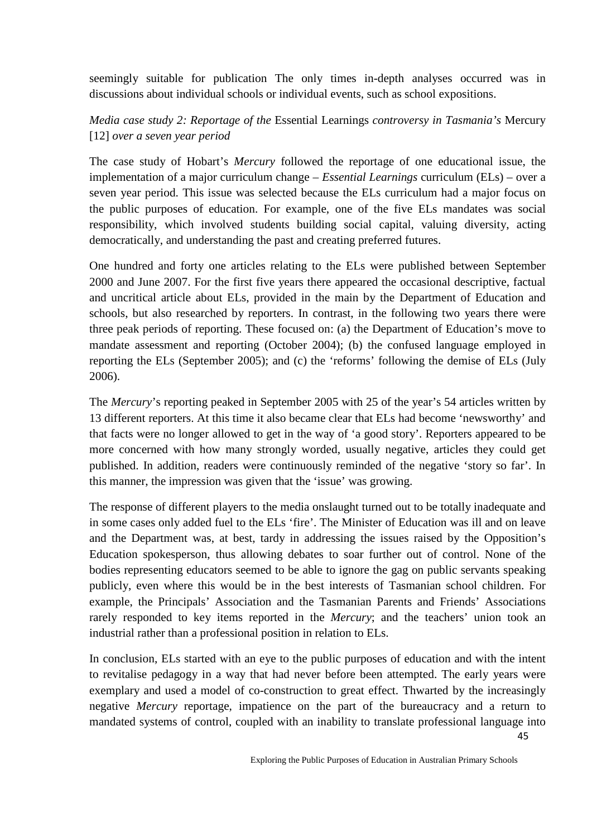seemingly suitable for publication The only times in-depth analyses occurred was in discussions about individual schools or individual events, such as school expositions.

*Media case study 2: Reportage of the* Essential Learnings *controversy in Tasmania's* Mercury [12] *over a seven year period* 

The case study of Hobart's *Mercury* followed the reportage of one educational issue, the implementation of a major curriculum change – *Essential Learnings* curriculum (ELs) – over a seven year period. This issue was selected because the ELs curriculum had a major focus on the public purposes of education. For example, one of the five ELs mandates was social responsibility, which involved students building social capital, valuing diversity, acting democratically, and understanding the past and creating preferred futures.

One hundred and forty one articles relating to the ELs were published between September 2000 and June 2007. For the first five years there appeared the occasional descriptive, factual and uncritical article about ELs, provided in the main by the Department of Education and schools, but also researched by reporters. In contrast, in the following two years there were three peak periods of reporting. These focused on: (a) the Department of Education's move to mandate assessment and reporting (October 2004); (b) the confused language employed in reporting the ELs (September 2005); and (c) the 'reforms' following the demise of ELs (July 2006).

The *Mercury*'s reporting peaked in September 2005 with 25 of the year's 54 articles written by 13 different reporters. At this time it also became clear that ELs had become 'newsworthy' and that facts were no longer allowed to get in the way of 'a good story'. Reporters appeared to be more concerned with how many strongly worded, usually negative, articles they could get published. In addition, readers were continuously reminded of the negative 'story so far'. In this manner, the impression was given that the 'issue' was growing.

The response of different players to the media onslaught turned out to be totally inadequate and in some cases only added fuel to the ELs 'fire'. The Minister of Education was ill and on leave and the Department was, at best, tardy in addressing the issues raised by the Opposition's Education spokesperson, thus allowing debates to soar further out of control. None of the bodies representing educators seemed to be able to ignore the gag on public servants speaking publicly, even where this would be in the best interests of Tasmanian school children. For example, the Principals' Association and the Tasmanian Parents and Friends' Associations rarely responded to key items reported in the *Mercury*; and the teachers' union took an industrial rather than a professional position in relation to ELs.

In conclusion, ELs started with an eye to the public purposes of education and with the intent to revitalise pedagogy in a way that had never before been attempted. The early years were exemplary and used a model of co-construction to great effect. Thwarted by the increasingly negative *Mercury* reportage, impatience on the part of the bureaucracy and a return to mandated systems of control, coupled with an inability to translate professional language into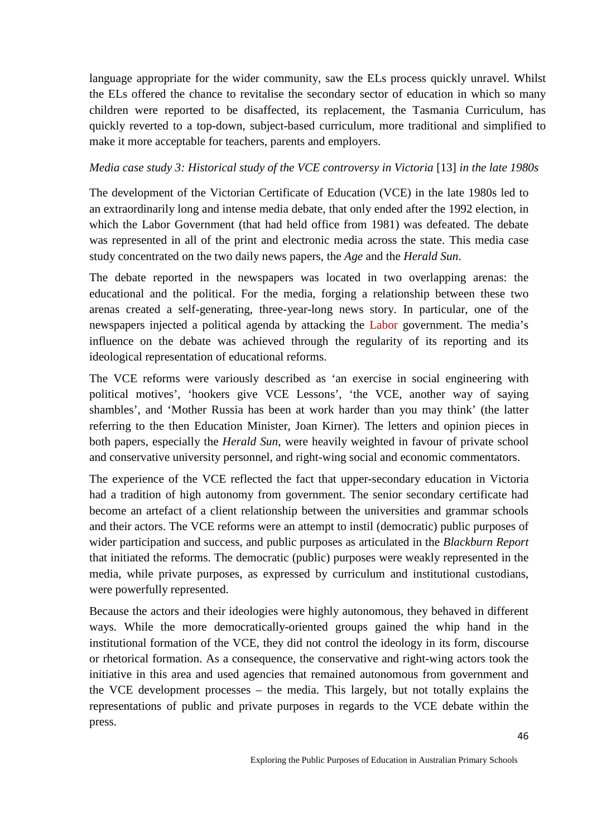language appropriate for the wider community, saw the ELs process quickly unravel. Whilst the ELs offered the chance to revitalise the secondary sector of education in which so many children were reported to be disaffected, its replacement, the Tasmania Curriculum, has quickly reverted to a top-down, subject-based curriculum, more traditional and simplified to make it more acceptable for teachers, parents and employers.

### *Media case study 3: Historical study of the VCE controversy in Victoria* [13] *in the late 1980s*

The development of the Victorian Certificate of Education (VCE) in the late 1980s led to an extraordinarily long and intense media debate, that only ended after the 1992 election, in which the Labor Government (that had held office from 1981) was defeated. The debate was represented in all of the print and electronic media across the state. This media case study concentrated on the two daily news papers, the *Age* and the *Herald Sun*.

The debate reported in the newspapers was located in two overlapping arenas: the educational and the political. For the media, forging a relationship between these two arenas created a self-generating, three-year-long news story. In particular, one of the newspapers injected a political agenda by attacking the Labor government. The media's influence on the debate was achieved through the regularity of its reporting and its ideological representation of educational reforms.

The VCE reforms were variously described as 'an exercise in social engineering with political motives', 'hookers give VCE Lessons', 'the VCE, another way of saying shambles', and 'Mother Russia has been at work harder than you may think' (the latter referring to the then Education Minister, Joan Kirner). The letters and opinion pieces in both papers, especially the *Herald Sun*, were heavily weighted in favour of private school and conservative university personnel, and right-wing social and economic commentators.

The experience of the VCE reflected the fact that upper-secondary education in Victoria had a tradition of high autonomy from government. The senior secondary certificate had become an artefact of a client relationship between the universities and grammar schools and their actors. The VCE reforms were an attempt to instil (democratic) public purposes of wider participation and success, and public purposes as articulated in the *Blackburn Report*  that initiated the reforms. The democratic (public) purposes were weakly represented in the media, while private purposes, as expressed by curriculum and institutional custodians, were powerfully represented.

Because the actors and their ideologies were highly autonomous, they behaved in different ways. While the more democratically-oriented groups gained the whip hand in the institutional formation of the VCE, they did not control the ideology in its form, discourse or rhetorical formation. As a consequence, the conservative and right-wing actors took the initiative in this area and used agencies that remained autonomous from government and the VCE development processes – the media. This largely, but not totally explains the representations of public and private purposes in regards to the VCE debate within the press.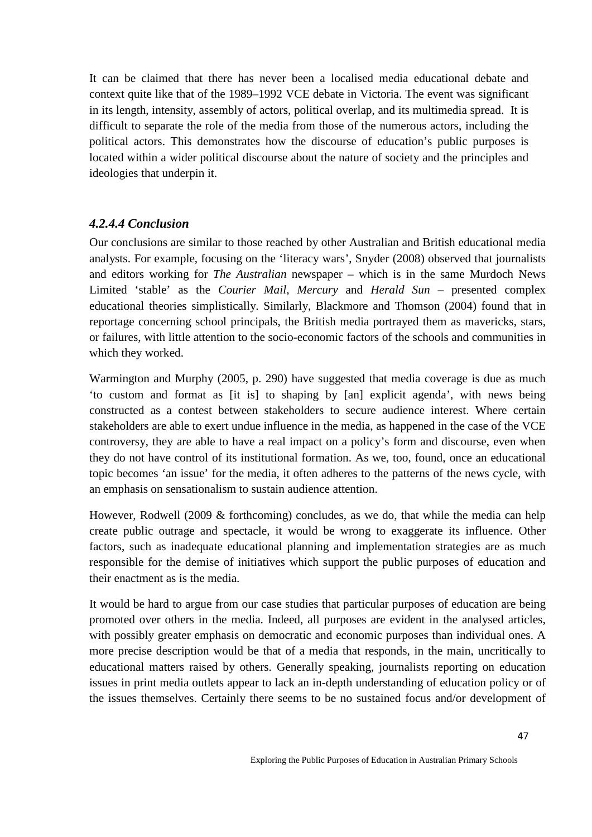It can be claimed that there has never been a localised media educational debate and context quite like that of the 1989–1992 VCE debate in Victoria. The event was significant in its length, intensity, assembly of actors, political overlap, and its multimedia spread. It is difficult to separate the role of the media from those of the numerous actors, including the political actors. This demonstrates how the discourse of education's public purposes is located within a wider political discourse about the nature of society and the principles and ideologies that underpin it.

# *4.2.4.4 Conclusion*

Our conclusions are similar to those reached by other Australian and British educational media analysts. For example, focusing on the 'literacy wars', Snyder (2008) observed that journalists and editors working for *The Australian* newspaper – which is in the same Murdoch News Limited 'stable' as the *Courier Mail*, *Mercury* and *Herald Sun* – presented complex educational theories simplistically. Similarly, Blackmore and Thomson (2004) found that in reportage concerning school principals, the British media portrayed them as mavericks, stars, or failures, with little attention to the socio-economic factors of the schools and communities in which they worked.

Warmington and Murphy (2005, p. 290) have suggested that media coverage is due as much 'to custom and format as [it is] to shaping by [an] explicit agenda', with news being constructed as a contest between stakeholders to secure audience interest. Where certain stakeholders are able to exert undue influence in the media, as happened in the case of the VCE controversy, they are able to have a real impact on a policy's form and discourse, even when they do not have control of its institutional formation. As we, too, found, once an educational topic becomes 'an issue' for the media, it often adheres to the patterns of the news cycle, with an emphasis on sensationalism to sustain audience attention.

However, Rodwell (2009 & forthcoming) concludes, as we do, that while the media can help create public outrage and spectacle, it would be wrong to exaggerate its influence. Other factors, such as inadequate educational planning and implementation strategies are as much responsible for the demise of initiatives which support the public purposes of education and their enactment as is the media.

It would be hard to argue from our case studies that particular purposes of education are being promoted over others in the media. Indeed, all purposes are evident in the analysed articles, with possibly greater emphasis on democratic and economic purposes than individual ones. A more precise description would be that of a media that responds, in the main, uncritically to educational matters raised by others. Generally speaking, journalists reporting on education issues in print media outlets appear to lack an in-depth understanding of education policy or of the issues themselves. Certainly there seems to be no sustained focus and/or development of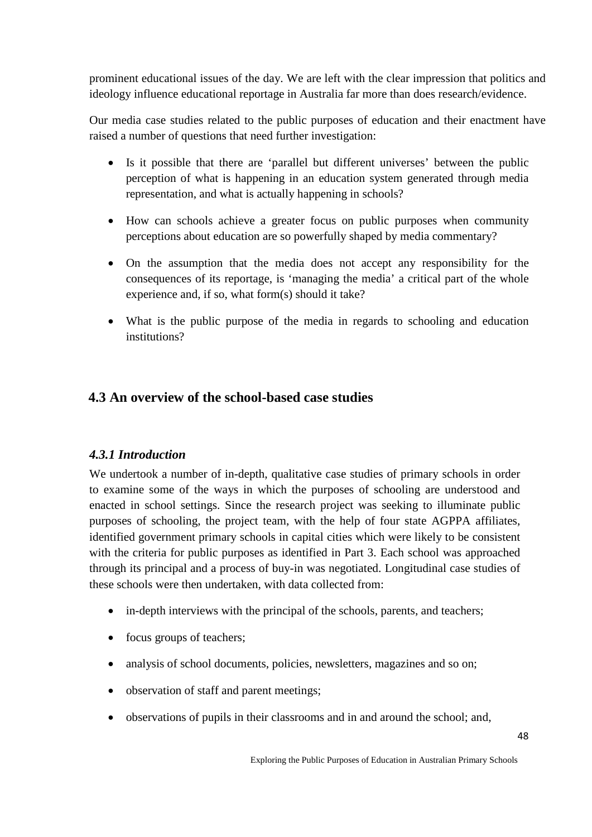prominent educational issues of the day. We are left with the clear impression that politics and ideology influence educational reportage in Australia far more than does research/evidence.

Our media case studies related to the public purposes of education and their enactment have raised a number of questions that need further investigation:

- Is it possible that there are 'parallel but different universes' between the public perception of what is happening in an education system generated through media representation, and what is actually happening in schools?
- How can schools achieve a greater focus on public purposes when community perceptions about education are so powerfully shaped by media commentary?
- On the assumption that the media does not accept any responsibility for the consequences of its reportage, is 'managing the media' a critical part of the whole experience and, if so, what form(s) should it take?
- What is the public purpose of the media in regards to schooling and education institutions?

# **4.3 An overview of the school-based case studies**

# *4.3.1 Introduction*

We undertook a number of in-depth, qualitative case studies of primary schools in order to examine some of the ways in which the purposes of schooling are understood and enacted in school settings. Since the research project was seeking to illuminate public purposes of schooling, the project team, with the help of four state AGPPA affiliates, identified government primary schools in capital cities which were likely to be consistent with the criteria for public purposes as identified in Part 3. Each school was approached through its principal and a process of buy-in was negotiated. Longitudinal case studies of these schools were then undertaken, with data collected from:

- in-depth interviews with the principal of the schools, parents, and teachers;
- focus groups of teachers:
- analysis of school documents, policies, newsletters, magazines and so on;
- observation of staff and parent meetings;
- observations of pupils in their classrooms and in and around the school; and,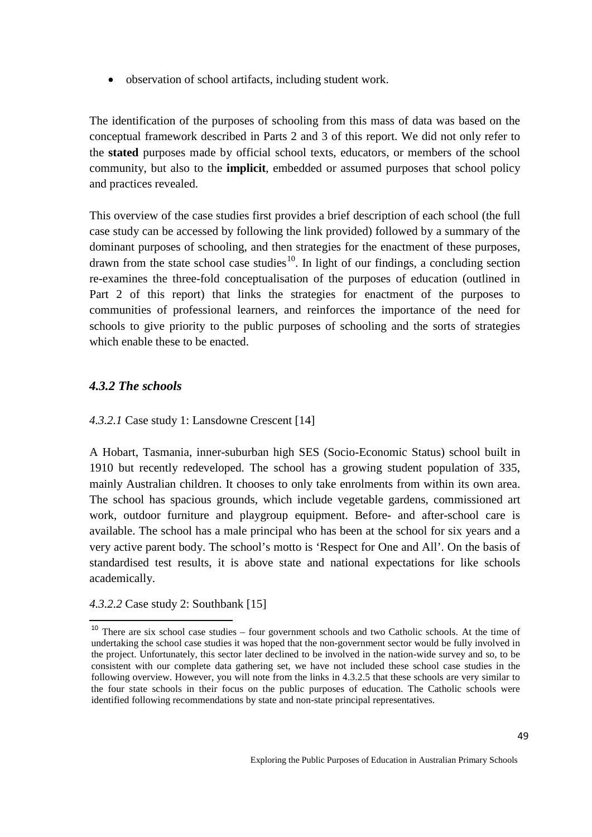• observation of school artifacts, including student work.

The identification of the purposes of schooling from this mass of data was based on the conceptual framework described in Parts 2 and 3 of this report. We did not only refer to the **stated** purposes made by official school texts, educators, or members of the school community, but also to the **implicit**, embedded or assumed purposes that school policy and practices revealed.

This overview of the case studies first provides a brief description of each school (the full case study can be accessed by following the link provided) followed by a summary of the dominant purposes of schooling, and then strategies for the enactment of these purposes, drawn from the state school case studies<sup>[10](#page-48-0)</sup>. In light of our findings, a concluding section re-examines the three-fold conceptualisation of the purposes of education (outlined in Part 2 of this report) that links the strategies for enactment of the purposes to communities of professional learners, and reinforces the importance of the need for schools to give priority to the public purposes of schooling and the sorts of strategies which enable these to be enacted.

# *4.3.2 The schools*

*4.3.2.1* Case study 1: Lansdowne Crescent [14]

A Hobart, Tasmania, inner-suburban high SES (Socio-Economic Status) school built in 1910 but recently redeveloped. The school has a growing student population of 335, mainly Australian children. It chooses to only take enrolments from within its own area. The school has spacious grounds, which include vegetable gardens, commissioned art work, outdoor furniture and playgroup equipment. Before- and after-school care is available. The school has a male principal who has been at the school for six years and a very active parent body. The school's motto is 'Respect for One and All'. On the basis of standardised test results, it is above state and national expectations for like schools academically.

*4.3.2.2* Case study 2: Southbank [15]

<span id="page-48-0"></span><sup>10</sup> There are six school case studies – four government schools and two Catholic schools. At the time of undertaking the school case studies it was hoped that the non-government sector would be fully involved in the project. Unfortunately, this sector later declined to be involved in the nation-wide survey and so, to be consistent with our complete data gathering set, we have not included these school case studies in the following overview. However, you will note from the links in 4.3.2.5 that these schools are very similar to the four state schools in their focus on the public purposes of education. The Catholic schools were identified following recommendations by state and non-state principal representatives.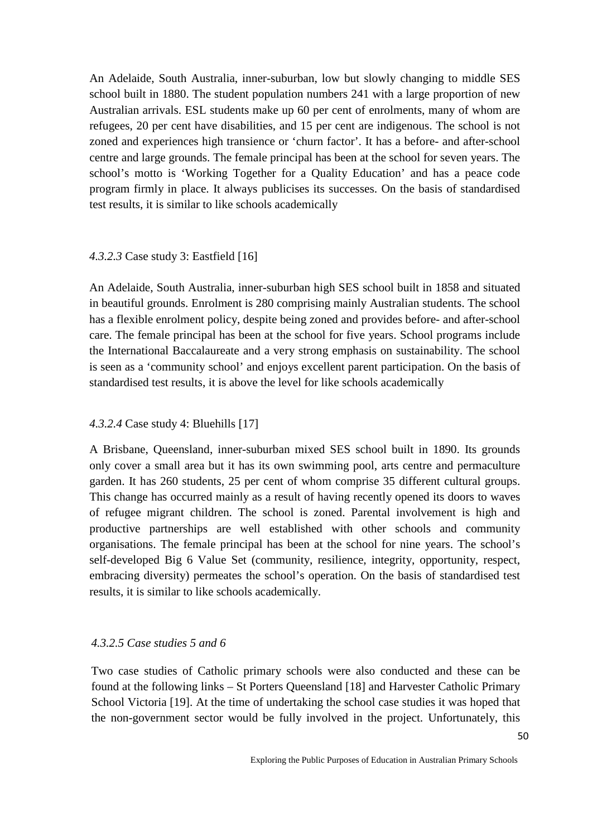An Adelaide, South Australia, inner-suburban, low but slowly changing to middle SES school built in 1880. The student population numbers 241 with a large proportion of new Australian arrivals. ESL students make up 60 per cent of enrolments, many of whom are refugees, 20 per cent have disabilities, and 15 per cent are indigenous. The school is not zoned and experiences high transience or 'churn factor'. It has a before- and after-school centre and large grounds. The female principal has been at the school for seven years. The school's motto is 'Working Together for a Quality Education' and has a peace code program firmly in place. It always publicises its successes. On the basis of standardised test results, it is similar to like schools academically

### *4.3.2.3* Case study 3: Eastfield [16]

An Adelaide, South Australia, inner-suburban high SES school built in 1858 and situated in beautiful grounds. Enrolment is 280 comprising mainly Australian students. The school has a flexible enrolment policy, despite being zoned and provides before- and after-school care. The female principal has been at the school for five years. School programs include the International Baccalaureate and a very strong emphasis on sustainability. The school is seen as a 'community school' and enjoys excellent parent participation. On the basis of standardised test results, it is above the level for like schools academically

### *4.3.2.4* Case study 4: Bluehills [17]

A Brisbane, Queensland, inner-suburban mixed SES school built in 1890. Its grounds only cover a small area but it has its own swimming pool, arts centre and permaculture garden. It has 260 students, 25 per cent of whom comprise 35 different cultural groups. This change has occurred mainly as a result of having recently opened its doors to waves of refugee migrant children. The school is zoned. Parental involvement is high and productive partnerships are well established with other schools and community organisations. The female principal has been at the school for nine years. The school's self-developed Big 6 Value Set (community, resilience, integrity, opportunity, respect, embracing diversity) permeates the school's operation. On the basis of standardised test results, it is similar to like schools academically.

#### *4.3.2.5 Case studies 5 and 6*

Two case studies of Catholic primary schools were also conducted and these can be found at the following links – St Porters Queensland [18] and Harvester Catholic Primary School Victoria [19]. At the time of undertaking the school case studies it was hoped that the non-government sector would be fully involved in the project. Unfortunately, this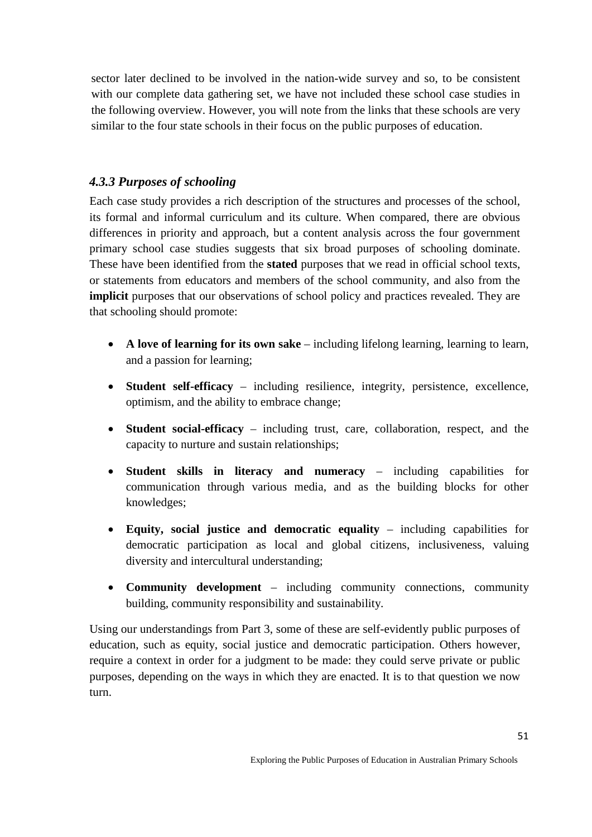sector later declined to be involved in the nation-wide survey and so, to be consistent with our complete data gathering set, we have not included these school case studies in the following overview. However, you will note from the links that these schools are very similar to the four state schools in their focus on the public purposes of education.

### *4.3.3 Purposes of schooling*

Each case study provides a rich description of the structures and processes of the school, its formal and informal curriculum and its culture. When compared, there are obvious differences in priority and approach, but a content analysis across the four government primary school case studies suggests that six broad purposes of schooling dominate. These have been identified from the **stated** purposes that we read in official school texts, or statements from educators and members of the school community, and also from the **implicit** purposes that our observations of school policy and practices revealed. They are that schooling should promote:

- **A love of learning for its own sake** including lifelong learning, learning to learn, and a passion for learning;
- **Student self-efficacy** including resilience, integrity, persistence, excellence, optimism, and the ability to embrace change;
- **Student social-efficacy** including trust, care, collaboration, respect, and the capacity to nurture and sustain relationships;
- **Student skills in literacy and numeracy** including capabilities for communication through various media, and as the building blocks for other knowledges;
- **Equity, social justice and democratic equality** including capabilities for democratic participation as local and global citizens, inclusiveness, valuing diversity and intercultural understanding;
- **Community development** including community connections, community building, community responsibility and sustainability.

Using our understandings from Part 3, some of these are self-evidently public purposes of education, such as equity, social justice and democratic participation. Others however, require a context in order for a judgment to be made: they could serve private or public purposes, depending on the ways in which they are enacted. It is to that question we now turn.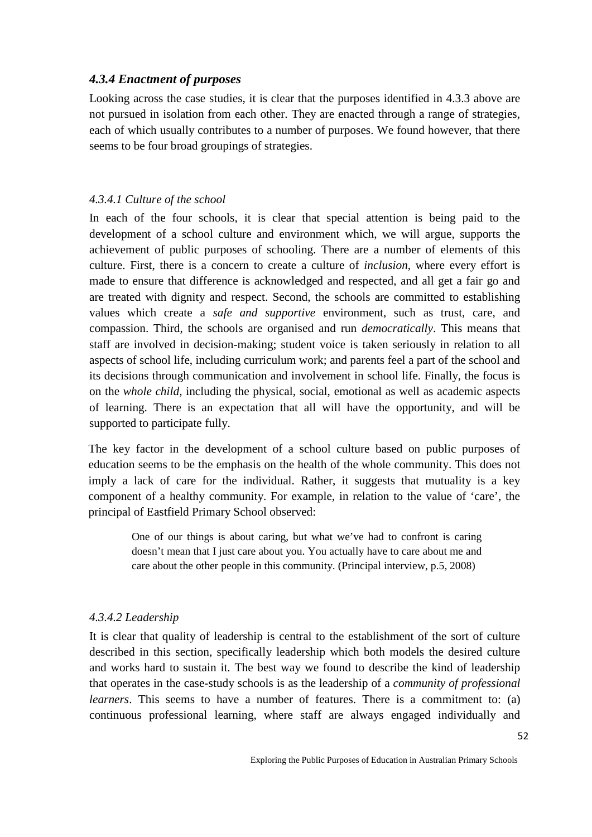### *4.3.4 Enactment of purposes*

Looking across the case studies, it is clear that the purposes identified in 4.3.3 above are not pursued in isolation from each other. They are enacted through a range of strategies, each of which usually contributes to a number of purposes. We found however, that there seems to be four broad groupings of strategies.

#### *4.3.4.1 Culture of the school*

In each of the four schools, it is clear that special attention is being paid to the development of a school culture and environment which, we will argue, supports the achievement of public purposes of schooling. There are a number of elements of this culture. First, there is a concern to create a culture of *inclusion*, where every effort is made to ensure that difference is acknowledged and respected, and all get a fair go and are treated with dignity and respect. Second, the schools are committed to establishing values which create a *safe and supportive* environment, such as trust, care, and compassion. Third, the schools are organised and run *democratically*. This means that staff are involved in decision-making; student voice is taken seriously in relation to all aspects of school life, including curriculum work; and parents feel a part of the school and its decisions through communication and involvement in school life. Finally, the focus is on the *whole child,* including the physical, social, emotional as well as academic aspects of learning. There is an expectation that all will have the opportunity, and will be supported to participate fully.

The key factor in the development of a school culture based on public purposes of education seems to be the emphasis on the health of the whole community. This does not imply a lack of care for the individual. Rather, it suggests that mutuality is a key component of a healthy community. For example, in relation to the value of 'care', the principal of Eastfield Primary School observed:

> One of our things is about caring, but what we've had to confront is caring doesn't mean that I just care about you. You actually have to care about me and care about the other people in this community. (Principal interview, p.5, 2008)

#### *4.3.4.2 Leadership*

It is clear that quality of leadership is central to the establishment of the sort of culture described in this section, specifically leadership which both models the desired culture and works hard to sustain it. The best way we found to describe the kind of leadership that operates in the case-study schools is as the leadership of a *community of professional learners*. This seems to have a number of features. There is a commitment to: (a) continuous professional learning, where staff are always engaged individually and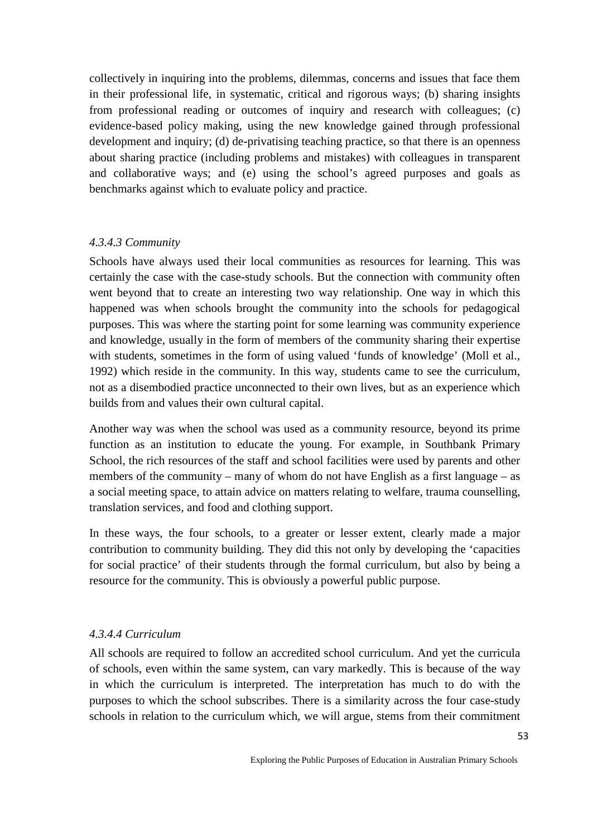collectively in inquiring into the problems, dilemmas, concerns and issues that face them in their professional life, in systematic, critical and rigorous ways; (b) sharing insights from professional reading or outcomes of inquiry and research with colleagues; (c) evidence-based policy making, using the new knowledge gained through professional development and inquiry; (d) de-privatising teaching practice, so that there is an openness about sharing practice (including problems and mistakes) with colleagues in transparent and collaborative ways; and (e) using the school's agreed purposes and goals as benchmarks against which to evaluate policy and practice.

#### *4.3.4.3 Community*

Schools have always used their local communities as resources for learning. This was certainly the case with the case-study schools. But the connection with community often went beyond that to create an interesting two way relationship. One way in which this happened was when schools brought the community into the schools for pedagogical purposes. This was where the starting point for some learning was community experience and knowledge, usually in the form of members of the community sharing their expertise with students, sometimes in the form of using valued 'funds of knowledge' (Moll et al., 1992) which reside in the community. In this way, students came to see the curriculum, not as a disembodied practice unconnected to their own lives, but as an experience which builds from and values their own cultural capital.

Another way was when the school was used as a community resource, beyond its prime function as an institution to educate the young. For example, in Southbank Primary School, the rich resources of the staff and school facilities were used by parents and other members of the community – many of whom do not have English as a first language – as a social meeting space, to attain advice on matters relating to welfare, trauma counselling, translation services, and food and clothing support.

In these ways, the four schools, to a greater or lesser extent, clearly made a major contribution to community building. They did this not only by developing the 'capacities for social practice' of their students through the formal curriculum, but also by being a resource for the community. This is obviously a powerful public purpose.

#### *4.3.4.4 Curriculum*

All schools are required to follow an accredited school curriculum. And yet the curricula of schools, even within the same system, can vary markedly. This is because of the way in which the curriculum is interpreted. The interpretation has much to do with the purposes to which the school subscribes. There is a similarity across the four case-study schools in relation to the curriculum which, we will argue, stems from their commitment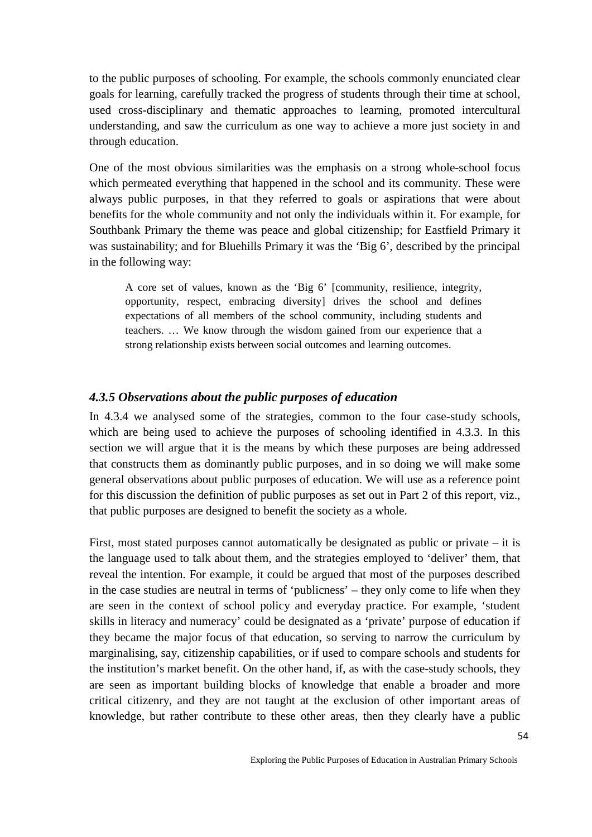to the public purposes of schooling. For example, the schools commonly enunciated clear goals for learning, carefully tracked the progress of students through their time at school, used cross-disciplinary and thematic approaches to learning, promoted intercultural understanding, and saw the curriculum as one way to achieve a more just society in and through education.

One of the most obvious similarities was the emphasis on a strong whole-school focus which permeated everything that happened in the school and its community. These were always public purposes, in that they referred to goals or aspirations that were about benefits for the whole community and not only the individuals within it. For example, for Southbank Primary the theme was peace and global citizenship; for Eastfield Primary it was sustainability; and for Bluehills Primary it was the 'Big 6', described by the principal in the following way:

A core set of values, known as the 'Big 6' [community, resilience, integrity, opportunity, respect, embracing diversity] drives the school and defines expectations of all members of the school community, including students and teachers. … We know through the wisdom gained from our experience that a strong relationship exists between social outcomes and learning outcomes.

#### *4.3.5 Observations about the public purposes of education*

In 4.3.4 we analysed some of the strategies, common to the four case-study schools, which are being used to achieve the purposes of schooling identified in 4.3.3. In this section we will argue that it is the means by which these purposes are being addressed that constructs them as dominantly public purposes, and in so doing we will make some general observations about public purposes of education. We will use as a reference point for this discussion the definition of public purposes as set out in Part 2 of this report, viz., that public purposes are designed to benefit the society as a whole.

First, most stated purposes cannot automatically be designated as public or private – it is the language used to talk about them, and the strategies employed to 'deliver' them, that reveal the intention. For example, it could be argued that most of the purposes described in the case studies are neutral in terms of 'publicness' – they only come to life when they are seen in the context of school policy and everyday practice. For example, 'student skills in literacy and numeracy' could be designated as a 'private' purpose of education if they became the major focus of that education, so serving to narrow the curriculum by marginalising, say, citizenship capabilities, or if used to compare schools and students for the institution's market benefit. On the other hand, if, as with the case-study schools, they are seen as important building blocks of knowledge that enable a broader and more critical citizenry, and they are not taught at the exclusion of other important areas of knowledge, but rather contribute to these other areas, then they clearly have a public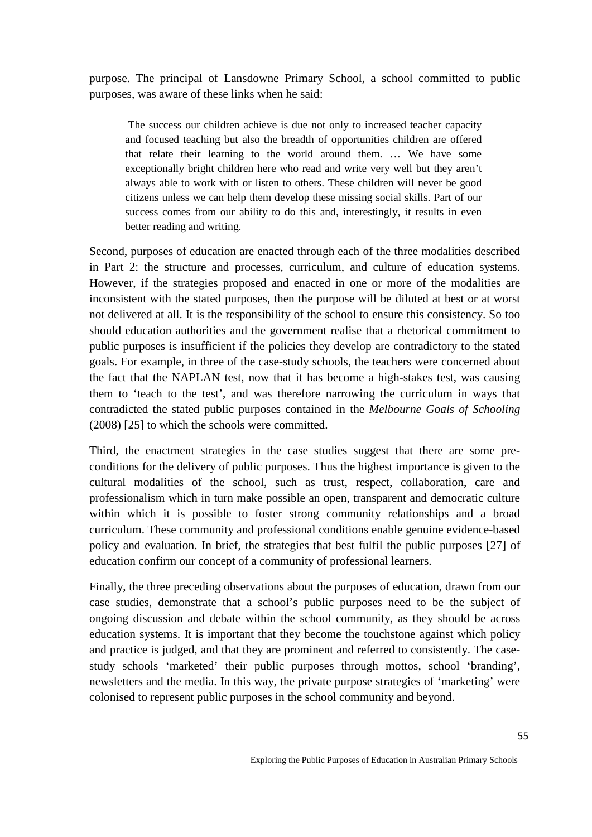purpose. The principal of Lansdowne Primary School, a school committed to public purposes, was aware of these links when he said:

The success our children achieve is due not only to increased teacher capacity and focused teaching but also the breadth of opportunities children are offered that relate their learning to the world around them. … We have some exceptionally bright children here who read and write very well but they aren't always able to work with or listen to others. These children will never be good citizens unless we can help them develop these missing social skills. Part of our success comes from our ability to do this and, interestingly, it results in even better reading and writing.

Second, purposes of education are enacted through each of the three modalities described in Part 2: the structure and processes, curriculum, and culture of education systems. However, if the strategies proposed and enacted in one or more of the modalities are inconsistent with the stated purposes, then the purpose will be diluted at best or at worst not delivered at all. It is the responsibility of the school to ensure this consistency. So too should education authorities and the government realise that a rhetorical commitment to public purposes is insufficient if the policies they develop are contradictory to the stated goals. For example, in three of the case-study schools, the teachers were concerned about the fact that the NAPLAN test, now that it has become a high-stakes test, was causing them to 'teach to the test', and was therefore narrowing the curriculum in ways that contradicted the stated public purposes contained in the *Melbourne Goals of Schooling* (2008) [25] to which the schools were committed.

Third, the enactment strategies in the case studies suggest that there are some preconditions for the delivery of public purposes. Thus the highest importance is given to the cultural modalities of the school, such as trust, respect, collaboration, care and professionalism which in turn make possible an open, transparent and democratic culture within which it is possible to foster strong community relationships and a broad curriculum. These community and professional conditions enable genuine evidence-based policy and evaluation. In brief, the strategies that best fulfil the public purposes [27] of education confirm our concept of a community of professional learners.

Finally, the three preceding observations about the purposes of education, drawn from our case studies, demonstrate that a school's public purposes need to be the subject of ongoing discussion and debate within the school community, as they should be across education systems. It is important that they become the touchstone against which policy and practice is judged, and that they are prominent and referred to consistently. The casestudy schools 'marketed' their public purposes through mottos, school 'branding', newsletters and the media. In this way, the private purpose strategies of 'marketing' were colonised to represent public purposes in the school community and beyond.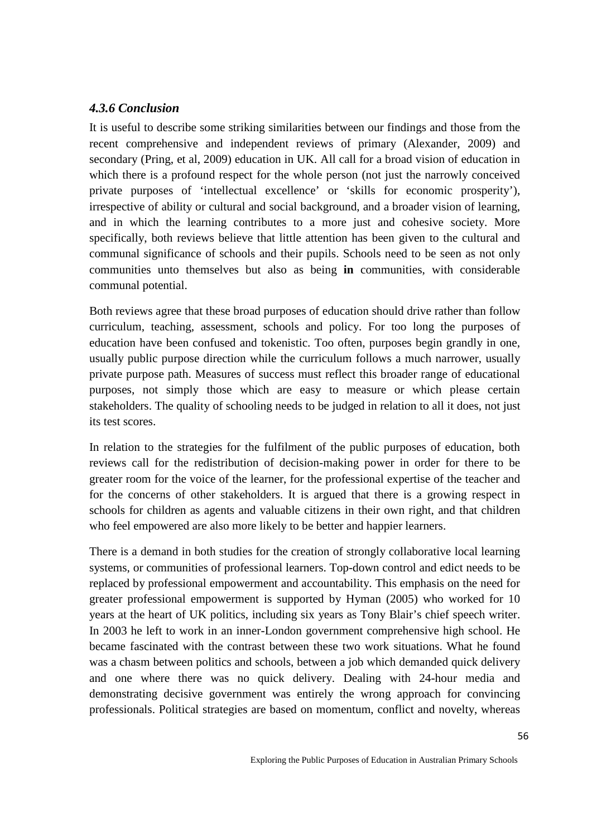### *4.3.6 Conclusion*

It is useful to describe some striking similarities between our findings and those from the recent comprehensive and independent reviews of primary (Alexander, 2009) and secondary (Pring, et al, 2009) education in UK. All call for a broad vision of education in which there is a profound respect for the whole person (not just the narrowly conceived private purposes of 'intellectual excellence' or 'skills for economic prosperity'), irrespective of ability or cultural and social background, and a broader vision of learning, and in which the learning contributes to a more just and cohesive society. More specifically, both reviews believe that little attention has been given to the cultural and communal significance of schools and their pupils. Schools need to be seen as not only communities unto themselves but also as being **in** communities, with considerable communal potential.

Both reviews agree that these broad purposes of education should drive rather than follow curriculum, teaching, assessment, schools and policy. For too long the purposes of education have been confused and tokenistic. Too often, purposes begin grandly in one, usually public purpose direction while the curriculum follows a much narrower, usually private purpose path. Measures of success must reflect this broader range of educational purposes, not simply those which are easy to measure or which please certain stakeholders. The quality of schooling needs to be judged in relation to all it does, not just its test scores.

In relation to the strategies for the fulfilment of the public purposes of education, both reviews call for the redistribution of decision-making power in order for there to be greater room for the voice of the learner, for the professional expertise of the teacher and for the concerns of other stakeholders. It is argued that there is a growing respect in schools for children as agents and valuable citizens in their own right, and that children who feel empowered are also more likely to be better and happier learners.

There is a demand in both studies for the creation of strongly collaborative local learning systems, or communities of professional learners. Top-down control and edict needs to be replaced by professional empowerment and accountability. This emphasis on the need for greater professional empowerment is supported by Hyman (2005) who worked for 10 years at the heart of UK politics, including six years as Tony Blair's chief speech writer. In 2003 he left to work in an inner-London government comprehensive high school. He became fascinated with the contrast between these two work situations. What he found was a chasm between politics and schools, between a job which demanded quick delivery and one where there was no quick delivery. Dealing with 24-hour media and demonstrating decisive government was entirely the wrong approach for convincing professionals. Political strategies are based on momentum, conflict and novelty, whereas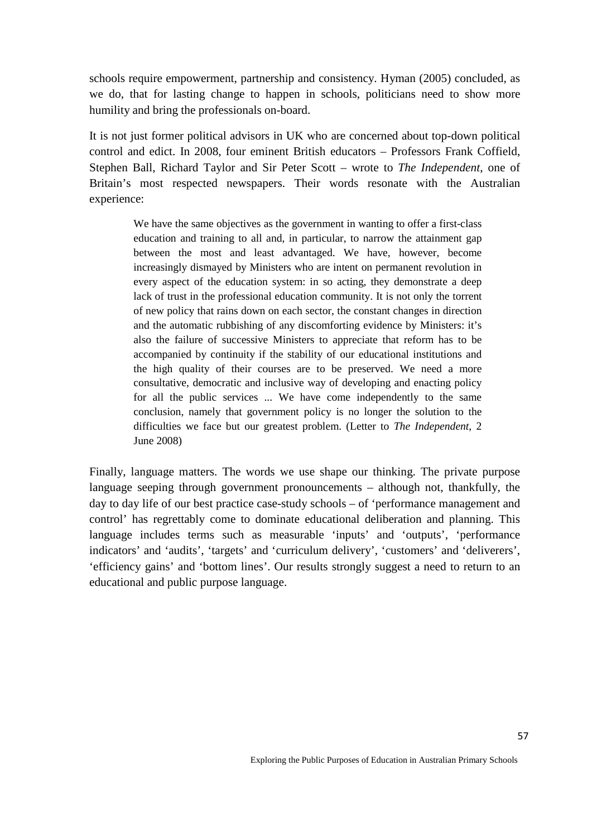schools require empowerment, partnership and consistency. Hyman (2005) concluded, as we do, that for lasting change to happen in schools, politicians need to show more humility and bring the professionals on-board.

It is not just former political advisors in UK who are concerned about top-down political control and edict. In 2008, four eminent British educators – Professors Frank Coffield, Stephen Ball, Richard Taylor and Sir Peter Scott – wrote to *The Independent*, one of Britain's most respected newspapers. Their words resonate with the Australian experience:

> We have the same objectives as the government in wanting to offer a first-class education and training to all and, in particular, to narrow the attainment gap between the most and least advantaged. We have, however, become increasingly dismayed by Ministers who are intent on permanent revolution in every aspect of the education system: in so acting, they demonstrate a deep lack of trust in the professional education community. It is not only the torrent of new policy that rains down on each sector, the constant changes in direction and the automatic rubbishing of any discomforting evidence by Ministers: it's also the failure of successive Ministers to appreciate that reform has to be accompanied by continuity if the stability of our educational institutions and the high quality of their courses are to be preserved. We need a more consultative, democratic and inclusive way of developing and enacting policy for all the public services ... We have come independently to the same conclusion, namely that government policy is no longer the solution to the difficulties we face but our greatest problem. (Letter to *The Independent*, 2 June 2008)

Finally, language matters. The words we use shape our thinking. The private purpose language seeping through government pronouncements – although not, thankfully, the day to day life of our best practice case-study schools – of 'performance management and control' has regrettably come to dominate educational deliberation and planning. This language includes terms such as measurable 'inputs' and 'outputs', 'performance indicators' and 'audits', 'targets' and 'curriculum delivery', 'customers' and 'deliverers', 'efficiency gains' and 'bottom lines'. Our results strongly suggest a need to return to an educational and public purpose language.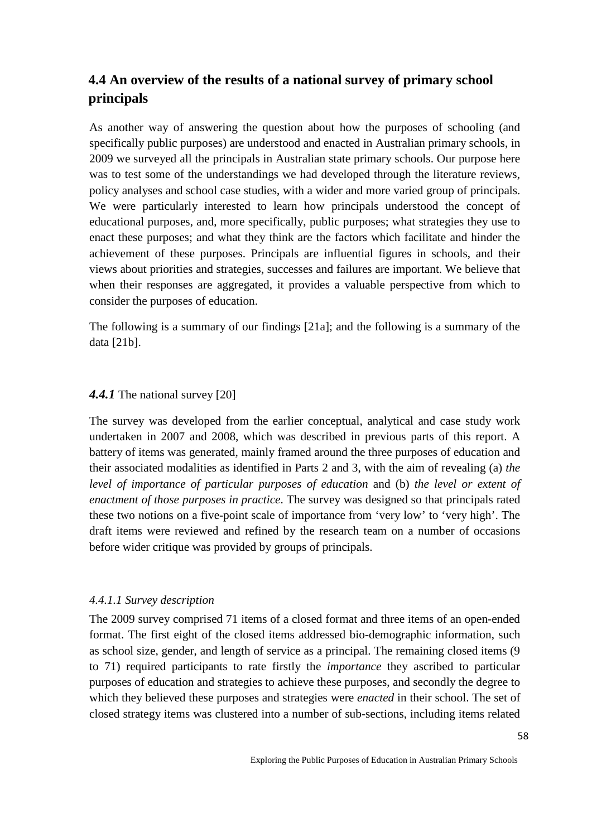# **4.4 An overview of the results of a national survey of primary school principals**

As another way of answering the question about how the purposes of schooling (and specifically public purposes) are understood and enacted in Australian primary schools, in 2009 we surveyed all the principals in Australian state primary schools. Our purpose here was to test some of the understandings we had developed through the literature reviews, policy analyses and school case studies, with a wider and more varied group of principals. We were particularly interested to learn how principals understood the concept of educational purposes, and, more specifically, public purposes; what strategies they use to enact these purposes; and what they think are the factors which facilitate and hinder the achievement of these purposes. Principals are influential figures in schools, and their views about priorities and strategies, successes and failures are important. We believe that when their responses are aggregated, it provides a valuable perspective from which to consider the purposes of education.

The following is a summary of our findings [21a]; and the following is a summary of the data [21b].

### *4.4.1* The national survey [20]

The survey was developed from the earlier conceptual, analytical and case study work undertaken in 2007 and 2008, which was described in previous parts of this report. A battery of items was generated, mainly framed around the three purposes of education and their associated modalities as identified in Parts 2 and 3, with the aim of revealing (a) *the level of importance of particular purposes of education* and (b) *the level or extent of enactment of those purposes in practice*. The survey was designed so that principals rated these two notions on a five-point scale of importance from 'very low' to 'very high'. The draft items were reviewed and refined by the research team on a number of occasions before wider critique was provided by groups of principals.

#### *4.4.1.1 Survey description*

The 2009 survey comprised 71 items of a closed format and three items of an open-ended format. The first eight of the closed items addressed bio-demographic information, such as school size, gender, and length of service as a principal. The remaining closed items (9 to 71) required participants to rate firstly the *importance* they ascribed to particular purposes of education and strategies to achieve these purposes, and secondly the degree to which they believed these purposes and strategies were *enacted* in their school. The set of closed strategy items was clustered into a number of sub-sections, including items related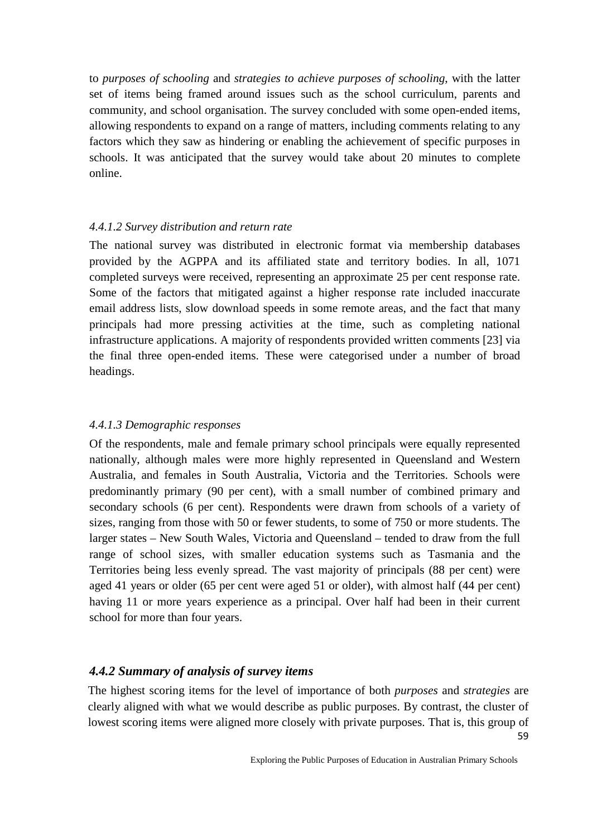to *purposes of schooling* and *strategies to achieve purposes of schooling*, with the latter set of items being framed around issues such as the school curriculum, parents and community, and school organisation. The survey concluded with some open-ended items, allowing respondents to expand on a range of matters, including comments relating to any factors which they saw as hindering or enabling the achievement of specific purposes in schools. It was anticipated that the survey would take about 20 minutes to complete online.

### *4.4.1.2 Survey distribution and return rate*

The national survey was distributed in electronic format via membership databases provided by the AGPPA and its affiliated state and territory bodies. In all, 1071 completed surveys were received, representing an approximate 25 per cent response rate. Some of the factors that mitigated against a higher response rate included inaccurate email address lists, slow download speeds in some remote areas, and the fact that many principals had more pressing activities at the time, such as completing national infrastructure applications. A majority of respondents provided written comments [23] via the final three open-ended items. These were categorised under a number of broad headings.

### *4.4.1.3 Demographic responses*

Of the respondents, male and female primary school principals were equally represented nationally, although males were more highly represented in Queensland and Western Australia, and females in South Australia, Victoria and the Territories. Schools were predominantly primary (90 per cent), with a small number of combined primary and secondary schools (6 per cent). Respondents were drawn from schools of a variety of sizes, ranging from those with 50 or fewer students, to some of 750 or more students. The larger states – New South Wales, Victoria and Queensland – tended to draw from the full range of school sizes, with smaller education systems such as Tasmania and the Territories being less evenly spread. The vast majority of principals (88 per cent) were aged 41 years or older (65 per cent were aged 51 or older), with almost half (44 per cent) having 11 or more years experience as a principal. Over half had been in their current school for more than four years.

### *4.4.2 Summary of analysis of survey items*

59 The highest scoring items for the level of importance of both *purposes* and *strategies* are clearly aligned with what we would describe as public purposes. By contrast, the cluster of lowest scoring items were aligned more closely with private purposes. That is, this group of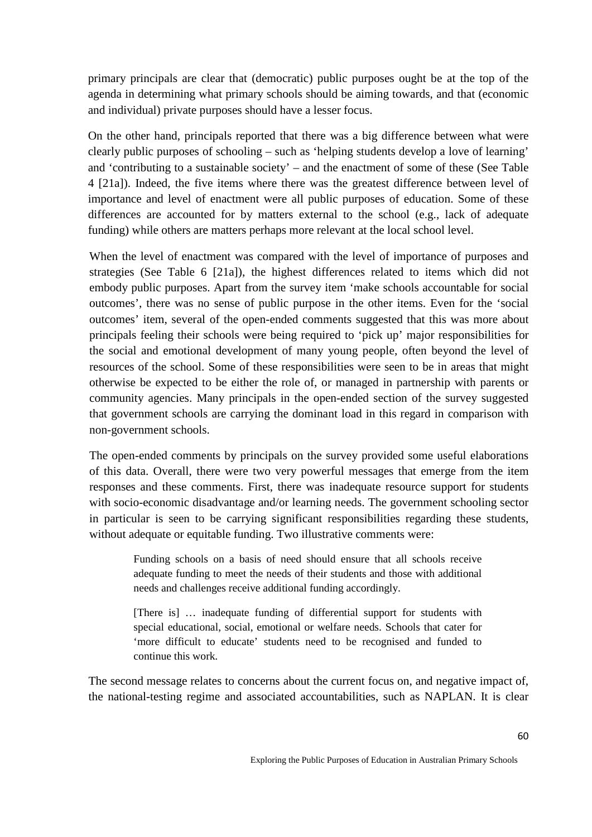primary principals are clear that (democratic) public purposes ought be at the top of the agenda in determining what primary schools should be aiming towards, and that (economic and individual) private purposes should have a lesser focus.

On the other hand, principals reported that there was a big difference between what were clearly public purposes of schooling – such as 'helping students develop a love of learning' and 'contributing to a sustainable society' – and the enactment of some of these (See Table 4 [21a]). Indeed, the five items where there was the greatest difference between level of importance and level of enactment were all public purposes of education. Some of these differences are accounted for by matters external to the school (e.g., lack of adequate funding) while others are matters perhaps more relevant at the local school level.

When the level of enactment was compared with the level of importance of purposes and strategies (See Table 6 [21a]), the highest differences related to items which did not embody public purposes. Apart from the survey item 'make schools accountable for social outcomes', there was no sense of public purpose in the other items. Even for the 'social outcomes' item, several of the open-ended comments suggested that this was more about principals feeling their schools were being required to 'pick up' major responsibilities for the social and emotional development of many young people, often beyond the level of resources of the school. Some of these responsibilities were seen to be in areas that might otherwise be expected to be either the role of, or managed in partnership with parents or community agencies. Many principals in the open-ended section of the survey suggested that government schools are carrying the dominant load in this regard in comparison with non-government schools.

The open-ended comments by principals on the survey provided some useful elaborations of this data. Overall, there were two very powerful messages that emerge from the item responses and these comments. First, there was inadequate resource support for students with socio-economic disadvantage and/or learning needs. The government schooling sector in particular is seen to be carrying significant responsibilities regarding these students, without adequate or equitable funding. Two illustrative comments were:

Funding schools on a basis of need should ensure that all schools receive adequate funding to meet the needs of their students and those with additional needs and challenges receive additional funding accordingly.

[There is] … inadequate funding of differential support for students with special educational, social, emotional or welfare needs. Schools that cater for 'more difficult to educate' students need to be recognised and funded to continue this work.

The second message relates to concerns about the current focus on, and negative impact of, the national-testing regime and associated accountabilities, such as NAPLAN. It is clear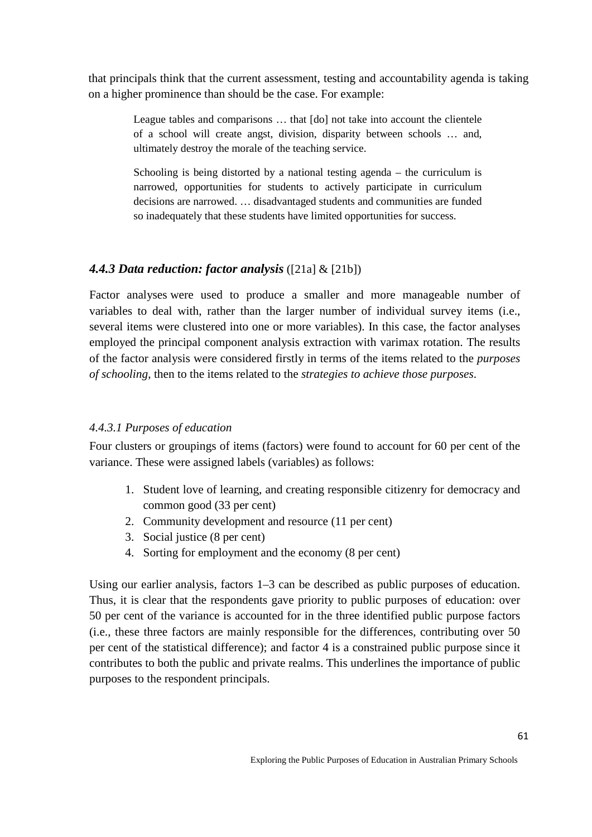that principals think that the current assessment, testing and accountability agenda is taking on a higher prominence than should be the case. For example:

League tables and comparisons … that [do] not take into account the clientele of a school will create angst, division, disparity between schools … and, ultimately destroy the morale of the teaching service.

Schooling is being distorted by a national testing agenda – the curriculum is narrowed, opportunities for students to actively participate in curriculum decisions are narrowed. … disadvantaged students and communities are funded so inadequately that these students have limited opportunities for success.

### *4.4.3 Data reduction: factor analysis* ([21a] & [21b])

Factor analyses were used to produce a smaller and more manageable number of variables to deal with, rather than the larger number of individual survey items (i.e., several items were clustered into one or more variables). In this case, the factor analyses employed the principal component analysis extraction with varimax rotation. The results of the factor analysis were considered firstly in terms of the items related to the *purposes of schooling*, then to the items related to the *strategies to achieve those purposes*.

#### *4.4.3.1 Purposes of education*

Four clusters or groupings of items (factors) were found to account for 60 per cent of the variance. These were assigned labels (variables) as follows:

- 1. Student love of learning, and creating responsible citizenry for democracy and common good (33 per cent)
- 2. Community development and resource (11 per cent)
- 3. Social justice (8 per cent)
- 4. Sorting for employment and the economy (8 per cent)

Using our earlier analysis, factors 1–3 can be described as public purposes of education. Thus, it is clear that the respondents gave priority to public purposes of education: over 50 per cent of the variance is accounted for in the three identified public purpose factors (i.e., these three factors are mainly responsible for the differences, contributing over 50 per cent of the statistical difference); and factor 4 is a constrained public purpose since it contributes to both the public and private realms. This underlines the importance of public purposes to the respondent principals.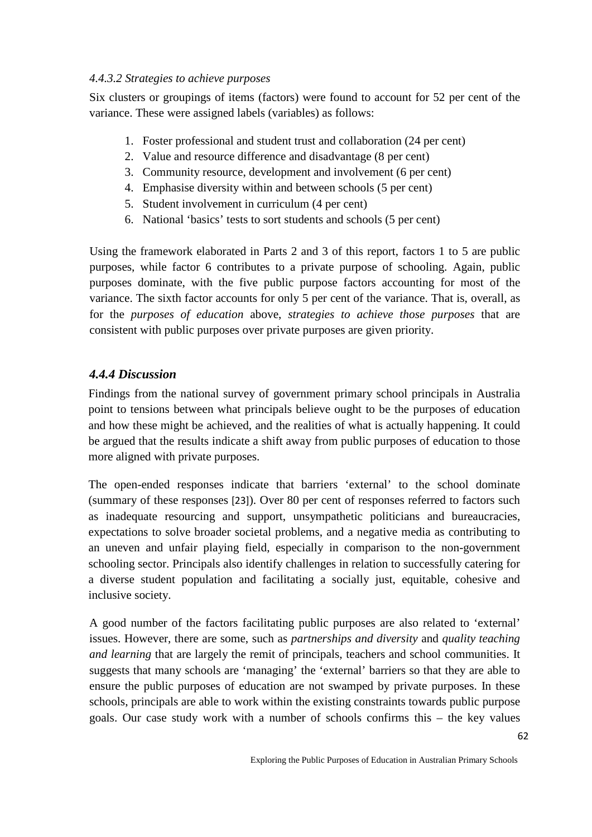### *4.4.3.2 Strategies to achieve purposes*

Six clusters or groupings of items (factors) were found to account for 52 per cent of the variance. These were assigned labels (variables) as follows:

- 1. Foster professional and student trust and collaboration (24 per cent)
- 2. Value and resource difference and disadvantage (8 per cent)
- 3. Community resource, development and involvement (6 per cent)
- 4. Emphasise diversity within and between schools (5 per cent)
- 5. Student involvement in curriculum (4 per cent)
- 6. National 'basics' tests to sort students and schools (5 per cent)

Using the framework elaborated in Parts 2 and 3 of this report, factors 1 to 5 are public purposes, while factor 6 contributes to a private purpose of schooling. Again, public purposes dominate, with the five public purpose factors accounting for most of the variance. The sixth factor accounts for only 5 per cent of the variance. That is, overall, as for the *purposes of education* above, *strategies to achieve those purposes* that are consistent with public purposes over private purposes are given priority.

# *4.4.4 Discussion*

Findings from the national survey of government primary school principals in Australia point to tensions between what principals believe ought to be the purposes of education and how these might be achieved, and the realities of what is actually happening. It could be argued that the results indicate a shift away from public purposes of education to those more aligned with private purposes.

The open-ended responses indicate that barriers 'external' to the school dominate (summary of these responses [23]). Over 80 per cent of responses referred to factors such as inadequate resourcing and support, unsympathetic politicians and bureaucracies, expectations to solve broader societal problems, and a negative media as contributing to an uneven and unfair playing field, especially in comparison to the non-government schooling sector. Principals also identify challenges in relation to successfully catering for a diverse student population and facilitating a socially just, equitable, cohesive and inclusive society.

A good number of the factors facilitating public purposes are also related to 'external' issues. However, there are some, such as *partnerships and diversity* and *quality teaching and learning* that are largely the remit of principals, teachers and school communities. It suggests that many schools are 'managing' the 'external' barriers so that they are able to ensure the public purposes of education are not swamped by private purposes. In these schools, principals are able to work within the existing constraints towards public purpose goals. Our case study work with a number of schools confirms this – the key values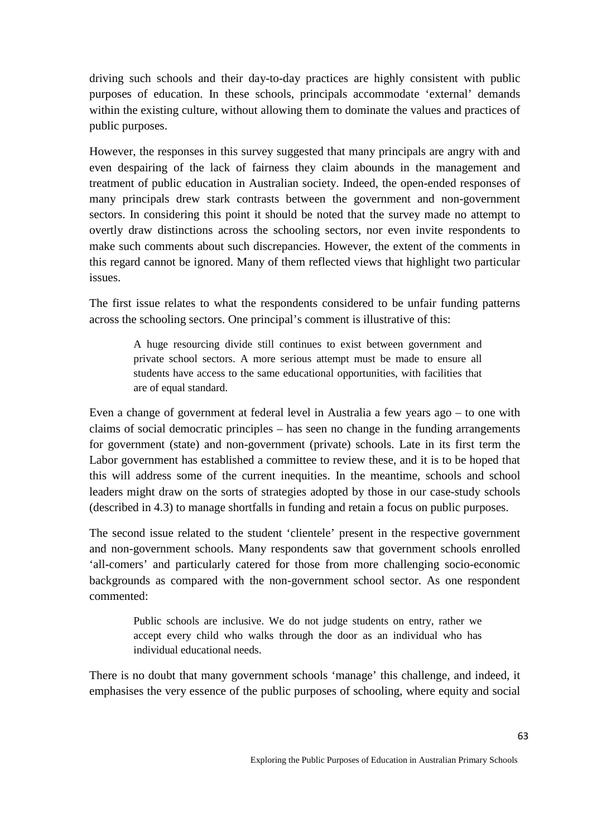driving such schools and their day-to-day practices are highly consistent with public purposes of education. In these schools, principals accommodate 'external' demands within the existing culture, without allowing them to dominate the values and practices of public purposes.

However, the responses in this survey suggested that many principals are angry with and even despairing of the lack of fairness they claim abounds in the management and treatment of public education in Australian society. Indeed, the open-ended responses of many principals drew stark contrasts between the government and non-government sectors. In considering this point it should be noted that the survey made no attempt to overtly draw distinctions across the schooling sectors, nor even invite respondents to make such comments about such discrepancies. However, the extent of the comments in this regard cannot be ignored. Many of them reflected views that highlight two particular issues.

The first issue relates to what the respondents considered to be unfair funding patterns across the schooling sectors. One principal's comment is illustrative of this:

> A huge resourcing divide still continues to exist between government and private school sectors. A more serious attempt must be made to ensure all students have access to the same educational opportunities, with facilities that are of equal standard.

Even a change of government at federal level in Australia a few years ago – to one with claims of social democratic principles – has seen no change in the funding arrangements for government (state) and non-government (private) schools. Late in its first term the Labor government has established a committee to review these, and it is to be hoped that this will address some of the current inequities. In the meantime, schools and school leaders might draw on the sorts of strategies adopted by those in our case-study schools (described in 4.3) to manage shortfalls in funding and retain a focus on public purposes.

The second issue related to the student 'clientele' present in the respective government and non-government schools. Many respondents saw that government schools enrolled 'all-comers' and particularly catered for those from more challenging socio-economic backgrounds as compared with the non-government school sector. As one respondent commented:

> Public schools are inclusive. We do not judge students on entry, rather we accept every child who walks through the door as an individual who has individual educational needs.

There is no doubt that many government schools 'manage' this challenge, and indeed, it emphasises the very essence of the public purposes of schooling, where equity and social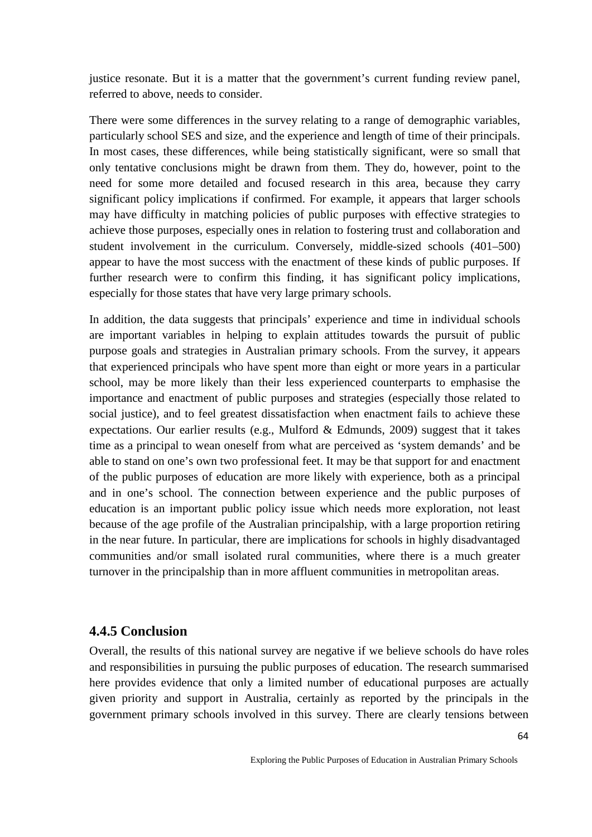justice resonate. But it is a matter that the government's current funding review panel, referred to above, needs to consider.

There were some differences in the survey relating to a range of demographic variables, particularly school SES and size, and the experience and length of time of their principals. In most cases, these differences, while being statistically significant, were so small that only tentative conclusions might be drawn from them. They do, however, point to the need for some more detailed and focused research in this area, because they carry significant policy implications if confirmed. For example, it appears that larger schools may have difficulty in matching policies of public purposes with effective strategies to achieve those purposes, especially ones in relation to fostering trust and collaboration and student involvement in the curriculum. Conversely, middle-sized schools (401–500) appear to have the most success with the enactment of these kinds of public purposes. If further research were to confirm this finding, it has significant policy implications, especially for those states that have very large primary schools.

In addition, the data suggests that principals' experience and time in individual schools are important variables in helping to explain attitudes towards the pursuit of public purpose goals and strategies in Australian primary schools. From the survey, it appears that experienced principals who have spent more than eight or more years in a particular school, may be more likely than their less experienced counterparts to emphasise the importance and enactment of public purposes and strategies (especially those related to social justice), and to feel greatest dissatisfaction when enactment fails to achieve these expectations. Our earlier results (e.g., Mulford & Edmunds, 2009) suggest that it takes time as a principal to wean oneself from what are perceived as 'system demands' and be able to stand on one's own two professional feet. It may be that support for and enactment of the public purposes of education are more likely with experience, both as a principal and in one's school. The connection between experience and the public purposes of education is an important public policy issue which needs more exploration, not least because of the age profile of the Australian principalship, with a large proportion retiring in the near future. In particular, there are implications for schools in highly disadvantaged communities and/or small isolated rural communities, where there is a much greater turnover in the principalship than in more affluent communities in metropolitan areas.

### **4.4.5 Conclusion**

Overall, the results of this national survey are negative if we believe schools do have roles and responsibilities in pursuing the public purposes of education. The research summarised here provides evidence that only a limited number of educational purposes are actually given priority and support in Australia, certainly as reported by the principals in the government primary schools involved in this survey. There are clearly tensions between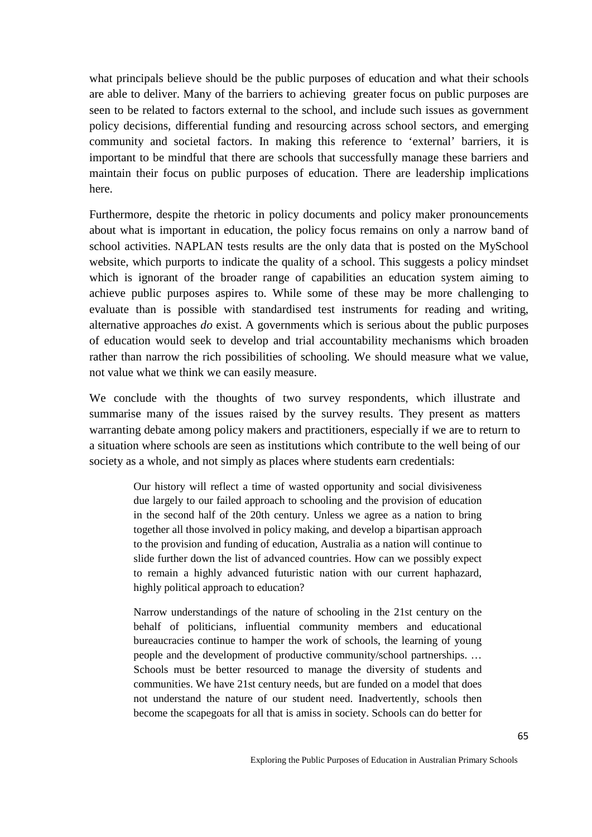what principals believe should be the public purposes of education and what their schools are able to deliver. Many of the barriers to achieving greater focus on public purposes are seen to be related to factors external to the school, and include such issues as government policy decisions, differential funding and resourcing across school sectors, and emerging community and societal factors. In making this reference to 'external' barriers, it is important to be mindful that there are schools that successfully manage these barriers and maintain their focus on public purposes of education. There are leadership implications here.

Furthermore, despite the rhetoric in policy documents and policy maker pronouncements about what is important in education, the policy focus remains on only a narrow band of school activities. NAPLAN tests results are the only data that is posted on the MySchool website, which purports to indicate the quality of a school. This suggests a policy mindset which is ignorant of the broader range of capabilities an education system aiming to achieve public purposes aspires to. While some of these may be more challenging to evaluate than is possible with standardised test instruments for reading and writing, alternative approaches *do* exist. A governments which is serious about the public purposes of education would seek to develop and trial accountability mechanisms which broaden rather than narrow the rich possibilities of schooling. We should measure what we value, not value what we think we can easily measure.

We conclude with the thoughts of two survey respondents, which illustrate and summarise many of the issues raised by the survey results. They present as matters warranting debate among policy makers and practitioners, especially if we are to return to a situation where schools are seen as institutions which contribute to the well being of our society as a whole, and not simply as places where students earn credentials:

> Our history will reflect a time of wasted opportunity and social divisiveness due largely to our failed approach to schooling and the provision of education in the second half of the 20th century. Unless we agree as a nation to bring together all those involved in policy making, and develop a bipartisan approach to the provision and funding of education, Australia as a nation will continue to slide further down the list of advanced countries. How can we possibly expect to remain a highly advanced futuristic nation with our current haphazard, highly political approach to education?

> Narrow understandings of the nature of schooling in the 21st century on the behalf of politicians, influential community members and educational bureaucracies continue to hamper the work of schools, the learning of young people and the development of productive community/school partnerships. … Schools must be better resourced to manage the diversity of students and communities. We have 21st century needs, but are funded on a model that does not understand the nature of our student need. Inadvertently, schools then become the scapegoats for all that is amiss in society. Schools can do better for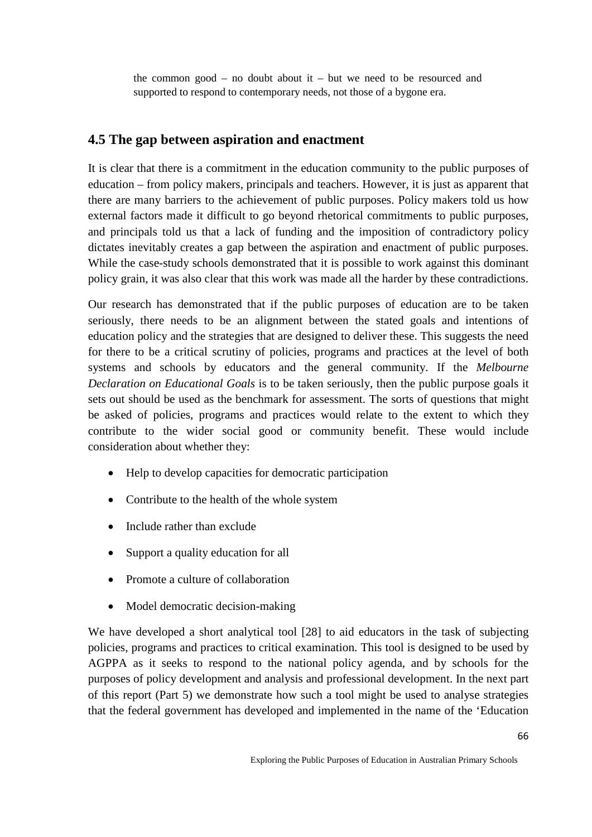the common good – no doubt about  $i - b$ ut we need to be resourced and supported to respond to contemporary needs, not those of a bygone era.

# **4.5 The gap between aspiration and enactment**

It is clear that there is a commitment in the education community to the public purposes of education – from policy makers, principals and teachers. However, it is just as apparent that there are many barriers to the achievement of public purposes. Policy makers told us how external factors made it difficult to go beyond rhetorical commitments to public purposes, and principals told us that a lack of funding and the imposition of contradictory policy dictates inevitably creates a gap between the aspiration and enactment of public purposes. While the case-study schools demonstrated that it is possible to work against this dominant policy grain, it was also clear that this work was made all the harder by these contradictions.

Our research has demonstrated that if the public purposes of education are to be taken seriously, there needs to be an alignment between the stated goals and intentions of education policy and the strategies that are designed to deliver these. This suggests the need for there to be a critical scrutiny of policies, programs and practices at the level of both systems and schools by educators and the general community. If the *Melbourne Declaration on Educational Goals* is to be taken seriously, then the public purpose goals it sets out should be used as the benchmark for assessment. The sorts of questions that might be asked of policies, programs and practices would relate to the extent to which they contribute to the wider social good or community benefit. These would include consideration about whether they:

- Help to develop capacities for democratic participation
- Contribute to the health of the whole system
- Include rather than exclude
- Support a quality education for all
- Promote a culture of collaboration
- Model democratic decision-making

We have developed a short analytical tool [28] to aid educators in the task of subjecting policies, programs and practices to critical examination. This tool is designed to be used by AGPPA as it seeks to respond to the national policy agenda, and by schools for the purposes of policy development and analysis and professional development. In the next part of this report (Part 5) we demonstrate how such a tool might be used to analyse strategies that the federal government has developed and implemented in the name of the 'Education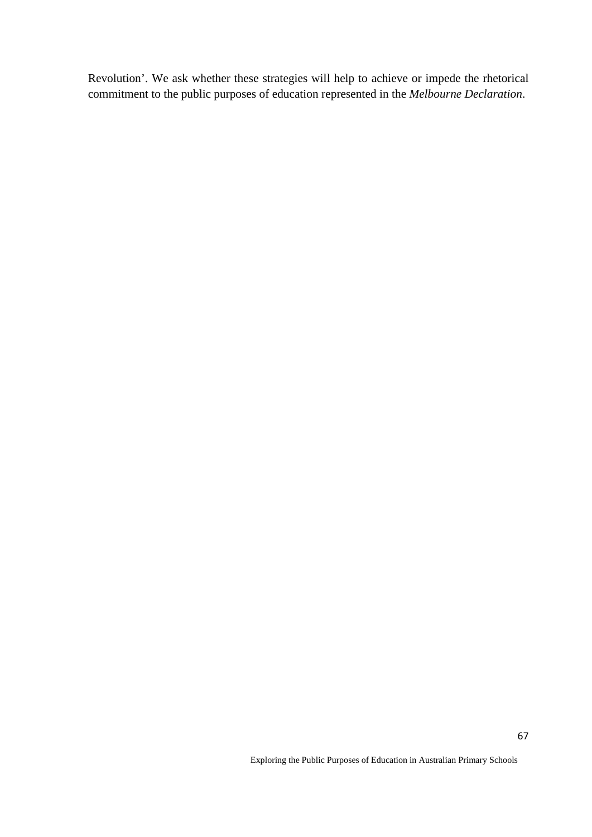Revolution'. We ask whether these strategies will help to achieve or impede the rhetorical commitment to the public purposes of education represented in the *Melbourne Declaration*.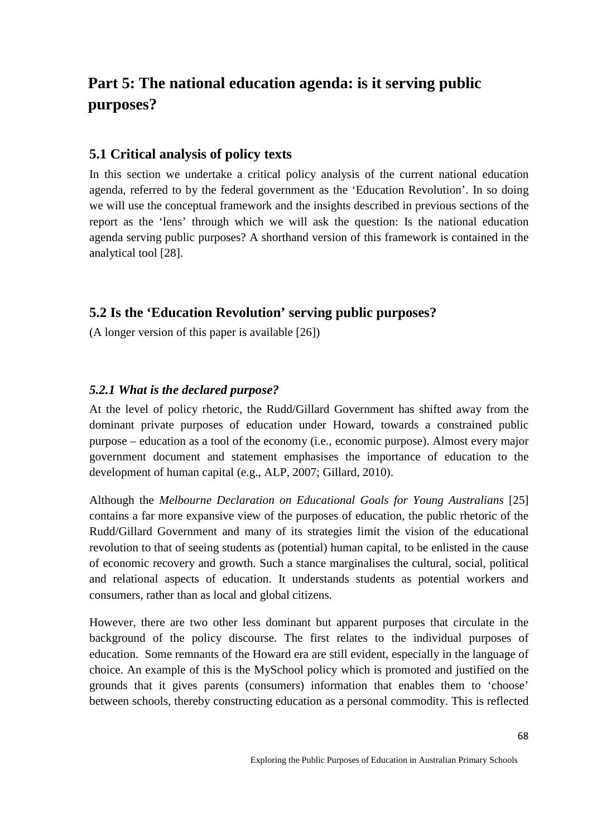# **Part 5: The national education agenda: is it serving public purposes?**

# **5.1 Critical analysis of policy texts**

In this section we undertake a critical policy analysis of the current national education agenda, referred to by the federal government as the 'Education Revolution'. In so doing we will use the conceptual framework and the insights described in previous sections of the report as the 'lens' through which we will ask the question: Is the national education agenda serving public purposes? A shorthand version of this framework is contained in the analytical tool [28].

# **5.2 Is the 'Education Revolution' serving public purposes?**

(A longer version of this paper is available [26])

# *5.2.1 What is the declared purpose?*

At the level of policy rhetoric, the Rudd/Gillard Government has shifted away from the dominant private purposes of education under Howard, towards a constrained public purpose – education as a tool of the economy (i.e., economic purpose). Almost every major government document and statement emphasises the importance of education to the development of human capital (e.g., ALP, 2007; Gillard, 2010).

Although the *Melbourne Declaration on Educational Goals for Young Australians* [25] contains a far more expansive view of the purposes of education, the public rhetoric of the Rudd/Gillard Government and many of its strategies limit the vision of the educational revolution to that of seeing students as (potential) human capital, to be enlisted in the cause of economic recovery and growth. Such a stance marginalises the cultural, social, political and relational aspects of education. It understands students as potential workers and consumers, rather than as local and global citizens.

However, there are two other less dominant but apparent purposes that circulate in the background of the policy discourse. The first relates to the individual purposes of education. Some remnants of the Howard era are still evident, especially in the language of choice. An example of this is the MySchool policy which is promoted and justified on the grounds that it gives parents (consumers) information that enables them to 'choose' between schools, thereby constructing education as a personal commodity. This is reflected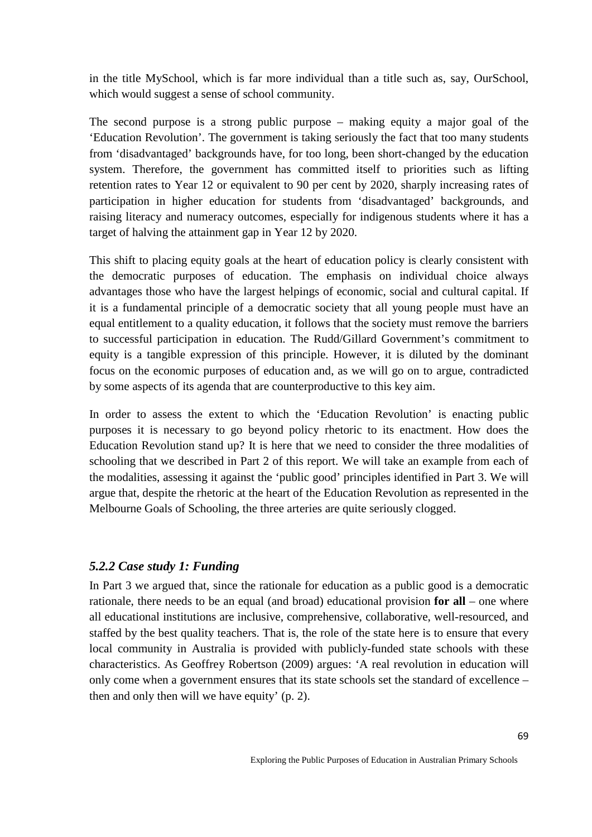in the title MySchool, which is far more individual than a title such as, say, OurSchool, which would suggest a sense of school community.

The second purpose is a strong public purpose – making equity a major goal of the 'Education Revolution'. The government is taking seriously the fact that too many students from 'disadvantaged' backgrounds have, for too long, been short-changed by the education system. Therefore, the government has committed itself to priorities such as lifting retention rates to Year 12 or equivalent to 90 per cent by 2020, sharply increasing rates of participation in higher education for students from 'disadvantaged' backgrounds, and raising literacy and numeracy outcomes, especially for indigenous students where it has a target of halving the attainment gap in Year 12 by 2020.

This shift to placing equity goals at the heart of education policy is clearly consistent with the democratic purposes of education. The emphasis on individual choice always advantages those who have the largest helpings of economic, social and cultural capital. If it is a fundamental principle of a democratic society that all young people must have an equal entitlement to a quality education, it follows that the society must remove the barriers to successful participation in education. The Rudd/Gillard Government's commitment to equity is a tangible expression of this principle. However, it is diluted by the dominant focus on the economic purposes of education and, as we will go on to argue, contradicted by some aspects of its agenda that are counterproductive to this key aim.

In order to assess the extent to which the 'Education Revolution' is enacting public purposes it is necessary to go beyond policy rhetoric to its enactment. How does the Education Revolution stand up? It is here that we need to consider the three modalities of schooling that we described in Part 2 of this report. We will take an example from each of the modalities, assessing it against the 'public good' principles identified in Part 3. We will argue that, despite the rhetoric at the heart of the Education Revolution as represented in the Melbourne Goals of Schooling, the three arteries are quite seriously clogged.

#### *5.2.2 Case study 1: Funding*

In Part 3 we argued that, since the rationale for education as a public good is a democratic rationale, there needs to be an equal (and broad) educational provision **for all** – one where all educational institutions are inclusive, comprehensive, collaborative, well-resourced, and staffed by the best quality teachers. That is, the role of the state here is to ensure that every local community in Australia is provided with publicly-funded state schools with these characteristics. As Geoffrey Robertson (2009) argues: 'A real revolution in education will only come when a government ensures that its state schools set the standard of excellence – then and only then will we have equity' (p. 2).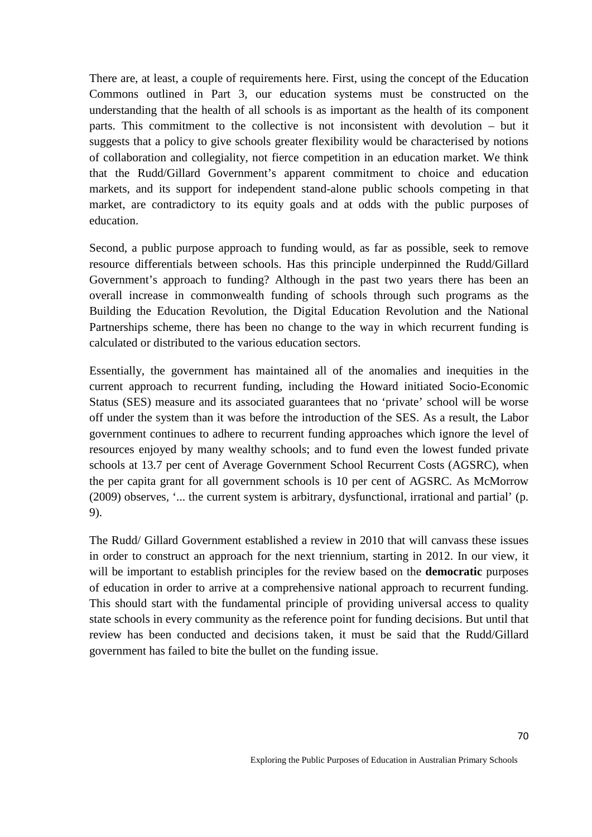There are, at least, a couple of requirements here. First, using the concept of the Education Commons outlined in Part 3, our education systems must be constructed on the understanding that the health of all schools is as important as the health of its component parts. This commitment to the collective is not inconsistent with devolution – but it suggests that a policy to give schools greater flexibility would be characterised by notions of collaboration and collegiality, not fierce competition in an education market. We think that the Rudd/Gillard Government's apparent commitment to choice and education markets, and its support for independent stand-alone public schools competing in that market, are contradictory to its equity goals and at odds with the public purposes of education.

Second, a public purpose approach to funding would, as far as possible, seek to remove resource differentials between schools. Has this principle underpinned the Rudd/Gillard Government's approach to funding? Although in the past two years there has been an overall increase in commonwealth funding of schools through such programs as the Building the Education Revolution, the Digital Education Revolution and the National Partnerships scheme, there has been no change to the way in which recurrent funding is calculated or distributed to the various education sectors.

Essentially, the government has maintained all of the anomalies and inequities in the current approach to recurrent funding, including the Howard initiated Socio-Economic Status (SES) measure and its associated guarantees that no 'private' school will be worse off under the system than it was before the introduction of the SES. As a result, the Labor government continues to adhere to recurrent funding approaches which ignore the level of resources enjoyed by many wealthy schools; and to fund even the lowest funded private schools at 13.7 per cent of Average Government School Recurrent Costs (AGSRC), when the per capita grant for all government schools is 10 per cent of AGSRC. As McMorrow (2009) observes*,* '... the current system is arbitrary, dysfunctional, irrational and partial' (p. 9).

The Rudd/ Gillard Government established a review in 2010 that will canvass these issues in order to construct an approach for the next triennium, starting in 2012. In our view, it will be important to establish principles for the review based on the **democratic** purposes of education in order to arrive at a comprehensive national approach to recurrent funding. This should start with the fundamental principle of providing universal access to quality state schools in every community as the reference point for funding decisions. But until that review has been conducted and decisions taken, it must be said that the Rudd/Gillard government has failed to bite the bullet on the funding issue.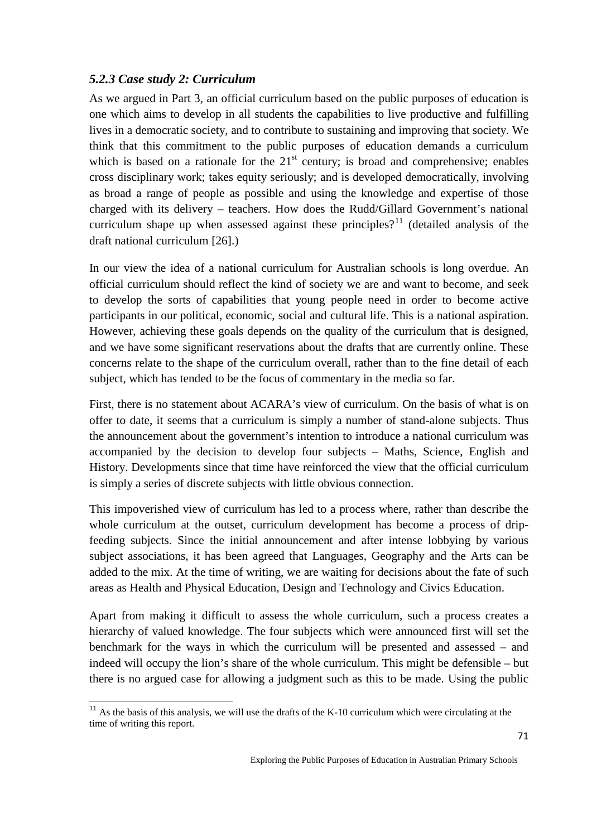# *5.2.3 Case study 2: Curriculum*

As we argued in Part 3, an official curriculum based on the public purposes of education is one which aims to develop in all students the capabilities to live productive and fulfilling lives in a democratic society, and to contribute to sustaining and improving that society. We think that this commitment to the public purposes of education demands a curriculum which is based on a rationale for the  $21<sup>st</sup>$  century; is broad and comprehensive; enables cross disciplinary work; takes equity seriously; and is developed democratically, involving as broad a range of people as possible and using the knowledge and expertise of those charged with its delivery – teachers. How does the Rudd/Gillard Government's national curriculum shape up when assessed against these principles?<sup>[11](#page-70-0)</sup> (detailed analysis of the draft national curriculum [26].)

In our view the idea of a national curriculum for Australian schools is long overdue. An official curriculum should reflect the kind of society we are and want to become, and seek to develop the sorts of capabilities that young people need in order to become active participants in our political, economic, social and cultural life. This is a national aspiration. However, achieving these goals depends on the quality of the curriculum that is designed, and we have some significant reservations about the drafts that are currently online. These concerns relate to the shape of the curriculum overall, rather than to the fine detail of each subject, which has tended to be the focus of commentary in the media so far.

First, there is no statement about ACARA's view of curriculum. On the basis of what is on offer to date, it seems that a curriculum is simply a number of stand-alone subjects. Thus the announcement about the government's intention to introduce a national curriculum was accompanied by the decision to develop four subjects – Maths, Science, English and History. Developments since that time have reinforced the view that the official curriculum is simply a series of discrete subjects with little obvious connection.

This impoverished view of curriculum has led to a process where, rather than describe the whole curriculum at the outset, curriculum development has become a process of dripfeeding subjects. Since the initial announcement and after intense lobbying by various subject associations, it has been agreed that Languages, Geography and the Arts can be added to the mix. At the time of writing, we are waiting for decisions about the fate of such areas as Health and Physical Education, Design and Technology and Civics Education.

Apart from making it difficult to assess the whole curriculum, such a process creates a hierarchy of valued knowledge. The four subjects which were announced first will set the benchmark for the ways in which the curriculum will be presented and assessed – and indeed will occupy the lion's share of the whole curriculum. This might be defensible – but there is no argued case for allowing a judgment such as this to be made. Using the public

<span id="page-70-0"></span><sup>&</sup>lt;sup>11</sup> As the basis of this analysis, we will use the drafts of the K-10 curriculum which were circulating at the time of writing this report.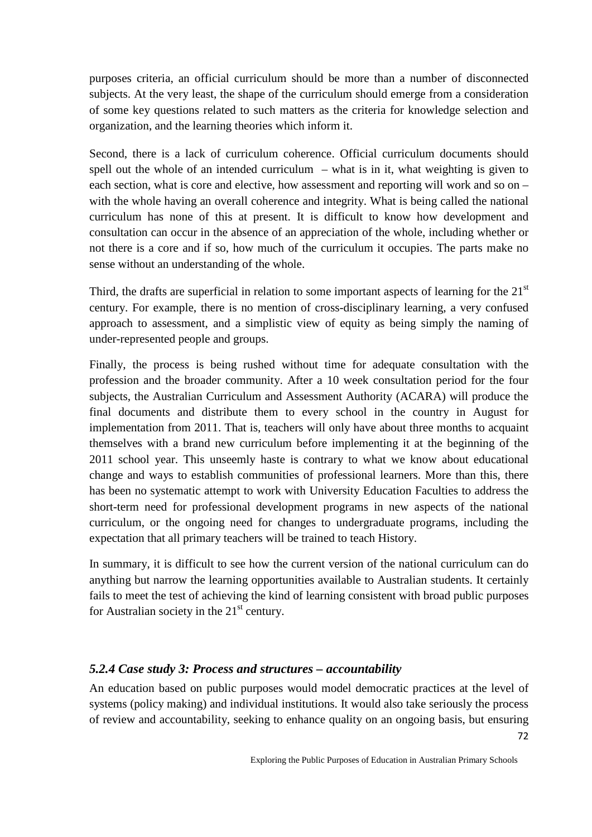purposes criteria, an official curriculum should be more than a number of disconnected subjects. At the very least, the shape of the curriculum should emerge from a consideration of some key questions related to such matters as the criteria for knowledge selection and organization, and the learning theories which inform it.

Second, there is a lack of curriculum coherence. Official curriculum documents should spell out the whole of an intended curriculum – what is in it, what weighting is given to each section, what is core and elective, how assessment and reporting will work and so on – with the whole having an overall coherence and integrity. What is being called the national curriculum has none of this at present. It is difficult to know how development and consultation can occur in the absence of an appreciation of the whole, including whether or not there is a core and if so, how much of the curriculum it occupies. The parts make no sense without an understanding of the whole.

Third, the drafts are superficial in relation to some important aspects of learning for the  $21<sup>st</sup>$ century. For example, there is no mention of cross-disciplinary learning, a very confused approach to assessment, and a simplistic view of equity as being simply the naming of under-represented people and groups.

Finally, the process is being rushed without time for adequate consultation with the profession and the broader community. After a 10 week consultation period for the four subjects, the Australian Curriculum and Assessment Authority (ACARA) will produce the final documents and distribute them to every school in the country in August for implementation from 2011. That is, teachers will only have about three months to acquaint themselves with a brand new curriculum before implementing it at the beginning of the 2011 school year. This unseemly haste is contrary to what we know about educational change and ways to establish communities of professional learners. More than this, there has been no systematic attempt to work with University Education Faculties to address the short-term need for professional development programs in new aspects of the national curriculum, or the ongoing need for changes to undergraduate programs, including the expectation that all primary teachers will be trained to teach History.

In summary, it is difficult to see how the current version of the national curriculum can do anything but narrow the learning opportunities available to Australian students. It certainly fails to meet the test of achieving the kind of learning consistent with broad public purposes for Australian society in the  $21<sup>st</sup>$  century.

### *5.2.4 Case study 3: Process and structures – accountability*

An education based on public purposes would model democratic practices at the level of systems (policy making) and individual institutions. It would also take seriously the process of review and accountability, seeking to enhance quality on an ongoing basis, but ensuring

72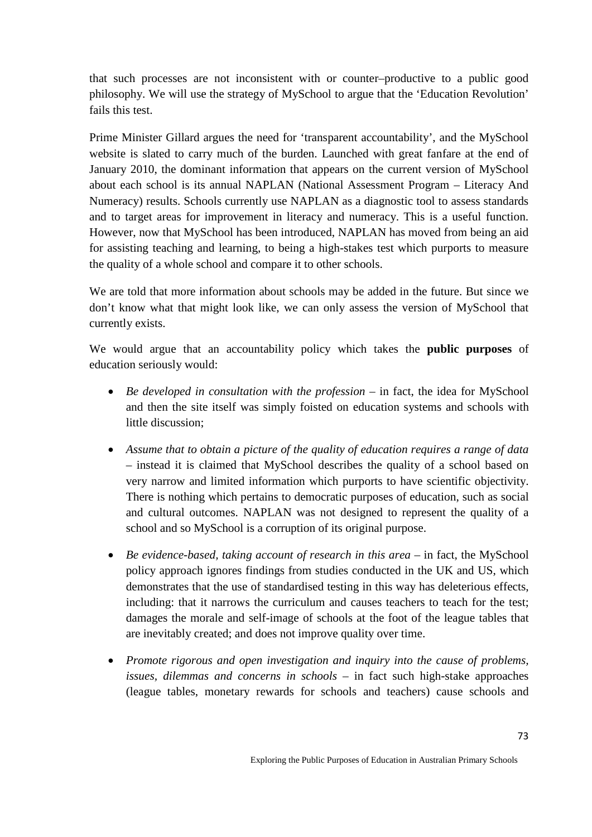that such processes are not inconsistent with or counter–productive to a public good philosophy. We will use the strategy of MySchool to argue that the 'Education Revolution' fails this test.

Prime Minister Gillard argues the need for 'transparent accountability', and the MySchool website is slated to carry much of the burden. Launched with great fanfare at the end of January 2010, the dominant information that appears on the current version of MySchool about each school is its annual NAPLAN (National Assessment Program – Literacy And Numeracy) results. Schools currently use NAPLAN as a diagnostic tool to assess standards and to target areas for improvement in literacy and numeracy. This is a useful function. However, now that MySchool has been introduced, NAPLAN has moved from being an aid for assisting teaching and learning, to being a high-stakes test which purports to measure the quality of a whole school and compare it to other schools.

We are told that more information about schools may be added in the future. But since we don't know what that might look like, we can only assess the version of MySchool that currently exists.

We would argue that an accountability policy which takes the **public purposes** of education seriously would:

- *Be developed in consultation with the profession* in fact, the idea for MySchool and then the site itself was simply foisted on education systems and schools with little discussion;
- *Assume that to obtain a picture of the quality of education requires a range of data* – instead it is claimed that MySchool describes the quality of a school based on very narrow and limited information which purports to have scientific objectivity. There is nothing which pertains to democratic purposes of education, such as social and cultural outcomes. NAPLAN was not designed to represent the quality of a school and so MySchool is a corruption of its original purpose.
- *Be evidence-based, taking account of research in this area* in fact, the MySchool policy approach ignores findings from studies conducted in the UK and US, which demonstrates that the use of standardised testing in this way has deleterious effects, including: that it narrows the curriculum and causes teachers to teach for the test; damages the morale and self-image of schools at the foot of the league tables that are inevitably created; and does not improve quality over time.
- *Promote rigorous and open investigation and inquiry into the cause of problems, issues, dilemmas and concerns in schools* – in fact such high-stake approaches (league tables, monetary rewards for schools and teachers) cause schools and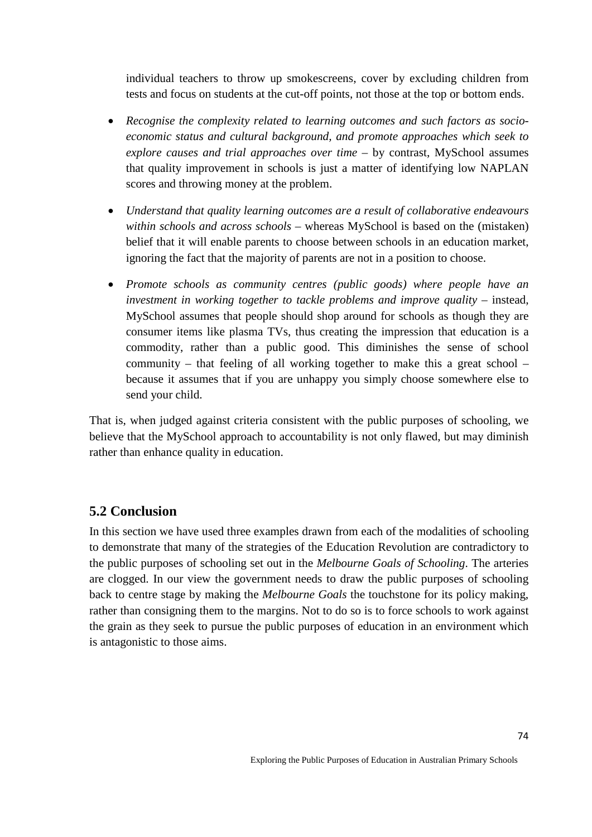individual teachers to throw up smokescreens, cover by excluding children from tests and focus on students at the cut-off points, not those at the top or bottom ends.

- *Recognise the complexity related to learning outcomes and such factors as socioeconomic status and cultural background, and promote approaches which seek to explore causes and trial approaches over time* – by contrast, MySchool assumes that quality improvement in schools is just a matter of identifying low NAPLAN scores and throwing money at the problem.
- *Understand that quality learning outcomes are a result of collaborative endeavours within schools and across schools* – whereas MySchool is based on the (mistaken) belief that it will enable parents to choose between schools in an education market, ignoring the fact that the majority of parents are not in a position to choose.
- *Promote schools as community centres (public goods) where people have an investment in working together to tackle problems and improve quality* – instead, MySchool assumes that people should shop around for schools as though they are consumer items like plasma TVs, thus creating the impression that education is a commodity, rather than a public good. This diminishes the sense of school community – that feeling of all working together to make this a great school – because it assumes that if you are unhappy you simply choose somewhere else to send your child.

That is, when judged against criteria consistent with the public purposes of schooling, we believe that the MySchool approach to accountability is not only flawed, but may diminish rather than enhance quality in education.

## **5.2 Conclusion**

In this section we have used three examples drawn from each of the modalities of schooling to demonstrate that many of the strategies of the Education Revolution are contradictory to the public purposes of schooling set out in the *Melbourne Goals of Schooling*. The arteries are clogged. In our view the government needs to draw the public purposes of schooling back to centre stage by making the *Melbourne Goals* the touchstone for its policy making, rather than consigning them to the margins. Not to do so is to force schools to work against the grain as they seek to pursue the public purposes of education in an environment which is antagonistic to those aims.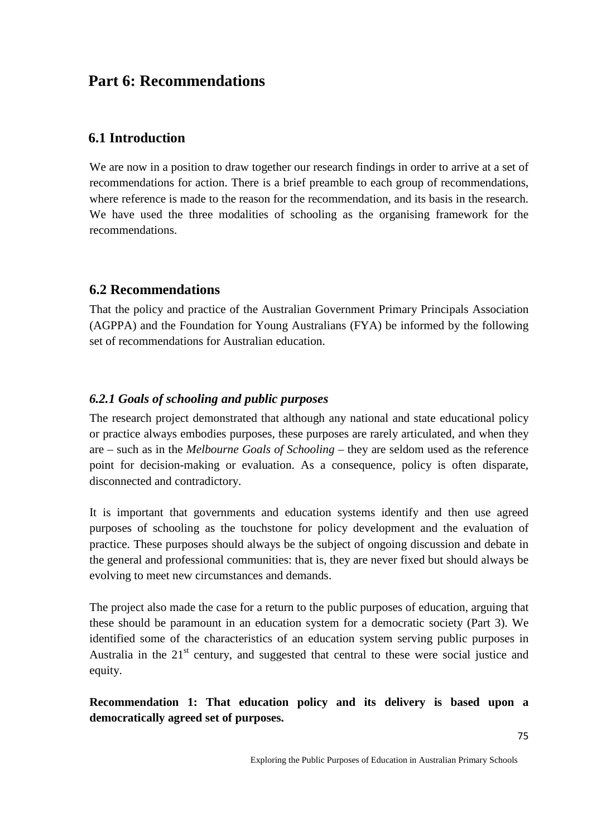# **Part 6: Recommendations**

## **6.1 Introduction**

We are now in a position to draw together our research findings in order to arrive at a set of recommendations for action. There is a brief preamble to each group of recommendations, where reference is made to the reason for the recommendation, and its basis in the research. We have used the three modalities of schooling as the organising framework for the recommendations.

## **6.2 Recommendations**

That the policy and practice of the Australian Government Primary Principals Association (AGPPA) and the Foundation for Young Australians (FYA) be informed by the following set of recommendations for Australian education.

## *6.2.1 Goals of schooling and public purposes*

The research project demonstrated that although any national and state educational policy or practice always embodies purposes, these purposes are rarely articulated, and when they are – such as in the *Melbourne Goals of Schooling* – they are seldom used as the reference point for decision-making or evaluation. As a consequence, policy is often disparate, disconnected and contradictory.

It is important that governments and education systems identify and then use agreed purposes of schooling as the touchstone for policy development and the evaluation of practice. These purposes should always be the subject of ongoing discussion and debate in the general and professional communities: that is, they are never fixed but should always be evolving to meet new circumstances and demands.

The project also made the case for a return to the public purposes of education, arguing that these should be paramount in an education system for a democratic society (Part 3). We identified some of the characteristics of an education system serving public purposes in Australia in the  $21<sup>st</sup>$  century, and suggested that central to these were social justice and equity.

**Recommendation 1: That education policy and its delivery is based upon a democratically agreed set of purposes.**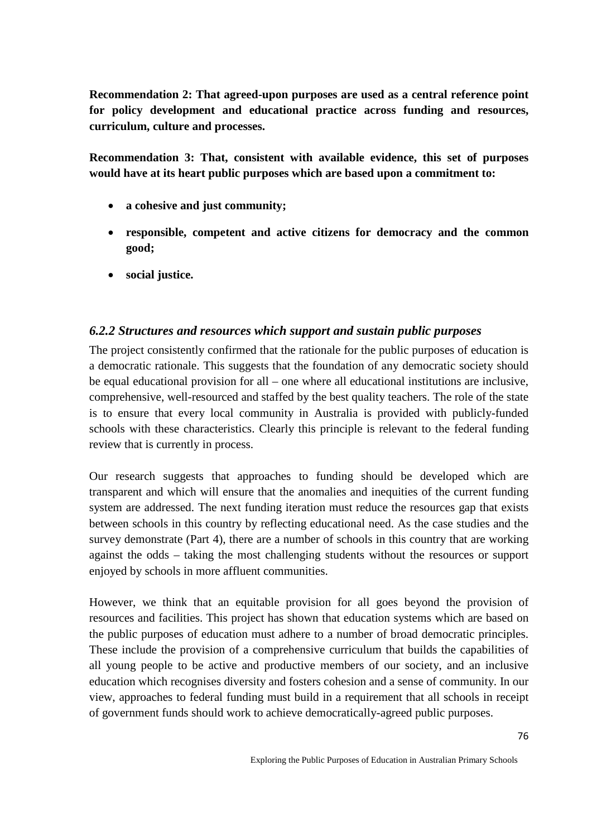**Recommendation 2: That agreed-upon purposes are used as a central reference point for policy development and educational practice across funding and resources, curriculum, culture and processes.** 

**Recommendation 3: That, consistent with available evidence, this set of purposes would have at its heart public purposes which are based upon a commitment to:**

- **a cohesive and just community;**
- **responsible, competent and active citizens for democracy and the common good;**
- **social justice.**

## *6.2.2 Structures and resources which support and sustain public purposes*

The project consistently confirmed that the rationale for the public purposes of education is a democratic rationale. This suggests that the foundation of any democratic society should be equal educational provision for all – one where all educational institutions are inclusive, comprehensive, well-resourced and staffed by the best quality teachers. The role of the state is to ensure that every local community in Australia is provided with publicly-funded schools with these characteristics. Clearly this principle is relevant to the federal funding review that is currently in process.

Our research suggests that approaches to funding should be developed which are transparent and which will ensure that the anomalies and inequities of the current funding system are addressed. The next funding iteration must reduce the resources gap that exists between schools in this country by reflecting educational need. As the case studies and the survey demonstrate (Part 4), there are a number of schools in this country that are working against the odds – taking the most challenging students without the resources or support enjoyed by schools in more affluent communities.

However, we think that an equitable provision for all goes beyond the provision of resources and facilities. This project has shown that education systems which are based on the public purposes of education must adhere to a number of broad democratic principles. These include the provision of a comprehensive curriculum that builds the capabilities of all young people to be active and productive members of our society, and an inclusive education which recognises diversity and fosters cohesion and a sense of community. In our view, approaches to federal funding must build in a requirement that all schools in receipt of government funds should work to achieve democratically-agreed public purposes.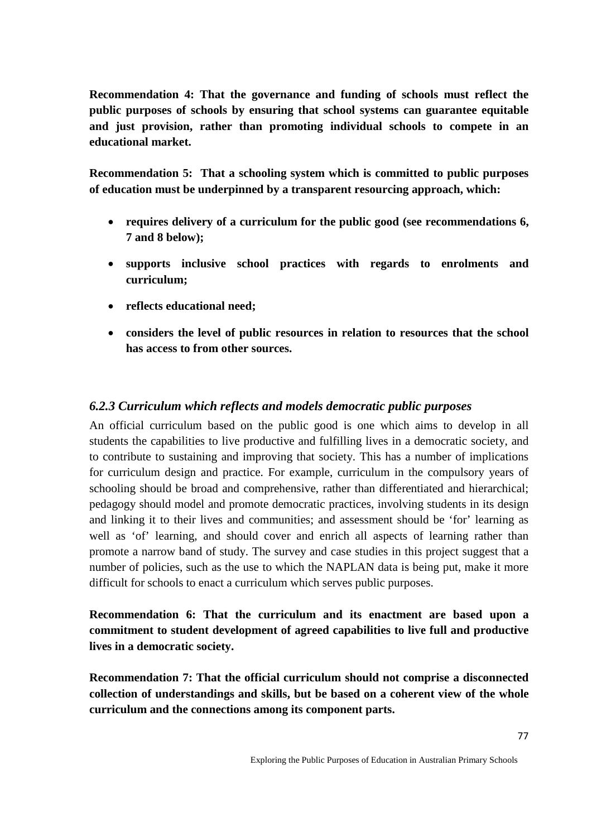**Recommendation 4: That the governance and funding of schools must reflect the public purposes of schools by ensuring that school systems can guarantee equitable and just provision, rather than promoting individual schools to compete in an educational market.**

**Recommendation 5: That a schooling system which is committed to public purposes of education must be underpinned by a transparent resourcing approach, which:**

- **requires delivery of a curriculum for the public good (see recommendations 6, 7 and 8 below);**
- **supports inclusive school practices with regards to enrolments and curriculum;**
- **reflects educational need;**
- **considers the level of public resources in relation to resources that the school has access to from other sources.**

## *6.2.3 Curriculum which reflects and models democratic public purposes*

An official curriculum based on the public good is one which aims to develop in all students the capabilities to live productive and fulfilling lives in a democratic society, and to contribute to sustaining and improving that society. This has a number of implications for curriculum design and practice. For example, curriculum in the compulsory years of schooling should be broad and comprehensive, rather than differentiated and hierarchical; pedagogy should model and promote democratic practices, involving students in its design and linking it to their lives and communities; and assessment should be 'for' learning as well as 'of' learning, and should cover and enrich all aspects of learning rather than promote a narrow band of study. The survey and case studies in this project suggest that a number of policies, such as the use to which the NAPLAN data is being put, make it more difficult for schools to enact a curriculum which serves public purposes.

**Recommendation 6: That the curriculum and its enactment are based upon a commitment to student development of agreed capabilities to live full and productive lives in a democratic society.**

**Recommendation 7: That the official curriculum should not comprise a disconnected collection of understandings and skills, but be based on a coherent view of the whole curriculum and the connections among its component parts.**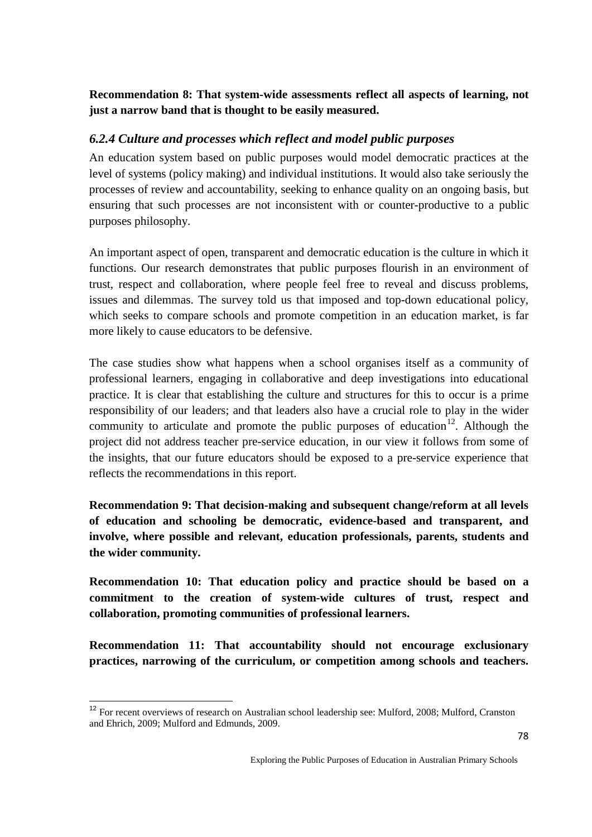## **Recommendation 8: That system-wide assessments reflect all aspects of learning, not just a narrow band that is thought to be easily measured.**

## *6.2.4 Culture and processes which reflect and model public purposes*

An education system based on public purposes would model democratic practices at the level of systems (policy making) and individual institutions. It would also take seriously the processes of review and accountability, seeking to enhance quality on an ongoing basis, but ensuring that such processes are not inconsistent with or counter-productive to a public purposes philosophy.

An important aspect of open, transparent and democratic education is the culture in which it functions. Our research demonstrates that public purposes flourish in an environment of trust, respect and collaboration, where people feel free to reveal and discuss problems, issues and dilemmas. The survey told us that imposed and top-down educational policy, which seeks to compare schools and promote competition in an education market, is far more likely to cause educators to be defensive.

The case studies show what happens when a school organises itself as a community of professional learners, engaging in collaborative and deep investigations into educational practice. It is clear that establishing the culture and structures for this to occur is a prime responsibility of our leaders; and that leaders also have a crucial role to play in the wider community to articulate and promote the public purposes of education<sup>12</sup>. Although the project did not address teacher pre-service education, in our view it follows from some of the insights, that our future educators should be exposed to a pre-service experience that reflects the recommendations in this report.

**Recommendation 9: That decision-making and subsequent change/reform at all levels of education and schooling be democratic, evidence-based and transparent, and involve, where possible and relevant, education professionals, parents, students and the wider community.** 

**Recommendation 10: That education policy and practice should be based on a commitment to the creation of system-wide cultures of trust, respect and collaboration, promoting communities of professional learners.** 

**Recommendation 11: That accountability should not encourage exclusionary practices, narrowing of the curriculum, or competition among schools and teachers.** 

<span id="page-77-0"></span><sup>&</sup>lt;sup>12</sup> For recent overviews of research on Australian school leadership see: Mulford, 2008; Mulford, Cranston and Ehrich, 2009; Mulford and Edmunds, 2009.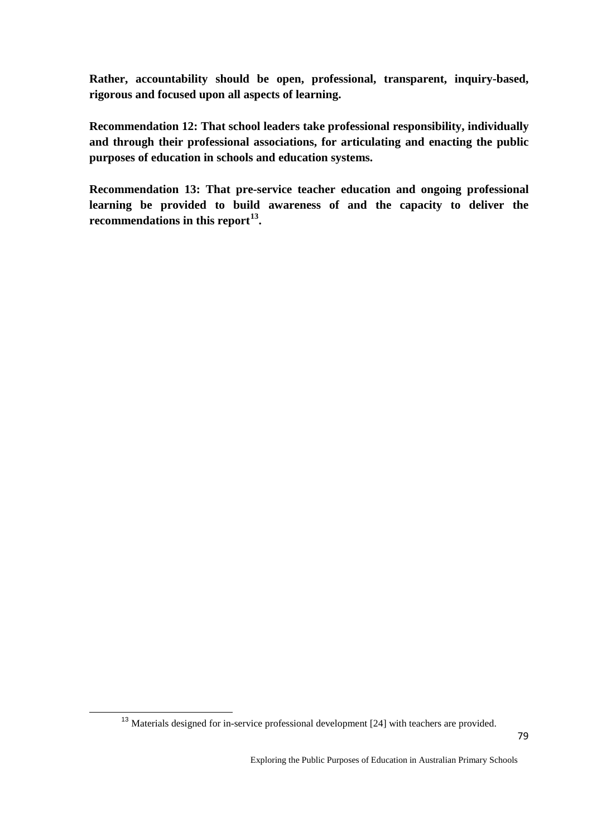**Rather, accountability should be open, professional, transparent, inquiry-based, rigorous and focused upon all aspects of learning.**

**Recommendation 12: That school leaders take professional responsibility, individually and through their professional associations, for articulating and enacting the public purposes of education in schools and education systems.**

**Recommendation 13: That pre-service teacher education and ongoing professional learning be provided to build awareness of and the capacity to deliver the recommendations in this report[13](#page-78-0) .** 

<span id="page-78-0"></span><sup>&</sup>lt;sup>13</sup> Materials designed for in-service professional development [24] with teachers are provided.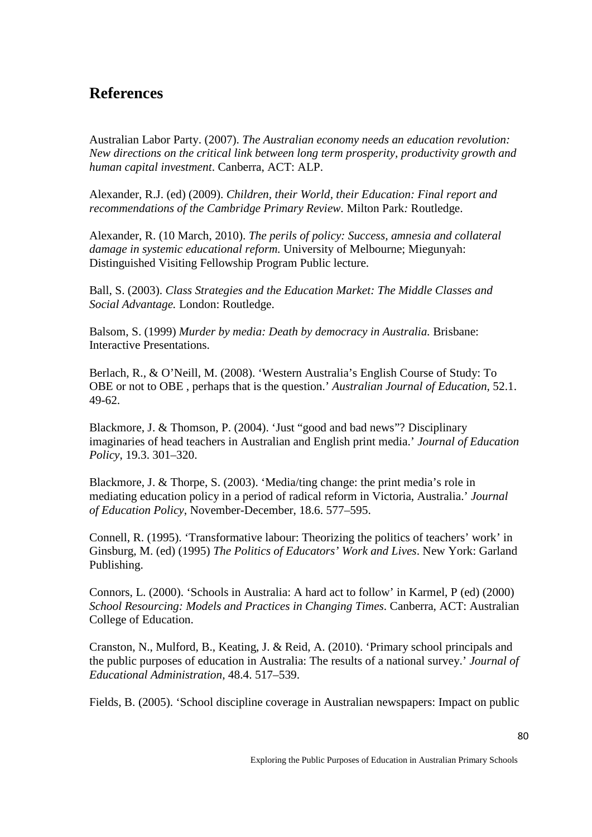# **References**

Australian Labor Party. (2007). *The Australian economy needs an education revolution: New directions on the critical link between long term prosperity, productivity growth and human capital investment*. Canberra, ACT: ALP.

Alexander, R.J. (ed) (2009). *Children, their World, their Education: Final report and recommendations of the Cambridge Primary Review.* Milton Park*:* Routledge.

Alexander, R. (10 March, 2010). *The perils of policy: Success, amnesia and collateral damage in systemic educational reform.* University of Melbourne; Miegunyah: Distinguished Visiting Fellowship Program Public lecture.

Ball, S. (2003). *Class Strategies and the Education Market: The Middle Classes and Social Advantage.* London: Routledge.

Balsom, S. (1999) *Murder by media: Death by democracy in Australia.* Brisbane: Interactive Presentations.

Berlach, R., & O'Neill, M. (2008). 'Western Australia's English Course of Study: To OBE or not to OBE , perhaps that is the question.' *Australian Journal of Education,* 52.1. 49-62.

Blackmore, J. & Thomson, P. (2004). 'Just "good and bad news"? Disciplinary imaginaries of head teachers in Australian and English print media.' *Journal of Education Policy*, 19.3. 301–320.

Blackmore, J. & Thorpe, S. (2003). 'Media/ting change: the print media's role in mediating education policy in a period of radical reform in Victoria, Australia.' *Journal of Education Policy*, November-December, 18.6. 577–595.

Connell, R. (1995). 'Transformative labour: Theorizing the politics of teachers' work' in Ginsburg, M. (ed) (1995) *The Politics of Educators' Work and Lives*. New York: Garland Publishing.

Connors, L. (2000). 'Schools in Australia: A hard act to follow' in Karmel, P (ed) (2000) *School Resourcing: Models and Practices in Changing Times*. Canberra, ACT: Australian College of Education.

Cranston, N., Mulford, B., Keating, J. & Reid, A. (2010). 'Primary school principals and the public purposes of education in Australia: The results of a national survey.' *Journal of Educational Administration,* 48.4. 517–539.

Fields, B. (2005). 'School discipline coverage in Australian newspapers: Impact on public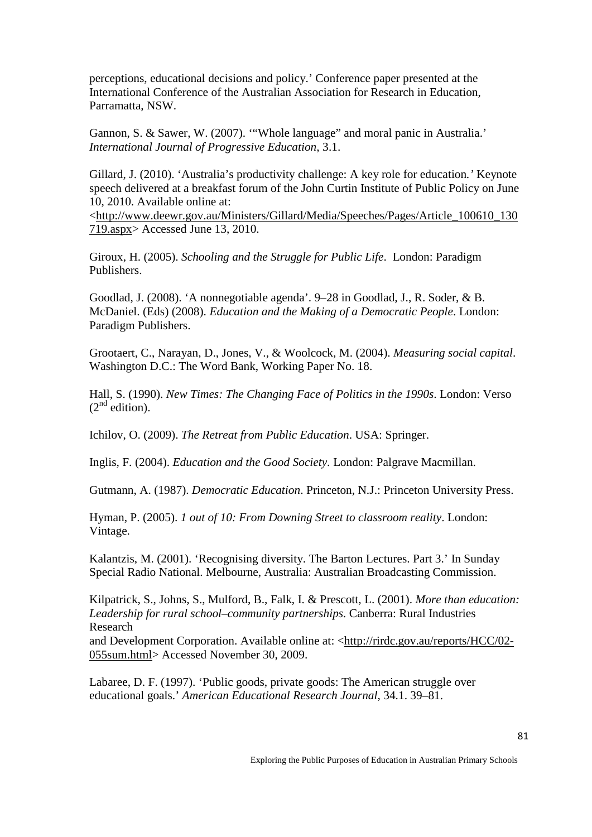perceptions, educational decisions and policy.' Conference paper presented at the International Conference of the Australian Association for Research in Education, Parramatta, NSW.

Gannon, S. & Sawer, W. (2007). '"Whole language" and moral panic in Australia.' *International Journal of Progressive Education*, 3.1.

Gillard, J. (2010). 'Australia's productivity challenge: A key role for education*.'* Keynote speech delivered at a breakfast forum of the John Curtin Institute of Public Policy on June 10, 2010. Available online at:

[<http://www.deewr.gov.au/Ministers/Gillard/Media/Speeches/Pages/Article\\_100610\\_130](http://www.deewr.gov.au/Ministers/Gillard/Media/Speeches/Pages/Article_100610_130719.aspx) [719.aspx>](http://www.deewr.gov.au/Ministers/Gillard/Media/Speeches/Pages/Article_100610_130719.aspx) Accessed June 13, 2010.

Giroux, H. (2005). *Schooling and the Struggle for Public Life*. London: Paradigm Publishers.

Goodlad, J. (2008). 'A nonnegotiable agenda'. 9–28 in Goodlad, J., R. Soder, & B. McDaniel. (Eds) (2008). *Education and the Making of a Democratic People*. London: Paradigm Publishers.

Grootaert, C., Narayan, D., Jones, V., & Woolcock, M. (2004). *Measuring social capital*. Washington D.C.: The Word Bank, Working Paper No. 18.

Hall, S. (1990). *New Times: The Changing Face of Politics in the 1990s*. London: Verso  $(2<sup>nd</sup>$  edition).

Ichilov, O. (2009). *The Retreat from Public Education*. USA: Springer.

Inglis, F. (2004). *Education and the Good Society*. London: Palgrave Macmillan.

Gutmann, A. (1987). *Democratic Education*. Princeton, N.J.: Princeton University Press.

Hyman, P. (2005). *1 out of 10: From Downing Street to classroom reality*. London: Vintage.

Kalantzis, M. (2001). 'Recognising diversity. The Barton Lectures. Part 3.' In Sunday Special Radio National. Melbourne, Australia: Australian Broadcasting Commission.

Kilpatrick, S., Johns, S., Mulford, B., Falk, I. & Prescott, L. (2001). *More than education: Leadership for rural school–community partnerships.* Canberra: Rural Industries Research

and Development Corporation. Available online at: [<http://rirdc.gov.au/reports/HCC/02-](http://rirdc.gov.au/reports/HCC/02-055sum.html) [055sum.html>](http://rirdc.gov.au/reports/HCC/02-055sum.html) Accessed November 30, 2009.

Labaree, D. F. (1997). 'Public goods, private goods: The American struggle over educational goals.' *American Educational Research Journal*, 34.1. 39–81.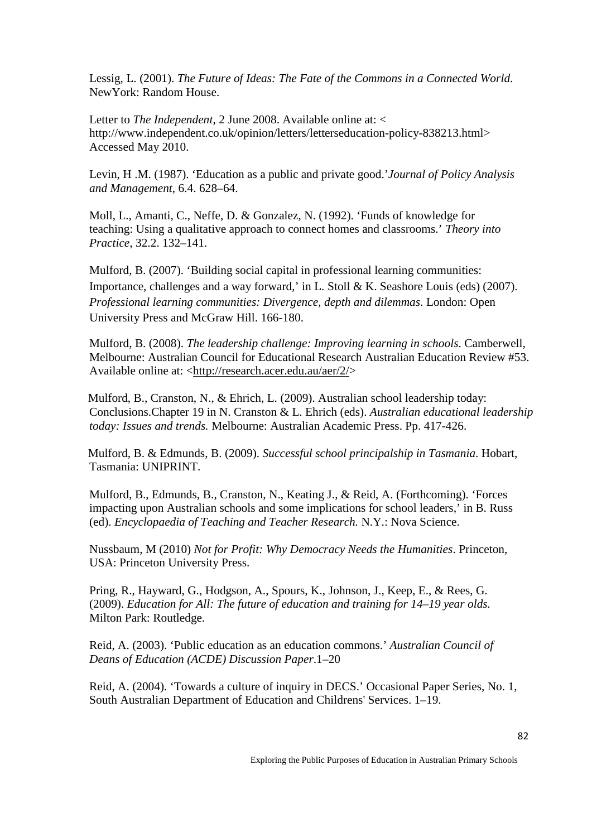Lessig, L. (2001). *The Future of Ideas: The Fate of the Commons in a Connected World*. NewYork: Random House.

Letter to *The Independent*, 2 June 2008. Available online at: < http://www.independent.co.uk/opinion/letters/letterseducation-policy-838213.html> Accessed May 2010.

Levin, H .M. (1987). 'Education as a public and private good.'*Journal of Policy Analysis and Management*, 6.4. 628–64.

Moll, L., Amanti, C., Neffe, D. & Gonzalez, N. (1992). 'Funds of knowledge for teaching: Using a qualitative approach to connect homes and classrooms.' *Theory into Practice*, 32.2. 132–141.

Mulford, B. (2007). 'Building social capital in professional learning communities: Importance, challenges and a way forward,' in L. Stoll & K. Seashore Louis (eds) (2007). *Professional learning communities: Divergence, depth and dilemmas*. London: Open University Press and McGraw Hill. 166-180.

Mulford, B. (2008). *The leadership challenge: Improving learning in schools*. Camberwell, Melbourne: Australian Council for Educational Research Australian Education Review #53. Available online at: [<http://research.acer.edu.au/aer/2/>](https://mail.unisa.edu.au/owa/redir.aspx?C=1f994ba6f6a24523811b7132a4b797d4&URL=https%3a%2f%2foutlook.educ.utas.edu.au%2fexchweb%2fbin%2fredir.asp%3fURL%3dhttp%3a%2f%2fresearch.acer.edu.au%2faer%2f2%2f)

Mulford, B., Cranston, N., & Ehrich, L. (2009). Australian school leadership today: Conclusions.Chapter 19 in N. Cranston & L. Ehrich (eds). *Australian educational leadership today: Issues and trends.* Melbourne: Australian Academic Press. Pp. 417-426.

Mulford, B. & Edmunds, B. (2009). *Successful school principalship in Tasmania*. Hobart, Tasmania: UNIPRINT.

Mulford, B., Edmunds, B., Cranston, N., Keating J., & Reid, A. (Forthcoming). 'Forces impacting upon Australian schools and some implications for school leaders,' in B. Russ (ed). *Encyclopaedia of Teaching and Teacher Research.* N.Y.: Nova Science.

Nussbaum, M (2010) *Not for Profit: Why Democracy Needs the Humanities*. Princeton, USA: Princeton University Press.

Pring, R., Hayward, G., Hodgson, A., Spours, K., Johnson, J., Keep, E., & Rees, G. (2009). *Education for All: The future of education and training for 14–19 year olds.*  Milton Park: Routledge.

Reid, A. (2003). 'Public education as an education commons.' *Australian Council of Deans of Education (ACDE) Discussion Paper*.1–20

Reid, A. (2004). 'Towards a culture of inquiry in DECS.' Occasional Paper Series, No. 1, South Australian Department of Education and Childrens' Services. 1–19.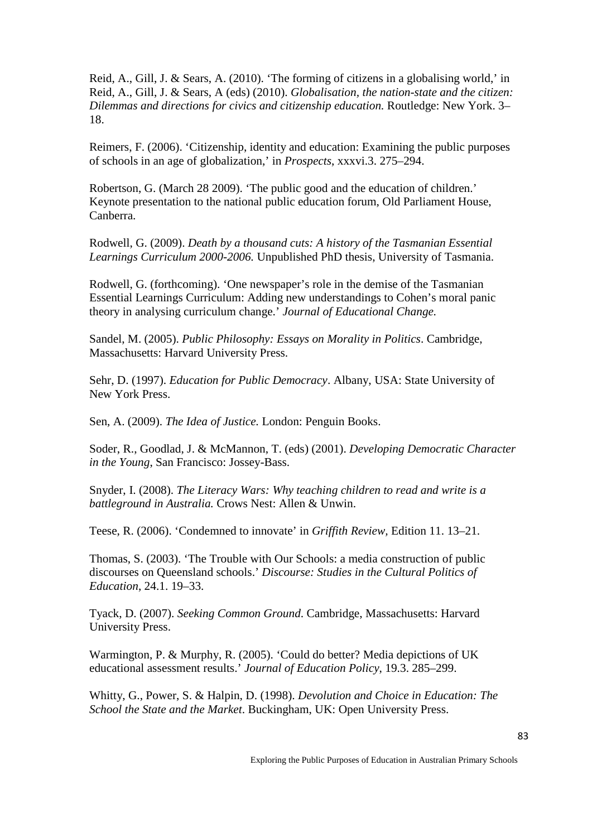Reid, A., Gill, J. & Sears, A. (2010). 'The forming of citizens in a globalising world,' in Reid, A., Gill, J. & Sears, A (eds) (2010). *Globalisation, the nation-state and the citizen: Dilemmas and directions for civics and citizenship education.* Routledge: New York. 3– 18.

Reimers, F. (2006). 'Citizenship, identity and education: Examining the public purposes of schools in an age of globalization,' in *Prospects*, xxxvi.3. 275–294.

Robertson, G. (March 28 2009). 'The public good and the education of children.' Keynote presentation to the national public education forum, Old Parliament House, Canberra.

Rodwell, G. (2009). *Death by a thousand cuts: A history of the Tasmanian Essential Learnings Curriculum 2000-2006.* Unpublished PhD thesis, University of Tasmania.

Rodwell, G. (forthcoming). 'One newspaper's role in the demise of the Tasmanian Essential Learnings Curriculum: Adding new understandings to Cohen's moral panic theory in analysing curriculum change.' *Journal of Educational Change.*

Sandel, M. (2005). *Public Philosophy: Essays on Morality in Politics*. Cambridge, Massachusetts: Harvard University Press.

Sehr, D. (1997). *Education for Public Democracy*. Albany, USA: State University of New York Press.

Sen, A. (2009). *The Idea of Justice.* London: Penguin Books.

Soder, R., Goodlad, J. & McMannon, T. (eds) (2001). *Developing Democratic Character in the Young*, San Francisco: Jossey-Bass.

Snyder, I. (2008). *The Literacy Wars: Why teaching children to read and write is a battleground in Australia.* Crows Nest: Allen & Unwin.

Teese, R. (2006). 'Condemned to innovate' in *Griffith Review,* Edition 11. 13–21.

Thomas, S. (2003). 'The Trouble with Our Schools: a media construction of public discourses on Queensland schools.' *Discourse: Studies in the Cultural Politics of Education*, 24.1. 19–33.

Tyack, D. (2007). *Seeking Common Ground*. Cambridge, Massachusetts: Harvard University Press.

Warmington, P. & Murphy, R. (2005). 'Could do better? Media depictions of UK educational assessment results.' *Journal of Education Policy*, 19.3. 285–299.

Whitty, G., Power, S. & Halpin, D. (1998). *Devolution and Choice in Education: The School the State and the Market*. Buckingham, UK: Open University Press.